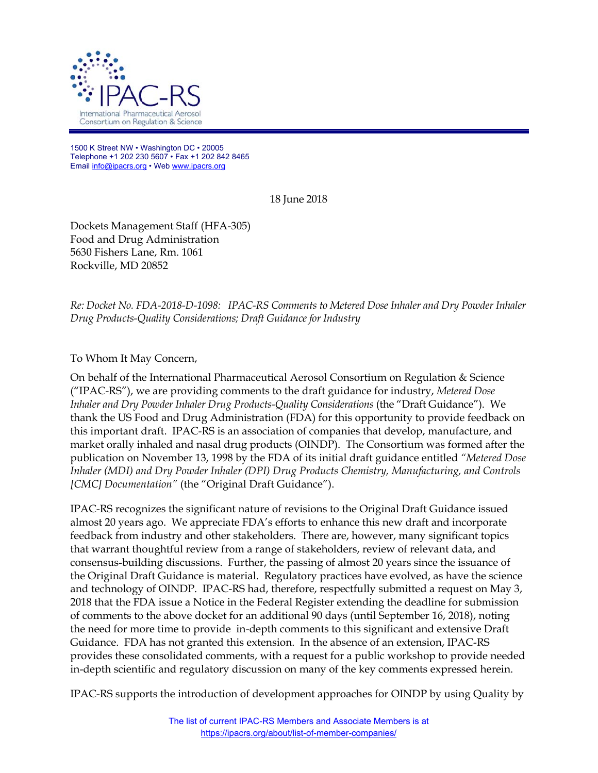

1500 K Street NW • Washington DC • 20005 Telephone +1 202 230 5607 • Fax +1 202 842 8465 Email info@ipacrs.org • Web www.ipacrs.org

18 June 2018

Dockets Management Staff (HFA-305) Food and Drug Administration 5630 Fishers Lane, Rm. 1061 Rockville, MD 20852

*Re: Docket No. FDA-2018-D-1098: IPAC-RS Comments to Metered Dose Inhaler and Dry Powder Inhaler Drug Products-Quality Considerations; Draft Guidance for Industry* 

To Whom It May Concern,

On behalf of the International Pharmaceutical Aerosol Consortium on Regulation & Science ("IPAC-RS"), we are providing comments to the draft guidance for industry, *Metered Dose Inhaler and Dry Powder Inhaler Drug Products-Quality Considerations* (the "Draft Guidance"). We thank the US Food and Drug Administration (FDA) for this opportunity to provide feedback on this important draft. IPAC-RS is an association of companies that develop, manufacture, and market orally inhaled and nasal drug products (OINDP). The Consortium was formed after the publication on November 13, 1998 by the FDA of its initial draft guidance entitled *"Metered Dose Inhaler (MDI) and Dry Powder Inhaler (DPI) Drug Products Chemistry, Manufacturing, and Controls [CMC] Documentation"* (the "Original Draft Guidance").

IPAC-RS recognizes the significant nature of revisions to the Original Draft Guidance issued almost 20 years ago. We appreciate FDA's efforts to enhance this new draft and incorporate feedback from industry and other stakeholders. There are, however, many significant topics that warrant thoughtful review from a range of stakeholders, review of relevant data, and consensus-building discussions. Further, the passing of almost 20 years since the issuance of the Original Draft Guidance is material. Regulatory practices have evolved, as have the science and technology of OINDP. IPAC-RS had, therefore, respectfully submitted a request on May 3, 2018 that the FDA issue a Notice in the Federal Register extending the deadline for submission of comments to the above docket for an additional 90 days (until September 16, 2018), noting the need for more time to provide in-depth comments to this significant and extensive Draft Guidance. FDA has not granted this extension. In the absence of an extension, IPAC-RS provides these consolidated comments, with a request for a public workshop to provide needed in-depth scientific and regulatory discussion on many of the key comments expressed herein.

IPAC-RS supports the introduction of development approaches for OINDP by using Quality by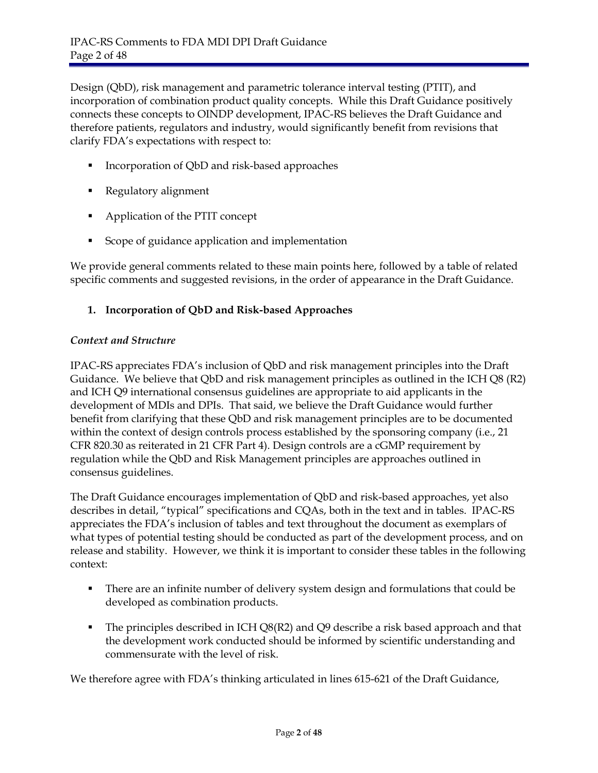Design (QbD), risk management and parametric tolerance interval testing (PTIT), and incorporation of combination product quality concepts. While this Draft Guidance positively connects these concepts to OINDP development, IPAC-RS believes the Draft Guidance and therefore patients, regulators and industry, would significantly benefit from revisions that clarify FDA's expectations with respect to:

- **Incorporation of QbD and risk-based approaches**
- **Regulatory alignment**
- Application of the PTIT concept
- Scope of guidance application and implementation

We provide general comments related to these main points here, followed by a table of related specific comments and suggested revisions, in the order of appearance in the Draft Guidance.

#### **1. Incorporation of QbD and Risk-based Approaches**

#### *Context and Structure*

IPAC-RS appreciates FDA's inclusion of QbD and risk management principles into the Draft Guidance. We believe that QbD and risk management principles as outlined in the ICH Q8 (R2) and ICH Q9 international consensus guidelines are appropriate to aid applicants in the development of MDIs and DPIs. That said, we believe the Draft Guidance would further benefit from clarifying that these QbD and risk management principles are to be documented within the context of design controls process established by the sponsoring company (i.e., 21 CFR 820.30 as reiterated in 21 CFR Part 4). Design controls are a cGMP requirement by regulation while the QbD and Risk Management principles are approaches outlined in consensus guidelines.

The Draft Guidance encourages implementation of QbD and risk-based approaches, yet also describes in detail, "typical" specifications and CQAs, both in the text and in tables. IPAC-RS appreciates the FDA's inclusion of tables and text throughout the document as exemplars of what types of potential testing should be conducted as part of the development process, and on release and stability. However, we think it is important to consider these tables in the following context:

- **There are an infinite number of delivery system design and formulations that could be** developed as combination products.
- The principles described in ICH Q8(R2) and Q9 describe a risk based approach and that the development work conducted should be informed by scientific understanding and commensurate with the level of risk.

We therefore agree with FDA's thinking articulated in lines 615-621 of the Draft Guidance,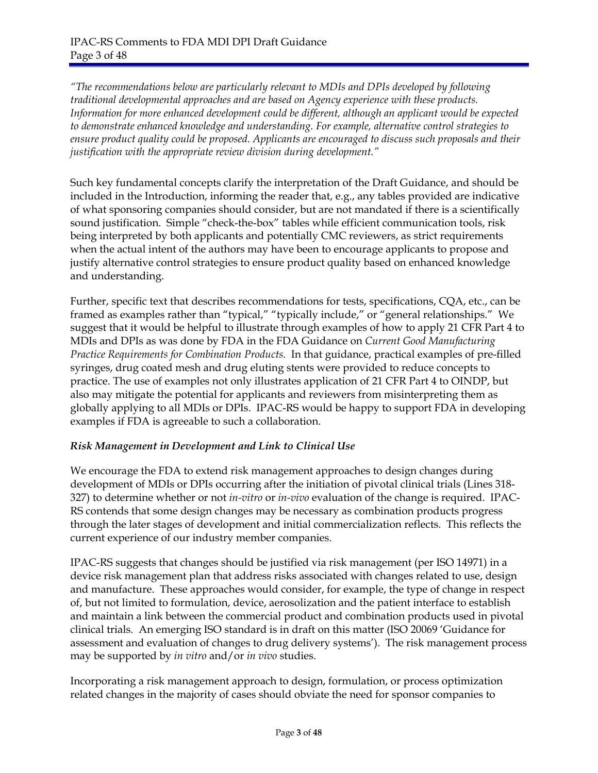*"The recommendations below are particularly relevant to MDIs and DPIs developed by following traditional developmental approaches and are based on Agency experience with these products. Information for more enhanced development could be different, although an applicant would be expected to demonstrate enhanced knowledge and understanding. For example, alternative control strategies to ensure product quality could be proposed. Applicants are encouraged to discuss such proposals and their justification with the appropriate review division during development."* 

Such key fundamental concepts clarify the interpretation of the Draft Guidance, and should be included in the Introduction, informing the reader that, e.g., any tables provided are indicative of what sponsoring companies should consider, but are not mandated if there is a scientifically sound justification. Simple "check-the-box" tables while efficient communication tools, risk being interpreted by both applicants and potentially CMC reviewers, as strict requirements when the actual intent of the authors may have been to encourage applicants to propose and justify alternative control strategies to ensure product quality based on enhanced knowledge and understanding.

Further, specific text that describes recommendations for tests, specifications, CQA, etc., can be framed as examples rather than "typical," "typically include," or "general relationships." We suggest that it would be helpful to illustrate through examples of how to apply 21 CFR Part 4 to MDIs and DPIs as was done by FDA in the FDA Guidance on *Current Good Manufacturing Practice Requirements for Combination Products*. In that guidance, practical examples of pre-filled syringes, drug coated mesh and drug eluting stents were provided to reduce concepts to practice. The use of examples not only illustrates application of 21 CFR Part 4 to OINDP, but also may mitigate the potential for applicants and reviewers from misinterpreting them as globally applying to all MDIs or DPIs. IPAC-RS would be happy to support FDA in developing examples if FDA is agreeable to such a collaboration.

#### *Risk Management in Development and Link to Clinical Use*

We encourage the FDA to extend risk management approaches to design changes during development of MDIs or DPIs occurring after the initiation of pivotal clinical trials (Lines 318- 327) to determine whether or not *in-vitro* or *in-vivo* evaluation of the change is required. IPAC-RS contends that some design changes may be necessary as combination products progress through the later stages of development and initial commercialization reflects. This reflects the current experience of our industry member companies.

IPAC-RS suggests that changes should be justified via risk management (per ISO 14971) in a device risk management plan that address risks associated with changes related to use, design and manufacture. These approaches would consider, for example, the type of change in respect of, but not limited to formulation, device, aerosolization and the patient interface to establish and maintain a link between the commercial product and combination products used in pivotal clinical trials. An emerging ISO standard is in draft on this matter (ISO 20069 'Guidance for assessment and evaluation of changes to drug delivery systems'). The risk management process may be supported by *in vitro* and/or *in vivo* studies.

Incorporating a risk management approach to design, formulation, or process optimization related changes in the majority of cases should obviate the need for sponsor companies to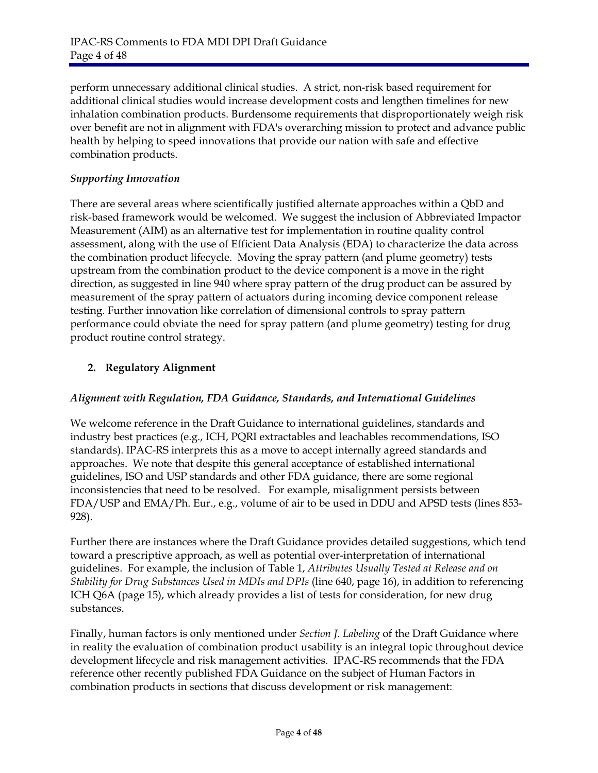perform unnecessary additional clinical studies. A strict, non-risk based requirement for additional clinical studies would increase development costs and lengthen timelines for new inhalation combination products. Burdensome requirements that disproportionately weigh risk over benefit are not in alignment with FDA's overarching mission to protect and advance public health by helping to speed innovations that provide our nation with safe and effective combination products.

#### *Supporting Innovation*

There are several areas where scientifically justified alternate approaches within a QbD and risk-based framework would be welcomed. We suggest the inclusion of Abbreviated Impactor Measurement (AIM) as an alternative test for implementation in routine quality control assessment, along with the use of Efficient Data Analysis (EDA) to characterize the data across the combination product lifecycle. Moving the spray pattern (and plume geometry) tests upstream from the combination product to the device component is a move in the right direction, as suggested in line 940 where spray pattern of the drug product can be assured by measurement of the spray pattern of actuators during incoming device component release testing. Further innovation like correlation of dimensional controls to spray pattern performance could obviate the need for spray pattern (and plume geometry) testing for drug product routine control strategy.

#### **2. Regulatory Alignment**

#### *Alignment with Regulation, FDA Guidance, Standards, and International Guidelines*

We welcome reference in the Draft Guidance to international guidelines, standards and industry best practices (e.g., ICH, PQRI extractables and leachables recommendations, ISO standards). IPAC-RS interprets this as a move to accept internally agreed standards and approaches. We note that despite this general acceptance of established international guidelines, ISO and USP standards and other FDA guidance, there are some regional inconsistencies that need to be resolved. For example, misalignment persists between FDA/USP and EMA/Ph. Eur., e.g., volume of air to be used in DDU and APSD tests (lines 853- 928).

Further there are instances where the Draft Guidance provides detailed suggestions, which tend toward a prescriptive approach, as well as potential over-interpretation of international guidelines. For example, the inclusion of Table 1, *Attributes Usually Tested at Release and on Stability for Drug Substances Used in MDIs and DPIs* (line 640, page 16), in addition to referencing ICH Q6A (page 15), which already provides a list of tests for consideration, for new drug substances.

Finally, human factors is only mentioned under *Section J. Labeling* of the Draft Guidance where in reality the evaluation of combination product usability is an integral topic throughout device development lifecycle and risk management activities. IPAC-RS recommends that the FDA reference other recently published FDA Guidance on the subject of Human Factors in combination products in sections that discuss development or risk management: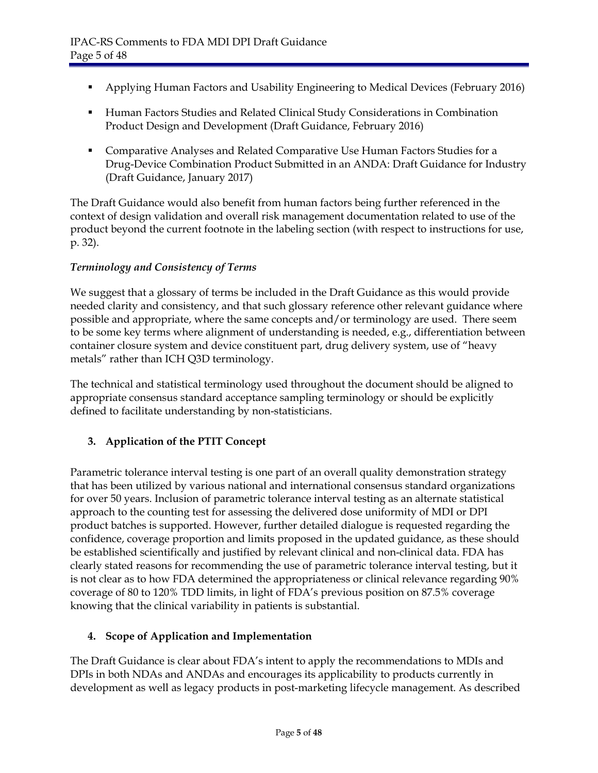- Applying Human Factors and Usability Engineering to Medical Devices (February 2016)
- Human Factors Studies and Related Clinical Study Considerations in Combination Product Design and Development (Draft Guidance, February 2016)
- Comparative Analyses and Related Comparative Use Human Factors Studies for a Drug-Device Combination Product Submitted in an ANDA: Draft Guidance for Industry (Draft Guidance, January 2017)

The Draft Guidance would also benefit from human factors being further referenced in the context of design validation and overall risk management documentation related to use of the product beyond the current footnote in the labeling section (with respect to instructions for use, p. 32).

## *Terminology and Consistency of Terms*

We suggest that a glossary of terms be included in the Draft Guidance as this would provide needed clarity and consistency, and that such glossary reference other relevant guidance where possible and appropriate, where the same concepts and/or terminology are used. There seem to be some key terms where alignment of understanding is needed, e.g., differentiation between container closure system and device constituent part, drug delivery system, use of "heavy metals" rather than ICH Q3D terminology.

The technical and statistical terminology used throughout the document should be aligned to appropriate consensus standard acceptance sampling terminology or should be explicitly defined to facilitate understanding by non-statisticians.

## **3. Application of the PTIT Concept**

Parametric tolerance interval testing is one part of an overall quality demonstration strategy that has been utilized by various national and international consensus standard organizations for over 50 years. Inclusion of parametric tolerance interval testing as an alternate statistical approach to the counting test for assessing the delivered dose uniformity of MDI or DPI product batches is supported. However, further detailed dialogue is requested regarding the confidence, coverage proportion and limits proposed in the updated guidance, as these should be established scientifically and justified by relevant clinical and non-clinical data. FDA has clearly stated reasons for recommending the use of parametric tolerance interval testing, but it is not clear as to how FDA determined the appropriateness or clinical relevance regarding 90% coverage of 80 to 120% TDD limits, in light of FDA's previous position on 87.5% coverage knowing that the clinical variability in patients is substantial.

## **4. Scope of Application and Implementation**

The Draft Guidance is clear about FDA's intent to apply the recommendations to MDIs and DPIs in both NDAs and ANDAs and encourages its applicability to products currently in development as well as legacy products in post-marketing lifecycle management. As described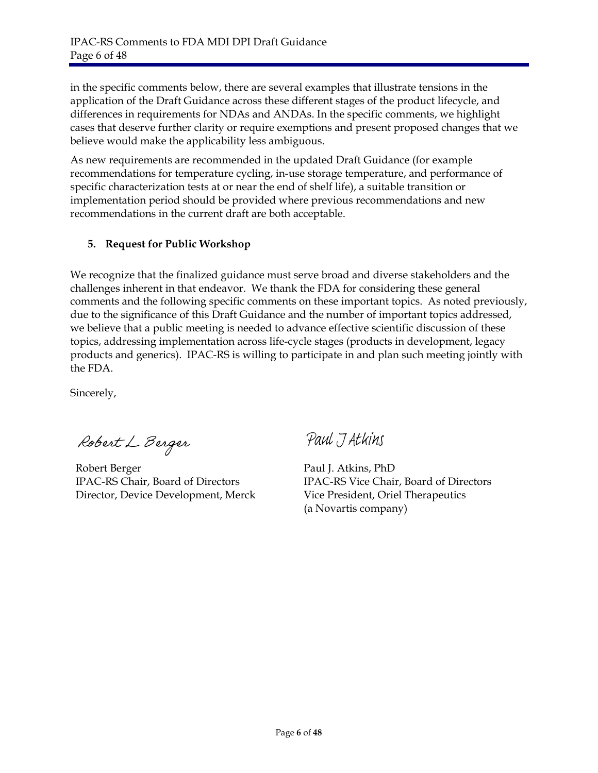in the specific comments below, there are several examples that illustrate tensions in the application of the Draft Guidance across these different stages of the product lifecycle, and differences in requirements for NDAs and ANDAs. In the specific comments, we highlight cases that deserve further clarity or require exemptions and present proposed changes that we believe would make the applicability less ambiguous.

As new requirements are recommended in the updated Draft Guidance (for example recommendations for temperature cycling, in-use storage temperature, and performance of specific characterization tests at or near the end of shelf life), a suitable transition or implementation period should be provided where previous recommendations and new recommendations in the current draft are both acceptable.

#### **5. Request for Public Workshop**

We recognize that the finalized guidance must serve broad and diverse stakeholders and the challenges inherent in that endeavor. We thank the FDA for considering these general comments and the following specific comments on these important topics. As noted previously, due to the significance of this Draft Guidance and the number of important topics addressed, we believe that a public meeting is needed to advance effective scientific discussion of these topics, addressing implementation across life-cycle stages (products in development, legacy products and generics). IPAC-RS is willing to participate in and plan such meeting jointly with the FDA.

Sincerely,

Robert L Berger

Robert Berger IPAC-RS Chair, Board of Directors Director, Device Development, Merck

Paul J Atkins

Paul J. Atkins, PhD IPAC-RS Vice Chair, Board of Directors Vice President, Oriel Therapeutics (a Novartis company)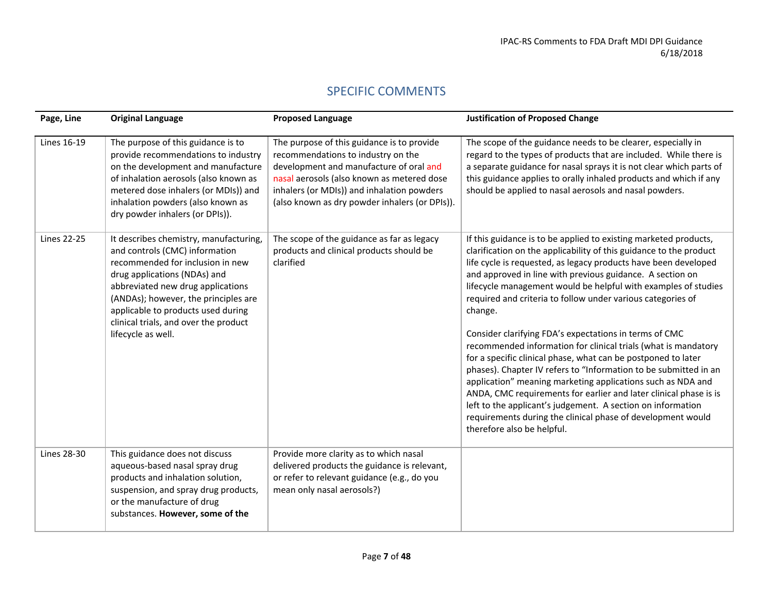## SPECIFIC COMMENTS

| Page, Line         | <b>Original Language</b>                                                                                                                                                                                                                                                                                                       | <b>Proposed Language</b>                                                                                                                                                                                                                                                  | <b>Justification of Proposed Change</b>                                                                                                                                                                                                                                                                                                                                                                                                                                                                                                                                                                                                                                                                                                                                                                                                                                                                                                                                             |
|--------------------|--------------------------------------------------------------------------------------------------------------------------------------------------------------------------------------------------------------------------------------------------------------------------------------------------------------------------------|---------------------------------------------------------------------------------------------------------------------------------------------------------------------------------------------------------------------------------------------------------------------------|-------------------------------------------------------------------------------------------------------------------------------------------------------------------------------------------------------------------------------------------------------------------------------------------------------------------------------------------------------------------------------------------------------------------------------------------------------------------------------------------------------------------------------------------------------------------------------------------------------------------------------------------------------------------------------------------------------------------------------------------------------------------------------------------------------------------------------------------------------------------------------------------------------------------------------------------------------------------------------------|
| Lines 16-19        | The purpose of this guidance is to<br>provide recommendations to industry<br>on the development and manufacture<br>of inhalation aerosols (also known as<br>metered dose inhalers (or MDIs)) and<br>inhalation powders (also known as<br>dry powder inhalers (or DPIs)).                                                       | The purpose of this guidance is to provide<br>recommendations to industry on the<br>development and manufacture of oral and<br>nasal aerosols (also known as metered dose<br>inhalers (or MDIs)) and inhalation powders<br>(also known as dry powder inhalers (or DPIs)). | The scope of the guidance needs to be clearer, especially in<br>regard to the types of products that are included. While there is<br>a separate guidance for nasal sprays it is not clear which parts of<br>this guidance applies to orally inhaled products and which if any<br>should be applied to nasal aerosols and nasal powders.                                                                                                                                                                                                                                                                                                                                                                                                                                                                                                                                                                                                                                             |
| <b>Lines 22-25</b> | It describes chemistry, manufacturing,<br>and controls (CMC) information<br>recommended for inclusion in new<br>drug applications (NDAs) and<br>abbreviated new drug applications<br>(ANDAs); however, the principles are<br>applicable to products used during<br>clinical trials, and over the product<br>lifecycle as well. | The scope of the guidance as far as legacy<br>products and clinical products should be<br>clarified                                                                                                                                                                       | If this guidance is to be applied to existing marketed products,<br>clarification on the applicability of this guidance to the product<br>life cycle is requested, as legacy products have been developed<br>and approved in line with previous guidance. A section on<br>lifecycle management would be helpful with examples of studies<br>required and criteria to follow under various categories of<br>change.<br>Consider clarifying FDA's expectations in terms of CMC<br>recommended information for clinical trials (what is mandatory<br>for a specific clinical phase, what can be postponed to later<br>phases). Chapter IV refers to "Information to be submitted in an<br>application" meaning marketing applications such as NDA and<br>ANDA, CMC requirements for earlier and later clinical phase is is<br>left to the applicant's judgement. A section on information<br>requirements during the clinical phase of development would<br>therefore also be helpful. |
| Lines 28-30        | This guidance does not discuss<br>aqueous-based nasal spray drug<br>products and inhalation solution,<br>suspension, and spray drug products,<br>or the manufacture of drug<br>substances. However, some of the                                                                                                                | Provide more clarity as to which nasal<br>delivered products the guidance is relevant,<br>or refer to relevant guidance (e.g., do you<br>mean only nasal aerosols?)                                                                                                       |                                                                                                                                                                                                                                                                                                                                                                                                                                                                                                                                                                                                                                                                                                                                                                                                                                                                                                                                                                                     |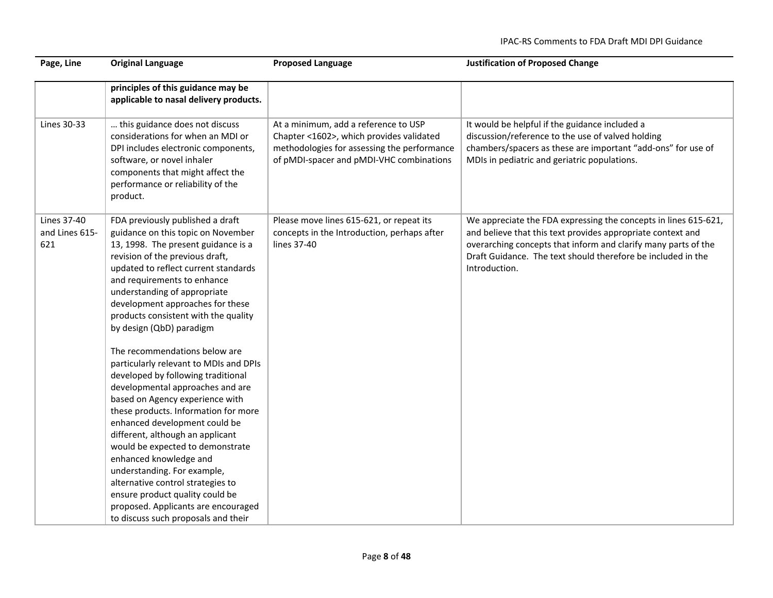| Page, Line                           | <b>Original Language</b>                                                                                                                                                                                                                                                                                                                                                                                                                                                                                                                                                                                                                                                                                                                                                                                                                                                                                                | <b>Proposed Language</b>                                                                                                                                                    | <b>Justification of Proposed Change</b>                                                                                                                                                                                                                                           |
|--------------------------------------|-------------------------------------------------------------------------------------------------------------------------------------------------------------------------------------------------------------------------------------------------------------------------------------------------------------------------------------------------------------------------------------------------------------------------------------------------------------------------------------------------------------------------------------------------------------------------------------------------------------------------------------------------------------------------------------------------------------------------------------------------------------------------------------------------------------------------------------------------------------------------------------------------------------------------|-----------------------------------------------------------------------------------------------------------------------------------------------------------------------------|-----------------------------------------------------------------------------------------------------------------------------------------------------------------------------------------------------------------------------------------------------------------------------------|
|                                      | principles of this guidance may be<br>applicable to nasal delivery products.                                                                                                                                                                                                                                                                                                                                                                                                                                                                                                                                                                                                                                                                                                                                                                                                                                            |                                                                                                                                                                             |                                                                                                                                                                                                                                                                                   |
| Lines 30-33                          | this guidance does not discuss<br>considerations for when an MDI or<br>DPI includes electronic components,<br>software, or novel inhaler<br>components that might affect the<br>performance or reliability of the<br>product.                                                                                                                                                                                                                                                                                                                                                                                                                                                                                                                                                                                                                                                                                           | At a minimum, add a reference to USP<br>Chapter <1602>, which provides validated<br>methodologies for assessing the performance<br>of pMDI-spacer and pMDI-VHC combinations | It would be helpful if the guidance included a<br>discussion/reference to the use of valved holding<br>chambers/spacers as these are important "add-ons" for use of<br>MDIs in pediatric and geriatric populations.                                                               |
| Lines 37-40<br>and Lines 615-<br>621 | FDA previously published a draft<br>guidance on this topic on November<br>13, 1998. The present guidance is a<br>revision of the previous draft,<br>updated to reflect current standards<br>and requirements to enhance<br>understanding of appropriate<br>development approaches for these<br>products consistent with the quality<br>by design (QbD) paradigm<br>The recommendations below are<br>particularly relevant to MDIs and DPIs<br>developed by following traditional<br>developmental approaches and are<br>based on Agency experience with<br>these products. Information for more<br>enhanced development could be<br>different, although an applicant<br>would be expected to demonstrate<br>enhanced knowledge and<br>understanding. For example,<br>alternative control strategies to<br>ensure product quality could be<br>proposed. Applicants are encouraged<br>to discuss such proposals and their | Please move lines 615-621, or repeat its<br>concepts in the Introduction, perhaps after<br>lines 37-40                                                                      | We appreciate the FDA expressing the concepts in lines 615-621,<br>and believe that this text provides appropriate context and<br>overarching concepts that inform and clarify many parts of the<br>Draft Guidance. The text should therefore be included in the<br>Introduction. |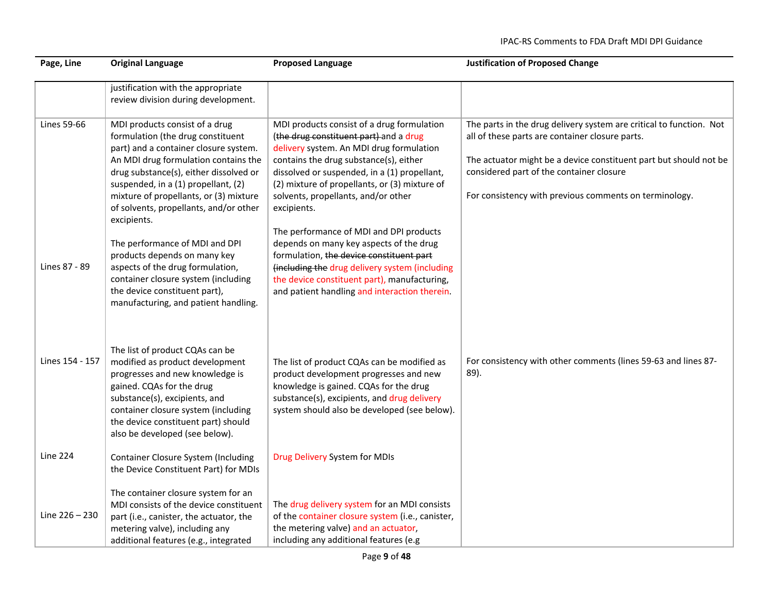| Page, Line         | <b>Original Language</b>                                                                                                                                                                                                                                                                                                                                                   | <b>Proposed Language</b>                                                                                                                                                                                                                                                                                                                                                                                                | <b>Justification of Proposed Change</b>                                                                                                                                                                                                                                                           |
|--------------------|----------------------------------------------------------------------------------------------------------------------------------------------------------------------------------------------------------------------------------------------------------------------------------------------------------------------------------------------------------------------------|-------------------------------------------------------------------------------------------------------------------------------------------------------------------------------------------------------------------------------------------------------------------------------------------------------------------------------------------------------------------------------------------------------------------------|---------------------------------------------------------------------------------------------------------------------------------------------------------------------------------------------------------------------------------------------------------------------------------------------------|
|                    | justification with the appropriate<br>review division during development.                                                                                                                                                                                                                                                                                                  |                                                                                                                                                                                                                                                                                                                                                                                                                         |                                                                                                                                                                                                                                                                                                   |
| <b>Lines 59-66</b> | MDI products consist of a drug<br>formulation (the drug constituent<br>part) and a container closure system.<br>An MDI drug formulation contains the<br>drug substance(s), either dissolved or<br>suspended, in a (1) propellant, (2)<br>mixture of propellants, or (3) mixture<br>of solvents, propellants, and/or other<br>excipients.<br>The performance of MDI and DPI | MDI products consist of a drug formulation<br>(the drug constituent part) and a drug<br>delivery system. An MDI drug formulation<br>contains the drug substance(s), either<br>dissolved or suspended, in a (1) propellant,<br>(2) mixture of propellants, or (3) mixture of<br>solvents, propellants, and/or other<br>excipients.<br>The performance of MDI and DPI products<br>depends on many key aspects of the drug | The parts in the drug delivery system are critical to function. Not<br>all of these parts are container closure parts.<br>The actuator might be a device constituent part but should not be<br>considered part of the container closure<br>For consistency with previous comments on terminology. |
| Lines 87 - 89      | products depends on many key<br>aspects of the drug formulation,<br>container closure system (including<br>the device constituent part),<br>manufacturing, and patient handling.                                                                                                                                                                                           | formulation, the device constituent part<br>(including the drug delivery system (including<br>the device constituent part), manufacturing,<br>and patient handling and interaction therein.                                                                                                                                                                                                                             |                                                                                                                                                                                                                                                                                                   |
| Lines 154 - 157    | The list of product CQAs can be<br>modified as product development<br>progresses and new knowledge is<br>gained. CQAs for the drug<br>substance(s), excipients, and<br>container closure system (including<br>the device constituent part) should<br>also be developed (see below).                                                                                        | The list of product CQAs can be modified as<br>product development progresses and new<br>knowledge is gained. CQAs for the drug<br>substance(s), excipients, and drug delivery<br>system should also be developed (see below).                                                                                                                                                                                          | For consistency with other comments (lines 59-63 and lines 87-<br>89).                                                                                                                                                                                                                            |
| <b>Line 224</b>    | Container Closure System (Including<br>the Device Constituent Part) for MDIs                                                                                                                                                                                                                                                                                               | Drug Delivery System for MDIs                                                                                                                                                                                                                                                                                                                                                                                           |                                                                                                                                                                                                                                                                                                   |
| Line $226 - 230$   | The container closure system for an<br>MDI consists of the device constituent<br>part (i.e., canister, the actuator, the<br>metering valve), including any<br>additional features (e.g., integrated                                                                                                                                                                        | The drug delivery system for an MDI consists<br>of the container closure system (i.e., canister,<br>the metering valve) and an actuator,<br>including any additional features (e.g                                                                                                                                                                                                                                      |                                                                                                                                                                                                                                                                                                   |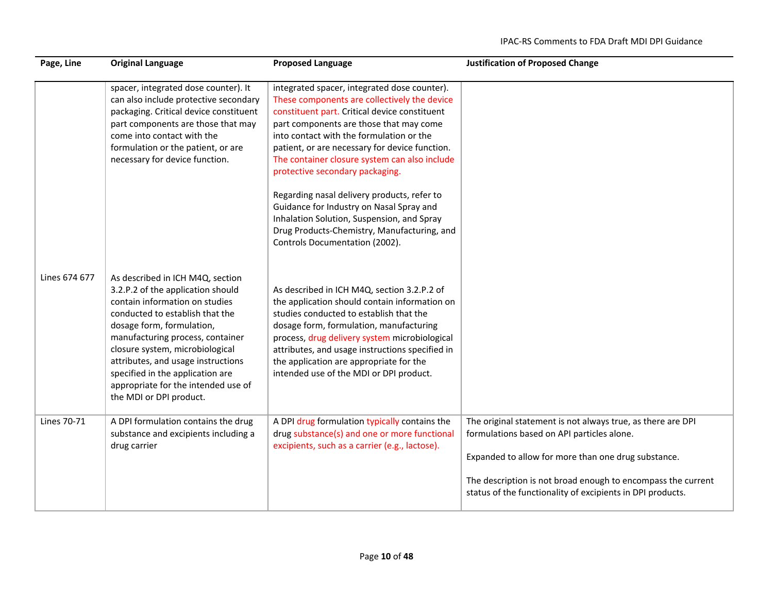| Page, Line    | <b>Original Language</b>                                                                                                                                                                                                                                                                                                                                                                   | <b>Proposed Language</b>                                                                                                                                                                                                                                                                                                                                                     | <b>Justification of Proposed Change</b>                                                                                                                                                                                                                                                        |
|---------------|--------------------------------------------------------------------------------------------------------------------------------------------------------------------------------------------------------------------------------------------------------------------------------------------------------------------------------------------------------------------------------------------|------------------------------------------------------------------------------------------------------------------------------------------------------------------------------------------------------------------------------------------------------------------------------------------------------------------------------------------------------------------------------|------------------------------------------------------------------------------------------------------------------------------------------------------------------------------------------------------------------------------------------------------------------------------------------------|
|               | spacer, integrated dose counter). It<br>can also include protective secondary<br>packaging. Critical device constituent<br>part components are those that may<br>come into contact with the<br>formulation or the patient, or are<br>necessary for device function.                                                                                                                        | integrated spacer, integrated dose counter).<br>These components are collectively the device<br>constituent part. Critical device constituent<br>part components are those that may come<br>into contact with the formulation or the<br>patient, or are necessary for device function.<br>The container closure system can also include<br>protective secondary packaging.   |                                                                                                                                                                                                                                                                                                |
|               |                                                                                                                                                                                                                                                                                                                                                                                            | Regarding nasal delivery products, refer to<br>Guidance for Industry on Nasal Spray and<br>Inhalation Solution, Suspension, and Spray<br>Drug Products-Chemistry, Manufacturing, and<br>Controls Documentation (2002).                                                                                                                                                       |                                                                                                                                                                                                                                                                                                |
| Lines 674 677 | As described in ICH M4Q, section<br>3.2.P.2 of the application should<br>contain information on studies<br>conducted to establish that the<br>dosage form, formulation,<br>manufacturing process, container<br>closure system, microbiological<br>attributes, and usage instructions<br>specified in the application are<br>appropriate for the intended use of<br>the MDI or DPI product. | As described in ICH M4Q, section 3.2.P.2 of<br>the application should contain information on<br>studies conducted to establish that the<br>dosage form, formulation, manufacturing<br>process, drug delivery system microbiological<br>attributes, and usage instructions specified in<br>the application are appropriate for the<br>intended use of the MDI or DPI product. |                                                                                                                                                                                                                                                                                                |
| Lines 70-71   | A DPI formulation contains the drug<br>substance and excipients including a<br>drug carrier                                                                                                                                                                                                                                                                                                | A DPI drug formulation typically contains the<br>drug substance(s) and one or more functional<br>excipients, such as a carrier (e.g., lactose).                                                                                                                                                                                                                              | The original statement is not always true, as there are DPI<br>formulations based on API particles alone.<br>Expanded to allow for more than one drug substance.<br>The description is not broad enough to encompass the current<br>status of the functionality of excipients in DPI products. |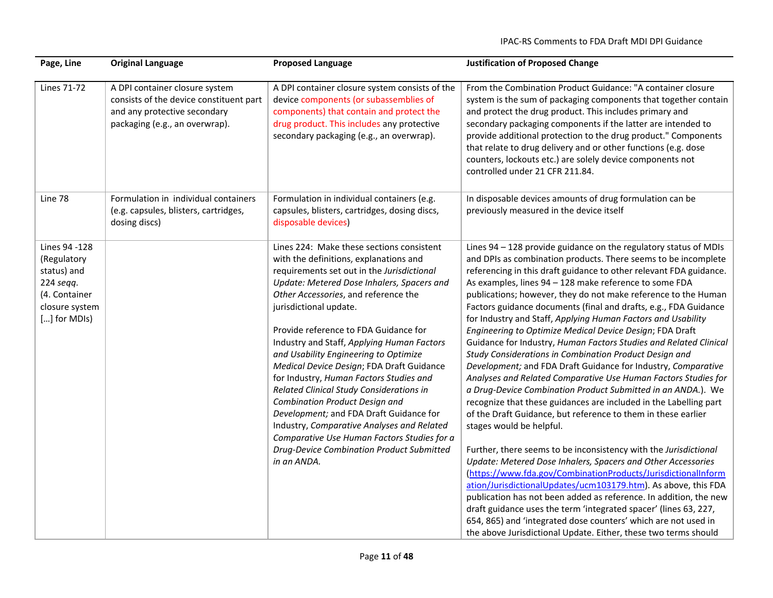| Page, Line                                                                                                   | <b>Original Language</b>                                                                                                                    | <b>Proposed Language</b>                                                                                                                                                                                                                                                                                                                                                                                                                                                                                                                                                                                                                                                                                                                                           | <b>Justification of Proposed Change</b>                                                                                                                                                                                                                                                                                                                                                                                                                                                                                                                                                                                                                                                                                                                                                                                                                                                                                                                                                                                                                                                                                                                                                                                                                                                                                                                                                                                                                                                                                                                                                       |
|--------------------------------------------------------------------------------------------------------------|---------------------------------------------------------------------------------------------------------------------------------------------|--------------------------------------------------------------------------------------------------------------------------------------------------------------------------------------------------------------------------------------------------------------------------------------------------------------------------------------------------------------------------------------------------------------------------------------------------------------------------------------------------------------------------------------------------------------------------------------------------------------------------------------------------------------------------------------------------------------------------------------------------------------------|-----------------------------------------------------------------------------------------------------------------------------------------------------------------------------------------------------------------------------------------------------------------------------------------------------------------------------------------------------------------------------------------------------------------------------------------------------------------------------------------------------------------------------------------------------------------------------------------------------------------------------------------------------------------------------------------------------------------------------------------------------------------------------------------------------------------------------------------------------------------------------------------------------------------------------------------------------------------------------------------------------------------------------------------------------------------------------------------------------------------------------------------------------------------------------------------------------------------------------------------------------------------------------------------------------------------------------------------------------------------------------------------------------------------------------------------------------------------------------------------------------------------------------------------------------------------------------------------------|
| <b>Lines 71-72</b>                                                                                           | A DPI container closure system<br>consists of the device constituent part<br>and any protective secondary<br>packaging (e.g., an overwrap). | A DPI container closure system consists of the<br>device components (or subassemblies of<br>components) that contain and protect the<br>drug product. This includes any protective<br>secondary packaging (e.g., an overwrap).                                                                                                                                                                                                                                                                                                                                                                                                                                                                                                                                     | From the Combination Product Guidance: "A container closure<br>system is the sum of packaging components that together contain<br>and protect the drug product. This includes primary and<br>secondary packaging components if the latter are intended to<br>provide additional protection to the drug product." Components<br>that relate to drug delivery and or other functions (e.g. dose<br>counters, lockouts etc.) are solely device components not<br>controlled under 21 CFR 211.84.                                                                                                                                                                                                                                                                                                                                                                                                                                                                                                                                                                                                                                                                                                                                                                                                                                                                                                                                                                                                                                                                                                 |
| Line 78                                                                                                      | Formulation in individual containers<br>(e.g. capsules, blisters, cartridges,<br>dosing discs)                                              | Formulation in individual containers (e.g.<br>capsules, blisters, cartridges, dosing discs,<br>disposable devices)                                                                                                                                                                                                                                                                                                                                                                                                                                                                                                                                                                                                                                                 | In disposable devices amounts of drug formulation can be<br>previously measured in the device itself                                                                                                                                                                                                                                                                                                                                                                                                                                                                                                                                                                                                                                                                                                                                                                                                                                                                                                                                                                                                                                                                                                                                                                                                                                                                                                                                                                                                                                                                                          |
| Lines 94 - 128<br>(Regulatory<br>status) and<br>224 segg.<br>(4. Container<br>closure system<br>[] for MDIs) |                                                                                                                                             | Lines 224: Make these sections consistent<br>with the definitions, explanations and<br>requirements set out in the Jurisdictional<br>Update: Metered Dose Inhalers, Spacers and<br>Other Accessories, and reference the<br>jurisdictional update.<br>Provide reference to FDA Guidance for<br>Industry and Staff, Applying Human Factors<br>and Usability Engineering to Optimize<br>Medical Device Design; FDA Draft Guidance<br>for Industry, Human Factors Studies and<br>Related Clinical Study Considerations in<br>Combination Product Design and<br>Development; and FDA Draft Guidance for<br>Industry, Comparative Analyses and Related<br>Comparative Use Human Factors Studies for a<br><b>Drug-Device Combination Product Submitted</b><br>in an ANDA. | Lines 94 - 128 provide guidance on the regulatory status of MDIs<br>and DPIs as combination products. There seems to be incomplete<br>referencing in this draft guidance to other relevant FDA guidance.<br>As examples, lines 94 - 128 make reference to some FDA<br>publications; however, they do not make reference to the Human<br>Factors guidance documents (final and drafts, e.g., FDA Guidance<br>for Industry and Staff, Applying Human Factors and Usability<br>Engineering to Optimize Medical Device Design; FDA Draft<br>Guidance for Industry, Human Factors Studies and Related Clinical<br>Study Considerations in Combination Product Design and<br>Development; and FDA Draft Guidance for Industry, Comparative<br>Analyses and Related Comparative Use Human Factors Studies for<br>a Drug-Device Combination Product Submitted in an ANDA.). We<br>recognize that these guidances are included in the Labelling part<br>of the Draft Guidance, but reference to them in these earlier<br>stages would be helpful.<br>Further, there seems to be inconsistency with the Jurisdictional<br>Update: Metered Dose Inhalers, Spacers and Other Accessories<br>(https://www.fda.gov/CombinationProducts/JurisdictionalInform<br>ation/JurisdictionalUpdates/ucm103179.htm). As above, this FDA<br>publication has not been added as reference. In addition, the new<br>draft guidance uses the term 'integrated spacer' (lines 63, 227,<br>654, 865) and 'integrated dose counters' which are not used in<br>the above Jurisdictional Update. Either, these two terms should |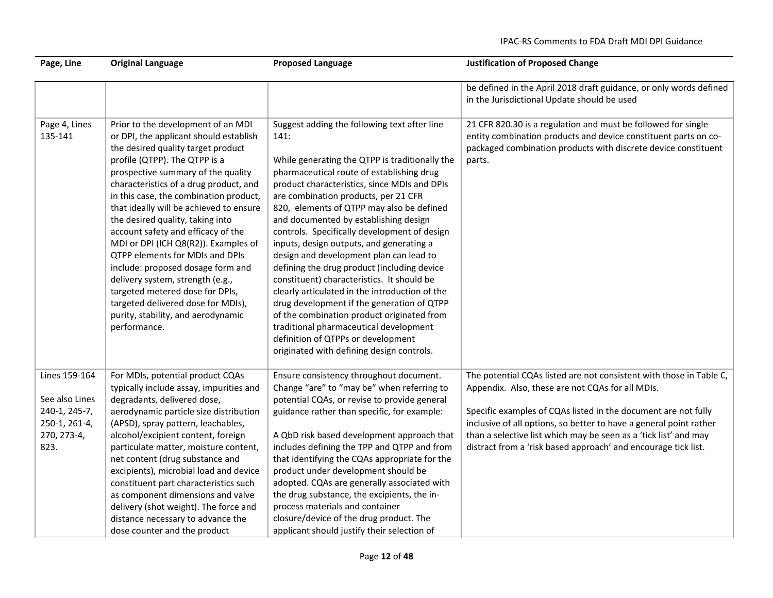| Page, Line                                                                               | <b>Original Language</b>                                                                                                                                                                                                                                                                                                                                                                                                                                                                                                                                                                                                                                                              | <b>Proposed Language</b>                                                                                                                                                                                                                                                                                                                                                                                                                                                                                                                                                                                                                                                                                                                                                                                                                         | <b>Justification of Proposed Change</b>                                                                                                                                                                                                                                                                                                                                                               |
|------------------------------------------------------------------------------------------|---------------------------------------------------------------------------------------------------------------------------------------------------------------------------------------------------------------------------------------------------------------------------------------------------------------------------------------------------------------------------------------------------------------------------------------------------------------------------------------------------------------------------------------------------------------------------------------------------------------------------------------------------------------------------------------|--------------------------------------------------------------------------------------------------------------------------------------------------------------------------------------------------------------------------------------------------------------------------------------------------------------------------------------------------------------------------------------------------------------------------------------------------------------------------------------------------------------------------------------------------------------------------------------------------------------------------------------------------------------------------------------------------------------------------------------------------------------------------------------------------------------------------------------------------|-------------------------------------------------------------------------------------------------------------------------------------------------------------------------------------------------------------------------------------------------------------------------------------------------------------------------------------------------------------------------------------------------------|
|                                                                                          |                                                                                                                                                                                                                                                                                                                                                                                                                                                                                                                                                                                                                                                                                       |                                                                                                                                                                                                                                                                                                                                                                                                                                                                                                                                                                                                                                                                                                                                                                                                                                                  | be defined in the April 2018 draft guidance, or only words defined<br>in the Jurisdictional Update should be used                                                                                                                                                                                                                                                                                     |
| Page 4, Lines<br>135-141                                                                 | Prior to the development of an MDI<br>or DPI, the applicant should establish<br>the desired quality target product<br>profile (QTPP). The QTPP is a<br>prospective summary of the quality<br>characteristics of a drug product, and<br>in this case, the combination product,<br>that ideally will be achieved to ensure<br>the desired quality, taking into<br>account safety and efficacy of the<br>MDI or DPI (ICH Q8(R2)). Examples of<br>QTPP elements for MDIs and DPIs<br>include: proposed dosage form and<br>delivery system, strength (e.g.,<br>targeted metered dose for DPIs,<br>targeted delivered dose for MDIs),<br>purity, stability, and aerodynamic<br>performance. | Suggest adding the following text after line<br>141:<br>While generating the QTPP is traditionally the<br>pharmaceutical route of establishing drug<br>product characteristics, since MDIs and DPIs<br>are combination products, per 21 CFR<br>820, elements of QTPP may also be defined<br>and documented by establishing design<br>controls. Specifically development of design<br>inputs, design outputs, and generating a<br>design and development plan can lead to<br>defining the drug product (including device<br>constituent) characteristics. It should be<br>clearly articulated in the introduction of the<br>drug development if the generation of QTPP<br>of the combination product originated from<br>traditional pharmaceutical development<br>definition of QTPPs or development<br>originated with defining design controls. | 21 CFR 820.30 is a regulation and must be followed for single<br>entity combination products and device constituent parts on co-<br>packaged combination products with discrete device constituent<br>parts.                                                                                                                                                                                          |
| Lines 159-164<br>See also Lines<br>240-1, 245-7,<br>250-1, 261-4,<br>270, 273-4,<br>823. | For MDIs, potential product CQAs<br>typically include assay, impurities and<br>degradants, delivered dose,<br>aerodynamic particle size distribution<br>(APSD), spray pattern, leachables,<br>alcohol/excipient content, foreign<br>particulate matter, moisture content,<br>net content (drug substance and<br>excipients), microbial load and device<br>constituent part characteristics such<br>as component dimensions and valve<br>delivery (shot weight). The force and<br>distance necessary to advance the<br>dose counter and the product                                                                                                                                    | Ensure consistency throughout document.<br>Change "are" to "may be" when referring to<br>potential CQAs, or revise to provide general<br>guidance rather than specific, for example:<br>A QbD risk based development approach that<br>includes defining the TPP and QTPP and from<br>that identifying the CQAs appropriate for the<br>product under development should be<br>adopted. CQAs are generally associated with<br>the drug substance, the excipients, the in-<br>process materials and container<br>closure/device of the drug product. The<br>applicant should justify their selection of                                                                                                                                                                                                                                             | The potential CQAs listed are not consistent with those in Table C,<br>Appendix. Also, these are not CQAs for all MDIs.<br>Specific examples of CQAs listed in the document are not fully<br>inclusive of all options, so better to have a general point rather<br>than a selective list which may be seen as a 'tick list' and may<br>distract from a 'risk based approach' and encourage tick list. |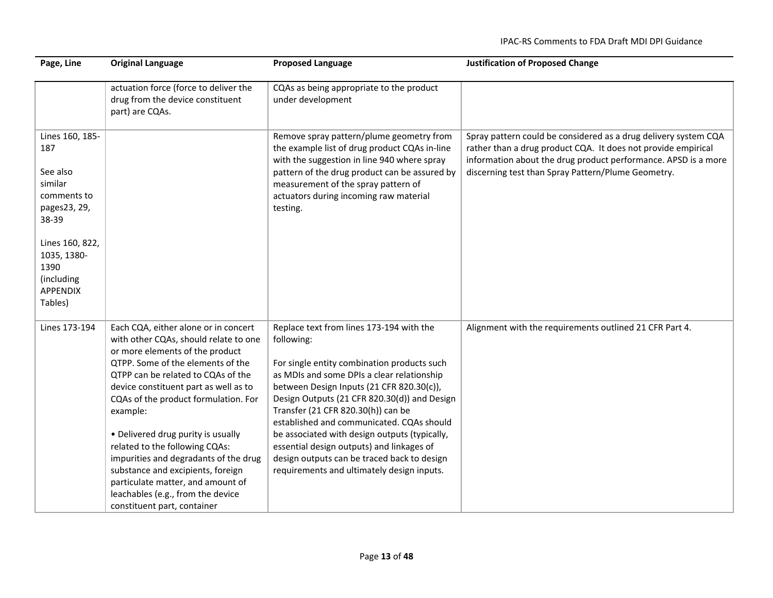| Page, Line                                                                                                                                                                  | <b>Original Language</b>                                                                                                                                                                                                                                                                                                                                                                                                                                                                                                                                | <b>Proposed Language</b>                                                                                                                                                                                                                                                                                                                                                                                                                                                                                                       | <b>Justification of Proposed Change</b>                                                                                                                                                                                                                  |
|-----------------------------------------------------------------------------------------------------------------------------------------------------------------------------|---------------------------------------------------------------------------------------------------------------------------------------------------------------------------------------------------------------------------------------------------------------------------------------------------------------------------------------------------------------------------------------------------------------------------------------------------------------------------------------------------------------------------------------------------------|--------------------------------------------------------------------------------------------------------------------------------------------------------------------------------------------------------------------------------------------------------------------------------------------------------------------------------------------------------------------------------------------------------------------------------------------------------------------------------------------------------------------------------|----------------------------------------------------------------------------------------------------------------------------------------------------------------------------------------------------------------------------------------------------------|
|                                                                                                                                                                             | actuation force (force to deliver the<br>drug from the device constituent<br>part) are CQAs.                                                                                                                                                                                                                                                                                                                                                                                                                                                            | CQAs as being appropriate to the product<br>under development                                                                                                                                                                                                                                                                                                                                                                                                                                                                  |                                                                                                                                                                                                                                                          |
| Lines 160, 185-<br>187<br>See also<br>similar<br>comments to<br>pages23, 29,<br>38-39<br>Lines 160, 822,<br>1035, 1380-<br>1390<br>(including<br><b>APPENDIX</b><br>Tables) |                                                                                                                                                                                                                                                                                                                                                                                                                                                                                                                                                         | Remove spray pattern/plume geometry from<br>the example list of drug product CQAs in-line<br>with the suggestion in line 940 where spray<br>pattern of the drug product can be assured by<br>measurement of the spray pattern of<br>actuators during incoming raw material<br>testing.                                                                                                                                                                                                                                         | Spray pattern could be considered as a drug delivery system CQA<br>rather than a drug product CQA. It does not provide empirical<br>information about the drug product performance. APSD is a more<br>discerning test than Spray Pattern/Plume Geometry. |
| Lines 173-194                                                                                                                                                               | Each CQA, either alone or in concert<br>with other CQAs, should relate to one<br>or more elements of the product<br>QTPP. Some of the elements of the<br>QTPP can be related to CQAs of the<br>device constituent part as well as to<br>CQAs of the product formulation. For<br>example:<br>• Delivered drug purity is usually<br>related to the following CQAs:<br>impurities and degradants of the drug<br>substance and excipients, foreign<br>particulate matter, and amount of<br>leachables (e.g., from the device<br>constituent part, container | Replace text from lines 173-194 with the<br>following:<br>For single entity combination products such<br>as MDIs and some DPIs a clear relationship<br>between Design Inputs (21 CFR 820.30(c)),<br>Design Outputs (21 CFR 820.30(d)) and Design<br>Transfer (21 CFR 820.30(h)) can be<br>established and communicated. CQAs should<br>be associated with design outputs (typically,<br>essential design outputs) and linkages of<br>design outputs can be traced back to design<br>requirements and ultimately design inputs. | Alignment with the requirements outlined 21 CFR Part 4.                                                                                                                                                                                                  |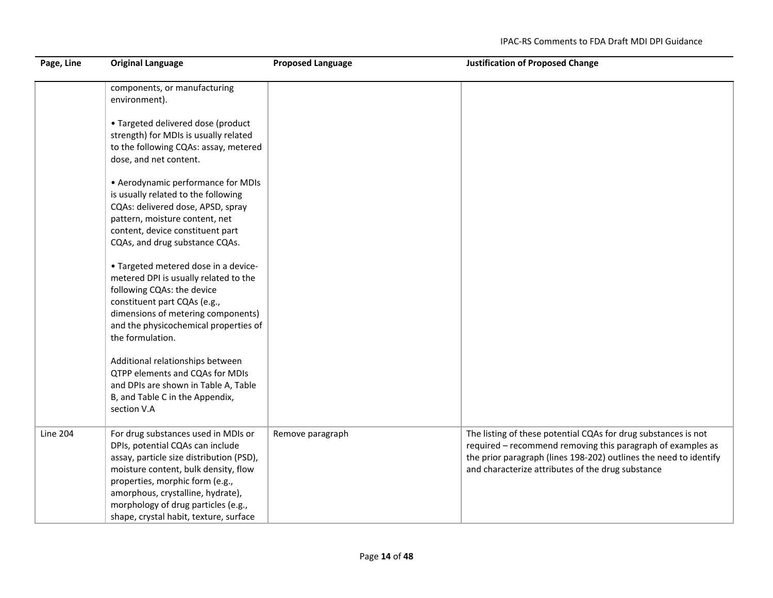| Page, Line      | <b>Original Language</b>                                                                                                                                                                                                                                                                                             | <b>Proposed Language</b> | <b>Justification of Proposed Change</b>                                                                                                                                                                                                                 |
|-----------------|----------------------------------------------------------------------------------------------------------------------------------------------------------------------------------------------------------------------------------------------------------------------------------------------------------------------|--------------------------|---------------------------------------------------------------------------------------------------------------------------------------------------------------------------------------------------------------------------------------------------------|
|                 | components, or manufacturing<br>environment).                                                                                                                                                                                                                                                                        |                          |                                                                                                                                                                                                                                                         |
|                 | • Targeted delivered dose (product<br>strength) for MDIs is usually related<br>to the following CQAs: assay, metered<br>dose, and net content.                                                                                                                                                                       |                          |                                                                                                                                                                                                                                                         |
|                 | • Aerodynamic performance for MDIs<br>is usually related to the following<br>CQAs: delivered dose, APSD, spray<br>pattern, moisture content, net<br>content, device constituent part<br>CQAs, and drug substance CQAs.                                                                                               |                          |                                                                                                                                                                                                                                                         |
|                 | • Targeted metered dose in a device-<br>metered DPI is usually related to the<br>following CQAs: the device<br>constituent part CQAs (e.g.,<br>dimensions of metering components)<br>and the physicochemical properties of<br>the formulation.                                                                       |                          |                                                                                                                                                                                                                                                         |
|                 | Additional relationships between<br>QTPP elements and CQAs for MDIs<br>and DPIs are shown in Table A, Table<br>B, and Table C in the Appendix,<br>section V.A                                                                                                                                                        |                          |                                                                                                                                                                                                                                                         |
| <b>Line 204</b> | For drug substances used in MDIs or<br>DPIs, potential CQAs can include<br>assay, particle size distribution (PSD),<br>moisture content, bulk density, flow<br>properties, morphic form (e.g.,<br>amorphous, crystalline, hydrate),<br>morphology of drug particles (e.g.,<br>shape, crystal habit, texture, surface | Remove paragraph         | The listing of these potential CQAs for drug substances is not<br>required - recommend removing this paragraph of examples as<br>the prior paragraph (lines 198-202) outlines the need to identify<br>and characterize attributes of the drug substance |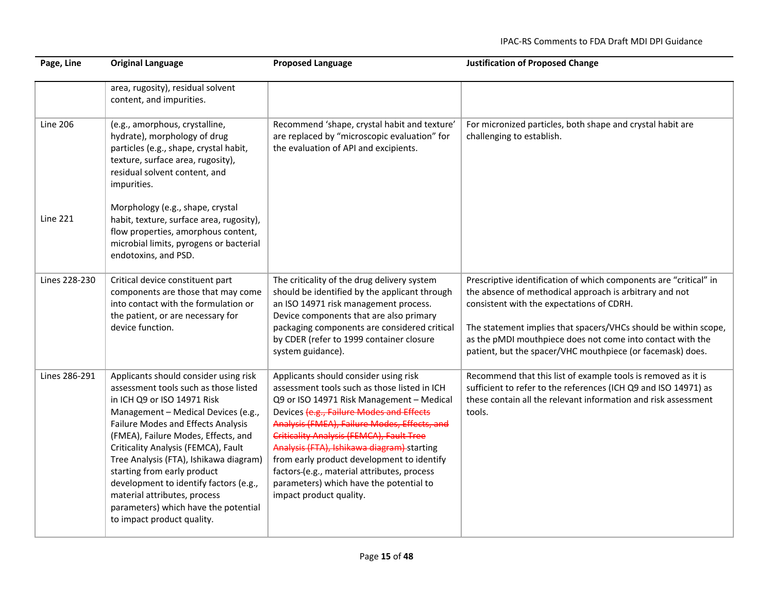| Page, Line      | <b>Original Language</b>                                                                                                                                                                                                                                                                                                                                                                                                                                                                          | <b>Proposed Language</b>                                                                                                                                                                                                                                                                                                                                                                                                                                                                           | <b>Justification of Proposed Change</b>                                                                                                                                                                                                                                                                                                                                  |
|-----------------|---------------------------------------------------------------------------------------------------------------------------------------------------------------------------------------------------------------------------------------------------------------------------------------------------------------------------------------------------------------------------------------------------------------------------------------------------------------------------------------------------|----------------------------------------------------------------------------------------------------------------------------------------------------------------------------------------------------------------------------------------------------------------------------------------------------------------------------------------------------------------------------------------------------------------------------------------------------------------------------------------------------|--------------------------------------------------------------------------------------------------------------------------------------------------------------------------------------------------------------------------------------------------------------------------------------------------------------------------------------------------------------------------|
|                 | area, rugosity), residual solvent<br>content, and impurities.                                                                                                                                                                                                                                                                                                                                                                                                                                     |                                                                                                                                                                                                                                                                                                                                                                                                                                                                                                    |                                                                                                                                                                                                                                                                                                                                                                          |
| <b>Line 206</b> | (e.g., amorphous, crystalline,<br>hydrate), morphology of drug<br>particles (e.g., shape, crystal habit,<br>texture, surface area, rugosity),<br>residual solvent content, and<br>impurities.                                                                                                                                                                                                                                                                                                     | Recommend 'shape, crystal habit and texture'<br>are replaced by "microscopic evaluation" for<br>the evaluation of API and excipients.                                                                                                                                                                                                                                                                                                                                                              | For micronized particles, both shape and crystal habit are<br>challenging to establish.                                                                                                                                                                                                                                                                                  |
| <b>Line 221</b> | Morphology (e.g., shape, crystal<br>habit, texture, surface area, rugosity),<br>flow properties, amorphous content,<br>microbial limits, pyrogens or bacterial<br>endotoxins, and PSD.                                                                                                                                                                                                                                                                                                            |                                                                                                                                                                                                                                                                                                                                                                                                                                                                                                    |                                                                                                                                                                                                                                                                                                                                                                          |
| Lines 228-230   | Critical device constituent part<br>components are those that may come<br>into contact with the formulation or<br>the patient, or are necessary for<br>device function.                                                                                                                                                                                                                                                                                                                           | The criticality of the drug delivery system<br>should be identified by the applicant through<br>an ISO 14971 risk management process.<br>Device components that are also primary<br>packaging components are considered critical<br>by CDER (refer to 1999 container closure<br>system guidance).                                                                                                                                                                                                  | Prescriptive identification of which components are "critical" in<br>the absence of methodical approach is arbitrary and not<br>consistent with the expectations of CDRH.<br>The statement implies that spacers/VHCs should be within scope,<br>as the pMDI mouthpiece does not come into contact with the<br>patient, but the spacer/VHC mouthpiece (or facemask) does. |
| Lines 286-291   | Applicants should consider using risk<br>assessment tools such as those listed<br>in ICH Q9 or ISO 14971 Risk<br>Management - Medical Devices (e.g.,<br>Failure Modes and Effects Analysis<br>(FMEA), Failure Modes, Effects, and<br>Criticality Analysis (FEMCA), Fault<br>Tree Analysis (FTA), Ishikawa diagram)<br>starting from early product<br>development to identify factors (e.g.,<br>material attributes, process<br>parameters) which have the potential<br>to impact product quality. | Applicants should consider using risk<br>assessment tools such as those listed in ICH<br>Q9 or ISO 14971 Risk Management - Medical<br>Devices (e.g., Failure Modes and Effects<br>Analysis (FMEA), Failure Modes, Effects, and<br><b>Criticality Analysis (FEMCA), Fault Tree</b><br>Analysis (FTA), Ishikawa diagram) starting<br>from early product development to identify<br>factors (e.g., material attributes, process<br>parameters) which have the potential to<br>impact product quality. | Recommend that this list of example tools is removed as it is<br>sufficient to refer to the references (ICH Q9 and ISO 14971) as<br>these contain all the relevant information and risk assessment<br>tools.                                                                                                                                                             |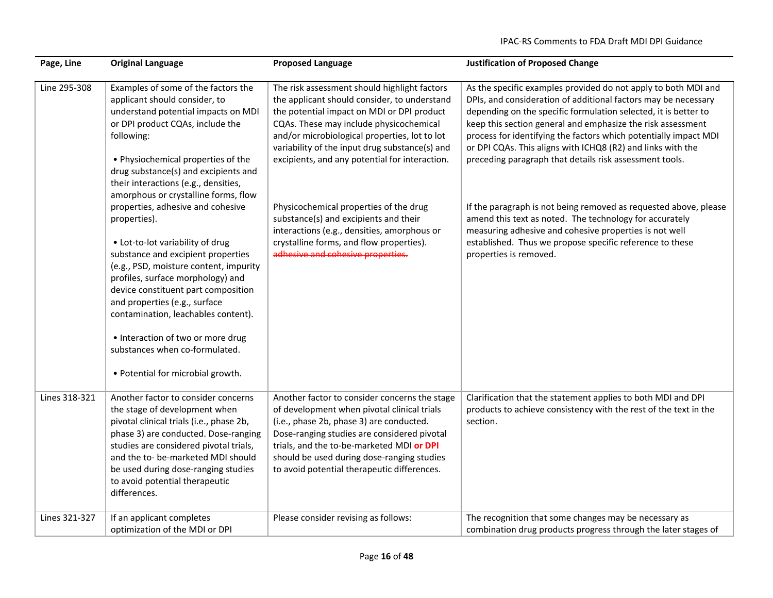| Page, Line    | <b>Original Language</b>                                                                                                                                                                                                                                                                                                                                                                                                              | <b>Proposed Language</b>                                                                                                                                                                                                                                                                                                                   | <b>Justification of Proposed Change</b>                                                                                                                                                                                                                                                                                                                                                                                                                          |
|---------------|---------------------------------------------------------------------------------------------------------------------------------------------------------------------------------------------------------------------------------------------------------------------------------------------------------------------------------------------------------------------------------------------------------------------------------------|--------------------------------------------------------------------------------------------------------------------------------------------------------------------------------------------------------------------------------------------------------------------------------------------------------------------------------------------|------------------------------------------------------------------------------------------------------------------------------------------------------------------------------------------------------------------------------------------------------------------------------------------------------------------------------------------------------------------------------------------------------------------------------------------------------------------|
| Line 295-308  | Examples of some of the factors the<br>applicant should consider, to<br>understand potential impacts on MDI<br>or DPI product CQAs, include the<br>following:<br>• Physiochemical properties of the<br>drug substance(s) and excipients and<br>their interactions (e.g., densities,<br>amorphous or crystalline forms, flow                                                                                                           | The risk assessment should highlight factors<br>the applicant should consider, to understand<br>the potential impact on MDI or DPI product<br>CQAs. These may include physicochemical<br>and/or microbiological properties, lot to lot<br>variability of the input drug substance(s) and<br>excipients, and any potential for interaction. | As the specific examples provided do not apply to both MDI and<br>DPIs, and consideration of additional factors may be necessary<br>depending on the specific formulation selected, it is better to<br>keep this section general and emphasize the risk assessment<br>process for identifying the factors which potentially impact MDI<br>or DPI CQAs. This aligns with ICHQ8 (R2) and links with the<br>preceding paragraph that details risk assessment tools. |
|               | properties, adhesive and cohesive<br>properties).<br>• Lot-to-lot variability of drug<br>substance and excipient properties<br>(e.g., PSD, moisture content, impurity<br>profiles, surface morphology) and<br>device constituent part composition<br>and properties (e.g., surface<br>contamination, leachables content).<br>• Interaction of two or more drug<br>substances when co-formulated.<br>• Potential for microbial growth. | Physicochemical properties of the drug<br>substance(s) and excipients and their<br>interactions (e.g., densities, amorphous or<br>crystalline forms, and flow properties).<br>adhesive and cohesive properties.                                                                                                                            | If the paragraph is not being removed as requested above, please<br>amend this text as noted. The technology for accurately<br>measuring adhesive and cohesive properties is not well<br>established. Thus we propose specific reference to these<br>properties is removed.                                                                                                                                                                                      |
| Lines 318-321 | Another factor to consider concerns<br>the stage of development when<br>pivotal clinical trials (i.e., phase 2b,<br>phase 3) are conducted. Dose-ranging<br>studies are considered pivotal trials,<br>and the to- be-marketed MDI should<br>be used during dose-ranging studies<br>to avoid potential therapeutic<br>differences.                                                                                                     | Another factor to consider concerns the stage<br>of development when pivotal clinical trials<br>(i.e., phase 2b, phase 3) are conducted.<br>Dose-ranging studies are considered pivotal<br>trials, and the to-be-marketed MDI or DPI<br>should be used during dose-ranging studies<br>to avoid potential therapeutic differences.          | Clarification that the statement applies to both MDI and DPI<br>products to achieve consistency with the rest of the text in the<br>section.                                                                                                                                                                                                                                                                                                                     |
| Lines 321-327 | If an applicant completes<br>optimization of the MDI or DPI                                                                                                                                                                                                                                                                                                                                                                           | Please consider revising as follows:                                                                                                                                                                                                                                                                                                       | The recognition that some changes may be necessary as<br>combination drug products progress through the later stages of                                                                                                                                                                                                                                                                                                                                          |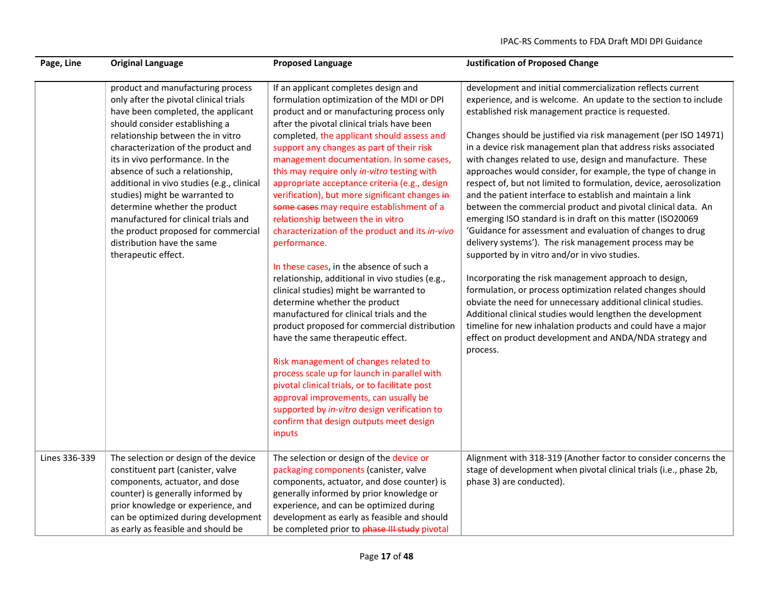| Page, Line    | <b>Original Language</b>                                                                                                                                                                                                                                                                                                                                                                            | <b>Proposed Language</b>                                                                                                                                                                                                                                                                                                                                                                                                                                                                                                                                                                                                                                                                                                                                                                                                                                                                                                                                                                                                                        | <b>Justification of Proposed Change</b>                                                                                                                                                                                                                                                                                                                                                                                                                                                                                                                                                                                                                                                                                                                                                                                                                                                                                                                                                                                                                                                                  |
|---------------|-----------------------------------------------------------------------------------------------------------------------------------------------------------------------------------------------------------------------------------------------------------------------------------------------------------------------------------------------------------------------------------------------------|-------------------------------------------------------------------------------------------------------------------------------------------------------------------------------------------------------------------------------------------------------------------------------------------------------------------------------------------------------------------------------------------------------------------------------------------------------------------------------------------------------------------------------------------------------------------------------------------------------------------------------------------------------------------------------------------------------------------------------------------------------------------------------------------------------------------------------------------------------------------------------------------------------------------------------------------------------------------------------------------------------------------------------------------------|----------------------------------------------------------------------------------------------------------------------------------------------------------------------------------------------------------------------------------------------------------------------------------------------------------------------------------------------------------------------------------------------------------------------------------------------------------------------------------------------------------------------------------------------------------------------------------------------------------------------------------------------------------------------------------------------------------------------------------------------------------------------------------------------------------------------------------------------------------------------------------------------------------------------------------------------------------------------------------------------------------------------------------------------------------------------------------------------------------|
|               | product and manufacturing process<br>only after the pivotal clinical trials<br>have been completed, the applicant<br>should consider establishing a                                                                                                                                                                                                                                                 | If an applicant completes design and<br>formulation optimization of the MDI or DPI<br>product and or manufacturing process only<br>after the pivotal clinical trials have been                                                                                                                                                                                                                                                                                                                                                                                                                                                                                                                                                                                                                                                                                                                                                                                                                                                                  | development and initial commercialization reflects current<br>experience, and is welcome. An update to the section to include<br>established risk management practice is requested.                                                                                                                                                                                                                                                                                                                                                                                                                                                                                                                                                                                                                                                                                                                                                                                                                                                                                                                      |
|               | relationship between the in vitro<br>characterization of the product and<br>its in vivo performance. In the<br>absence of such a relationship,<br>additional in vivo studies (e.g., clinical<br>studies) might be warranted to<br>determine whether the product<br>manufactured for clinical trials and<br>the product proposed for commercial<br>distribution have the same<br>therapeutic effect. | completed, the applicant should assess and<br>support any changes as part of their risk<br>management documentation. In some cases,<br>this may require only in-vitro testing with<br>appropriate acceptance criteria (e.g., design<br>verification), but more significant changes in<br>some cases may require establishment of a<br>relationship between the in vitro<br>characterization of the product and its in-vivo<br>performance.<br>In these cases, in the absence of such a<br>relationship, additional in vivo studies (e.g.,<br>clinical studies) might be warranted to<br>determine whether the product<br>manufactured for clinical trials and the<br>product proposed for commercial distribution<br>have the same therapeutic effect.<br>Risk management of changes related to<br>process scale up for launch in parallel with<br>pivotal clinical trials, or to facilitate post<br>approval improvements, can usually be<br>supported by in-vitro design verification to<br>confirm that design outputs meet design<br>inputs | Changes should be justified via risk management (per ISO 14971)<br>in a device risk management plan that address risks associated<br>with changes related to use, design and manufacture. These<br>approaches would consider, for example, the type of change in<br>respect of, but not limited to formulation, device, aerosolization<br>and the patient interface to establish and maintain a link<br>between the commercial product and pivotal clinical data. An<br>emerging ISO standard is in draft on this matter (ISO20069<br>'Guidance for assessment and evaluation of changes to drug<br>delivery systems'). The risk management process may be<br>supported by in vitro and/or in vivo studies.<br>Incorporating the risk management approach to design,<br>formulation, or process optimization related changes should<br>obviate the need for unnecessary additional clinical studies.<br>Additional clinical studies would lengthen the development<br>timeline for new inhalation products and could have a major<br>effect on product development and ANDA/NDA strategy and<br>process. |
| Lines 336-339 | The selection or design of the device<br>constituent part (canister, valve<br>components, actuator, and dose<br>counter) is generally informed by<br>prior knowledge or experience, and<br>can be optimized during development<br>as early as feasible and should be                                                                                                                                | The selection or design of the device or<br>packaging components (canister, valve<br>components, actuator, and dose counter) is<br>generally informed by prior knowledge or<br>experience, and can be optimized during<br>development as early as feasible and should<br>be completed prior to phase III study pivotal                                                                                                                                                                                                                                                                                                                                                                                                                                                                                                                                                                                                                                                                                                                          | Alignment with 318-319 (Another factor to consider concerns the<br>stage of development when pivotal clinical trials (i.e., phase 2b,<br>phase 3) are conducted).                                                                                                                                                                                                                                                                                                                                                                                                                                                                                                                                                                                                                                                                                                                                                                                                                                                                                                                                        |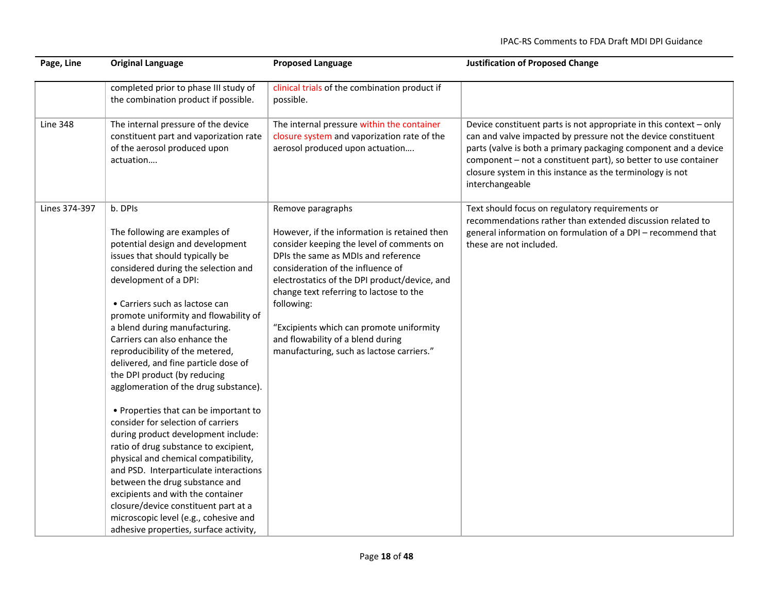| Page, Line      | <b>Original Language</b>                                                                                                                                                                                                                                                                                                                                                                                                                                                                                                                                                                                                                                                                                                                                                                                                                                                                                                            | <b>Proposed Language</b>                                                                                                                                                                                                                                                                                                                                                                                                           | <b>Justification of Proposed Change</b>                                                                                                                                                                                                                                                                                                                   |
|-----------------|-------------------------------------------------------------------------------------------------------------------------------------------------------------------------------------------------------------------------------------------------------------------------------------------------------------------------------------------------------------------------------------------------------------------------------------------------------------------------------------------------------------------------------------------------------------------------------------------------------------------------------------------------------------------------------------------------------------------------------------------------------------------------------------------------------------------------------------------------------------------------------------------------------------------------------------|------------------------------------------------------------------------------------------------------------------------------------------------------------------------------------------------------------------------------------------------------------------------------------------------------------------------------------------------------------------------------------------------------------------------------------|-----------------------------------------------------------------------------------------------------------------------------------------------------------------------------------------------------------------------------------------------------------------------------------------------------------------------------------------------------------|
|                 | completed prior to phase III study of<br>the combination product if possible.                                                                                                                                                                                                                                                                                                                                                                                                                                                                                                                                                                                                                                                                                                                                                                                                                                                       | clinical trials of the combination product if<br>possible.                                                                                                                                                                                                                                                                                                                                                                         |                                                                                                                                                                                                                                                                                                                                                           |
| <b>Line 348</b> | The internal pressure of the device<br>constituent part and vaporization rate<br>of the aerosol produced upon<br>actuation                                                                                                                                                                                                                                                                                                                                                                                                                                                                                                                                                                                                                                                                                                                                                                                                          | The internal pressure within the container<br>closure system and vaporization rate of the<br>aerosol produced upon actuation                                                                                                                                                                                                                                                                                                       | Device constituent parts is not appropriate in this context - only<br>can and valve impacted by pressure not the device constituent<br>parts (valve is both a primary packaging component and a device<br>component - not a constituent part), so better to use container<br>closure system in this instance as the terminology is not<br>interchangeable |
| Lines 374-397   | b. DPIs<br>The following are examples of<br>potential design and development<br>issues that should typically be<br>considered during the selection and<br>development of a DPI:<br>• Carriers such as lactose can<br>promote uniformity and flowability of<br>a blend during manufacturing.<br>Carriers can also enhance the<br>reproducibility of the metered,<br>delivered, and fine particle dose of<br>the DPI product (by reducing<br>agglomeration of the drug substance).<br>• Properties that can be important to<br>consider for selection of carriers<br>during product development include:<br>ratio of drug substance to excipient,<br>physical and chemical compatibility,<br>and PSD. Interparticulate interactions<br>between the drug substance and<br>excipients and with the container<br>closure/device constituent part at a<br>microscopic level (e.g., cohesive and<br>adhesive properties, surface activity, | Remove paragraphs<br>However, if the information is retained then<br>consider keeping the level of comments on<br>DPIs the same as MDIs and reference<br>consideration of the influence of<br>electrostatics of the DPI product/device, and<br>change text referring to lactose to the<br>following:<br>"Excipients which can promote uniformity<br>and flowability of a blend during<br>manufacturing, such as lactose carriers." | Text should focus on regulatory requirements or<br>recommendations rather than extended discussion related to<br>general information on formulation of a DPI - recommend that<br>these are not included.                                                                                                                                                  |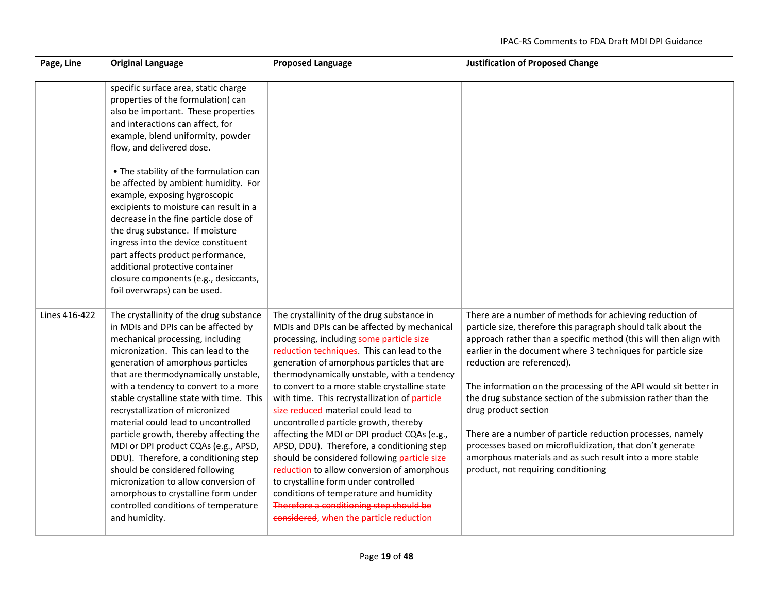| Page, Line    | <b>Original Language</b>                                                                                                                                                                                                                                                                                                                                                                                                                                                                                                                                                                                                                                                                                 | <b>Proposed Language</b>                                                                                                                                                                                                                                                                                                                                                                                                                                                                                                                                                                                                                                                                                                                                                                                                               | <b>Justification of Proposed Change</b>                                                                                                                                                                                                                                                                                                                                                                                                                                                                                                                                                                                                                                                 |
|---------------|----------------------------------------------------------------------------------------------------------------------------------------------------------------------------------------------------------------------------------------------------------------------------------------------------------------------------------------------------------------------------------------------------------------------------------------------------------------------------------------------------------------------------------------------------------------------------------------------------------------------------------------------------------------------------------------------------------|----------------------------------------------------------------------------------------------------------------------------------------------------------------------------------------------------------------------------------------------------------------------------------------------------------------------------------------------------------------------------------------------------------------------------------------------------------------------------------------------------------------------------------------------------------------------------------------------------------------------------------------------------------------------------------------------------------------------------------------------------------------------------------------------------------------------------------------|-----------------------------------------------------------------------------------------------------------------------------------------------------------------------------------------------------------------------------------------------------------------------------------------------------------------------------------------------------------------------------------------------------------------------------------------------------------------------------------------------------------------------------------------------------------------------------------------------------------------------------------------------------------------------------------------|
|               | specific surface area, static charge<br>properties of the formulation) can<br>also be important. These properties<br>and interactions can affect, for<br>example, blend uniformity, powder<br>flow, and delivered dose.<br>• The stability of the formulation can<br>be affected by ambient humidity. For<br>example, exposing hygroscopic<br>excipients to moisture can result in a<br>decrease in the fine particle dose of<br>the drug substance. If moisture<br>ingress into the device constituent<br>part affects product performance,<br>additional protective container<br>closure components (e.g., desiccants,<br>foil overwraps) can be used.                                                 |                                                                                                                                                                                                                                                                                                                                                                                                                                                                                                                                                                                                                                                                                                                                                                                                                                        |                                                                                                                                                                                                                                                                                                                                                                                                                                                                                                                                                                                                                                                                                         |
| Lines 416-422 | The crystallinity of the drug substance<br>in MDIs and DPIs can be affected by<br>mechanical processing, including<br>micronization. This can lead to the<br>generation of amorphous particles<br>that are thermodynamically unstable,<br>with a tendency to convert to a more<br>stable crystalline state with time. This<br>recrystallization of micronized<br>material could lead to uncontrolled<br>particle growth, thereby affecting the<br>MDI or DPI product CQAs (e.g., APSD,<br>DDU). Therefore, a conditioning step<br>should be considered following<br>micronization to allow conversion of<br>amorphous to crystalline form under<br>controlled conditions of temperature<br>and humidity. | The crystallinity of the drug substance in<br>MDIs and DPIs can be affected by mechanical<br>processing, including some particle size<br>reduction techniques. This can lead to the<br>generation of amorphous particles that are<br>thermodynamically unstable, with a tendency<br>to convert to a more stable crystalline state<br>with time. This recrystallization of particle<br>size reduced material could lead to<br>uncontrolled particle growth, thereby<br>affecting the MDI or DPI product CQAs (e.g.,<br>APSD, DDU). Therefore, a conditioning step<br>should be considered following particle size<br>reduction to allow conversion of amorphous<br>to crystalline form under controlled<br>conditions of temperature and humidity<br>Therefore a conditioning step should be<br>considered, when the particle reduction | There are a number of methods for achieving reduction of<br>particle size, therefore this paragraph should talk about the<br>approach rather than a specific method (this will then align with<br>earlier in the document where 3 techniques for particle size<br>reduction are referenced).<br>The information on the processing of the API would sit better in<br>the drug substance section of the submission rather than the<br>drug product section<br>There are a number of particle reduction processes, namely<br>processes based on microfluidization, that don't generate<br>amorphous materials and as such result into a more stable<br>product, not requiring conditioning |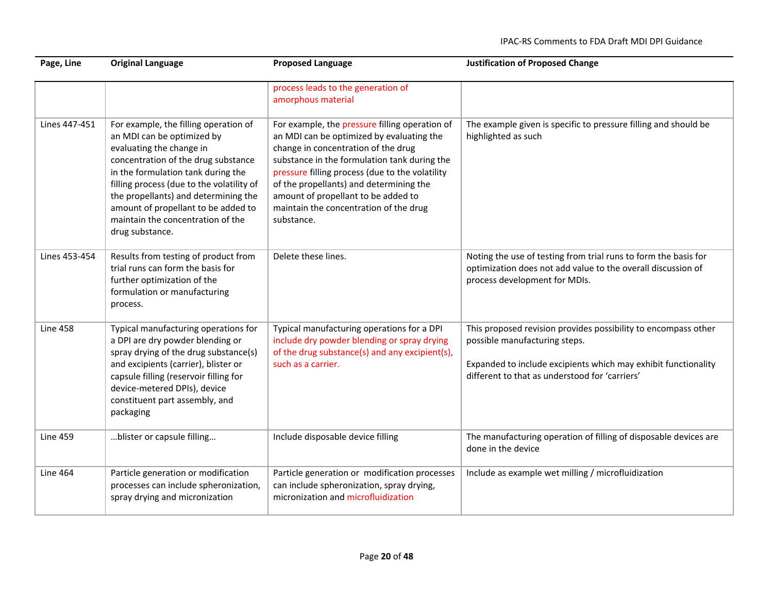| Page, Line      | <b>Original Language</b>                                                                                                                                                                                                                                                                                                                                         | <b>Proposed Language</b>                                                                                                                                                                                                                                                                                                                                                        | <b>Justification of Proposed Change</b>                                                                                                                                                                             |
|-----------------|------------------------------------------------------------------------------------------------------------------------------------------------------------------------------------------------------------------------------------------------------------------------------------------------------------------------------------------------------------------|---------------------------------------------------------------------------------------------------------------------------------------------------------------------------------------------------------------------------------------------------------------------------------------------------------------------------------------------------------------------------------|---------------------------------------------------------------------------------------------------------------------------------------------------------------------------------------------------------------------|
|                 |                                                                                                                                                                                                                                                                                                                                                                  | process leads to the generation of<br>amorphous material                                                                                                                                                                                                                                                                                                                        |                                                                                                                                                                                                                     |
| Lines 447-451   | For example, the filling operation of<br>an MDI can be optimized by<br>evaluating the change in<br>concentration of the drug substance<br>in the formulation tank during the<br>filling process (due to the volatility of<br>the propellants) and determining the<br>amount of propellant to be added to<br>maintain the concentration of the<br>drug substance. | For example, the pressure filling operation of<br>an MDI can be optimized by evaluating the<br>change in concentration of the drug<br>substance in the formulation tank during the<br>pressure filling process (due to the volatility<br>of the propellants) and determining the<br>amount of propellant to be added to<br>maintain the concentration of the drug<br>substance. | The example given is specific to pressure filling and should be<br>highlighted as such                                                                                                                              |
| Lines 453-454   | Results from testing of product from<br>trial runs can form the basis for<br>further optimization of the<br>formulation or manufacturing<br>process.                                                                                                                                                                                                             | Delete these lines.                                                                                                                                                                                                                                                                                                                                                             | Noting the use of testing from trial runs to form the basis for<br>optimization does not add value to the overall discussion of<br>process development for MDIs.                                                    |
| <b>Line 458</b> | Typical manufacturing operations for<br>a DPI are dry powder blending or<br>spray drying of the drug substance(s)<br>and excipients (carrier), blister or<br>capsule filling (reservoir filling for<br>device-metered DPIs), device<br>constituent part assembly, and<br>packaging                                                                               | Typical manufacturing operations for a DPI<br>include dry powder blending or spray drying<br>of the drug substance(s) and any excipient(s),<br>such as a carrier.                                                                                                                                                                                                               | This proposed revision provides possibility to encompass other<br>possible manufacturing steps.<br>Expanded to include excipients which may exhibit functionality<br>different to that as understood for 'carriers' |
| <b>Line 459</b> | blister or capsule filling                                                                                                                                                                                                                                                                                                                                       | Include disposable device filling                                                                                                                                                                                                                                                                                                                                               | The manufacturing operation of filling of disposable devices are<br>done in the device                                                                                                                              |
| <b>Line 464</b> | Particle generation or modification<br>processes can include spheronization,<br>spray drying and micronization                                                                                                                                                                                                                                                   | Particle generation or modification processes<br>can include spheronization, spray drying,<br>micronization and microfluidization                                                                                                                                                                                                                                               | Include as example wet milling / microfluidization                                                                                                                                                                  |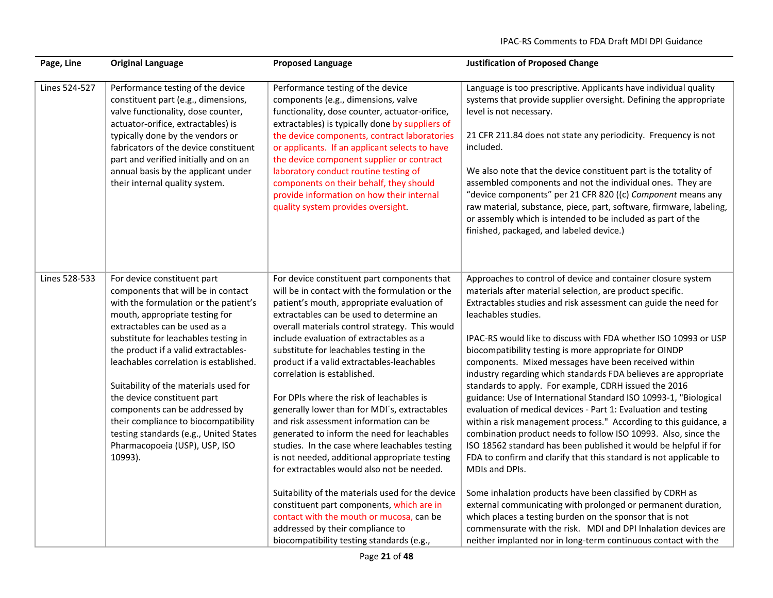| Page, Line    | <b>Original Language</b>                                                                                                                                                                                                                                                                                                                                                                                                                                                                                                                        | <b>Proposed Language</b>                                                                                                                                                                                                                                                                                                                                                                                                                                                                                                                                                                                                                                                                                                                                                                                                                                                                                                                                                         | <b>Justification of Proposed Change</b>                                                                                                                                                                                                                                                                                                                                                                                                                                                                                                                                                                                                                                                                                                                                                                                                                                                                                                                                                                                                                                                                                                                                                                                                                                                                  |
|---------------|-------------------------------------------------------------------------------------------------------------------------------------------------------------------------------------------------------------------------------------------------------------------------------------------------------------------------------------------------------------------------------------------------------------------------------------------------------------------------------------------------------------------------------------------------|----------------------------------------------------------------------------------------------------------------------------------------------------------------------------------------------------------------------------------------------------------------------------------------------------------------------------------------------------------------------------------------------------------------------------------------------------------------------------------------------------------------------------------------------------------------------------------------------------------------------------------------------------------------------------------------------------------------------------------------------------------------------------------------------------------------------------------------------------------------------------------------------------------------------------------------------------------------------------------|----------------------------------------------------------------------------------------------------------------------------------------------------------------------------------------------------------------------------------------------------------------------------------------------------------------------------------------------------------------------------------------------------------------------------------------------------------------------------------------------------------------------------------------------------------------------------------------------------------------------------------------------------------------------------------------------------------------------------------------------------------------------------------------------------------------------------------------------------------------------------------------------------------------------------------------------------------------------------------------------------------------------------------------------------------------------------------------------------------------------------------------------------------------------------------------------------------------------------------------------------------------------------------------------------------|
| Lines 524-527 | Performance testing of the device<br>constituent part (e.g., dimensions,<br>valve functionality, dose counter,<br>actuator-orifice, extractables) is<br>typically done by the vendors or<br>fabricators of the device constituent<br>part and verified initially and on an<br>annual basis by the applicant under<br>their internal quality system.                                                                                                                                                                                             | Performance testing of the device<br>components (e.g., dimensions, valve<br>functionality, dose counter, actuator-orifice,<br>extractables) is typically done by suppliers of<br>the device components, contract laboratories<br>or applicants. If an applicant selects to have<br>the device component supplier or contract<br>laboratory conduct routine testing of<br>components on their behalf, they should<br>provide information on how their internal<br>quality system provides oversight.                                                                                                                                                                                                                                                                                                                                                                                                                                                                              | Language is too prescriptive. Applicants have individual quality<br>systems that provide supplier oversight. Defining the appropriate<br>level is not necessary.<br>21 CFR 211.84 does not state any periodicity. Frequency is not<br>included.<br>We also note that the device constituent part is the totality of<br>assembled components and not the individual ones. They are<br>"device components" per 21 CFR 820 ((c) Component means any<br>raw material, substance, piece, part, software, firmware, labeling,<br>or assembly which is intended to be included as part of the<br>finished, packaged, and labeled device.)                                                                                                                                                                                                                                                                                                                                                                                                                                                                                                                                                                                                                                                                       |
| Lines 528-533 | For device constituent part<br>components that will be in contact<br>with the formulation or the patient's<br>mouth, appropriate testing for<br>extractables can be used as a<br>substitute for leachables testing in<br>the product if a valid extractables-<br>leachables correlation is established.<br>Suitability of the materials used for<br>the device constituent part<br>components can be addressed by<br>their compliance to biocompatibility<br>testing standards (e.g., United States<br>Pharmacopoeia (USP), USP, ISO<br>10993). | For device constituent part components that<br>will be in contact with the formulation or the<br>patient's mouth, appropriate evaluation of<br>extractables can be used to determine an<br>overall materials control strategy. This would<br>include evaluation of extractables as a<br>substitute for leachables testing in the<br>product if a valid extractables-leachables<br>correlation is established.<br>For DPIs where the risk of leachables is<br>generally lower than for MDI's, extractables<br>and risk assessment information can be<br>generated to inform the need for leachables<br>studies. In the case where leachables testing<br>is not needed, additional appropriate testing<br>for extractables would also not be needed.<br>Suitability of the materials used for the device<br>constituent part components, which are in<br>contact with the mouth or mucosa, can be<br>addressed by their compliance to<br>biocompatibility testing standards (e.g., | Approaches to control of device and container closure system<br>materials after material selection, are product specific.<br>Extractables studies and risk assessment can guide the need for<br>leachables studies.<br>IPAC-RS would like to discuss with FDA whether ISO 10993 or USP<br>biocompatibility testing is more appropriate for OINDP<br>components. Mixed messages have been received within<br>industry regarding which standards FDA believes are appropriate<br>standards to apply. For example, CDRH issued the 2016<br>guidance: Use of International Standard ISO 10993-1, "Biological<br>evaluation of medical devices - Part 1: Evaluation and testing<br>within a risk management process." According to this guidance, a<br>combination product needs to follow ISO 10993. Also, since the<br>ISO 18562 standard has been published it would be helpful if for<br>FDA to confirm and clarify that this standard is not applicable to<br>MDIs and DPIs.<br>Some inhalation products have been classified by CDRH as<br>external communicating with prolonged or permanent duration,<br>which places a testing burden on the sponsor that is not<br>commensurate with the risk. MDI and DPI Inhalation devices are<br>neither implanted nor in long-term continuous contact with the |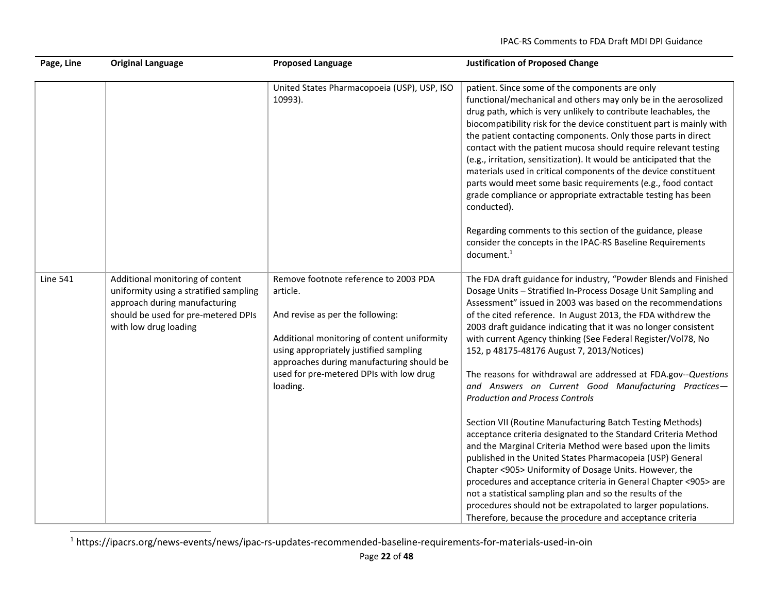| Page, Line      | <b>Original Language</b>                                                                                                                                                    | <b>Proposed Language</b>                                                                                                                                                                                                                                                           | <b>Justification of Proposed Change</b>                                                                                                                                                                                                                                                                                                                                                                                                                                                                                                                                                                                                                                                                                                                                                                                                                                                                                                                                                                                                                                                                                                                                                                |
|-----------------|-----------------------------------------------------------------------------------------------------------------------------------------------------------------------------|------------------------------------------------------------------------------------------------------------------------------------------------------------------------------------------------------------------------------------------------------------------------------------|--------------------------------------------------------------------------------------------------------------------------------------------------------------------------------------------------------------------------------------------------------------------------------------------------------------------------------------------------------------------------------------------------------------------------------------------------------------------------------------------------------------------------------------------------------------------------------------------------------------------------------------------------------------------------------------------------------------------------------------------------------------------------------------------------------------------------------------------------------------------------------------------------------------------------------------------------------------------------------------------------------------------------------------------------------------------------------------------------------------------------------------------------------------------------------------------------------|
|                 |                                                                                                                                                                             | United States Pharmacopoeia (USP), USP, ISO<br>10993).                                                                                                                                                                                                                             | patient. Since some of the components are only<br>functional/mechanical and others may only be in the aerosolized<br>drug path, which is very unlikely to contribute leachables, the<br>biocompatibility risk for the device constituent part is mainly with<br>the patient contacting components. Only those parts in direct<br>contact with the patient mucosa should require relevant testing<br>(e.g., irritation, sensitization). It would be anticipated that the<br>materials used in critical components of the device constituent<br>parts would meet some basic requirements (e.g., food contact<br>grade compliance or appropriate extractable testing has been<br>conducted).<br>Regarding comments to this section of the guidance, please<br>consider the concepts in the IPAC-RS Baseline Requirements<br>document. <sup>1</sup>                                                                                                                                                                                                                                                                                                                                                        |
| <b>Line 541</b> | Additional monitoring of content<br>uniformity using a stratified sampling<br>approach during manufacturing<br>should be used for pre-metered DPIs<br>with low drug loading | Remove footnote reference to 2003 PDA<br>article.<br>And revise as per the following:<br>Additional monitoring of content uniformity<br>using appropriately justified sampling<br>approaches during manufacturing should be<br>used for pre-metered DPIs with low drug<br>loading. | The FDA draft guidance for industry, "Powder Blends and Finished<br>Dosage Units - Stratified In-Process Dosage Unit Sampling and<br>Assessment" issued in 2003 was based on the recommendations<br>of the cited reference. In August 2013, the FDA withdrew the<br>2003 draft guidance indicating that it was no longer consistent<br>with current Agency thinking (See Federal Register/Vol78, No<br>152, p 48175-48176 August 7, 2013/Notices)<br>The reasons for withdrawal are addressed at FDA.gov--Questions<br>and Answers on Current Good Manufacturing Practices-<br><b>Production and Process Controls</b><br>Section VII (Routine Manufacturing Batch Testing Methods)<br>acceptance criteria designated to the Standard Criteria Method<br>and the Marginal Criteria Method were based upon the limits<br>published in the United States Pharmacopeia (USP) General<br>Chapter <905> Uniformity of Dosage Units. However, the<br>procedures and acceptance criteria in General Chapter <905> are<br>not a statistical sampling plan and so the results of the<br>procedures should not be extrapolated to larger populations.<br>Therefore, because the procedure and acceptance criteria |

<sup>1</sup> https://ipacrs.org/news‐events/news/ipac‐rs‐updates‐recommended‐baseline‐requirements‐for‐materials‐used‐in‐oin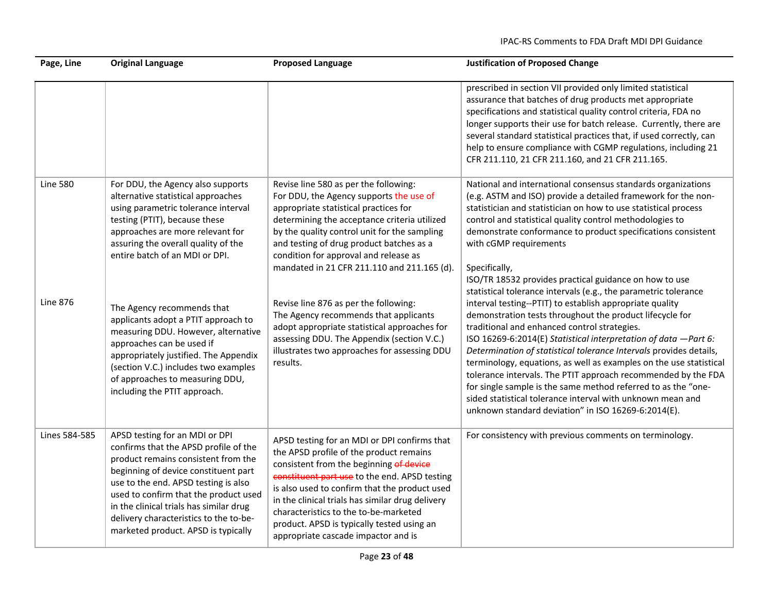| Page, Line                         | <b>Original Language</b>                                                                                                                                                                                                                                                                                                                                                                                                                                                                                                                                  | <b>Proposed Language</b>                                                                                                                                                                                                                                                                                                                                                                                                                                                                                                                                                                                  | <b>Justification of Proposed Change</b>                                                                                                                                                                                                                                                                                                                                                                                                                                                                                                                                                                                                                                                                                                                                                                                                                                                                                                                                                                                                                                                                                                            |
|------------------------------------|-----------------------------------------------------------------------------------------------------------------------------------------------------------------------------------------------------------------------------------------------------------------------------------------------------------------------------------------------------------------------------------------------------------------------------------------------------------------------------------------------------------------------------------------------------------|-----------------------------------------------------------------------------------------------------------------------------------------------------------------------------------------------------------------------------------------------------------------------------------------------------------------------------------------------------------------------------------------------------------------------------------------------------------------------------------------------------------------------------------------------------------------------------------------------------------|----------------------------------------------------------------------------------------------------------------------------------------------------------------------------------------------------------------------------------------------------------------------------------------------------------------------------------------------------------------------------------------------------------------------------------------------------------------------------------------------------------------------------------------------------------------------------------------------------------------------------------------------------------------------------------------------------------------------------------------------------------------------------------------------------------------------------------------------------------------------------------------------------------------------------------------------------------------------------------------------------------------------------------------------------------------------------------------------------------------------------------------------------|
|                                    |                                                                                                                                                                                                                                                                                                                                                                                                                                                                                                                                                           |                                                                                                                                                                                                                                                                                                                                                                                                                                                                                                                                                                                                           | prescribed in section VII provided only limited statistical<br>assurance that batches of drug products met appropriate<br>specifications and statistical quality control criteria, FDA no<br>longer supports their use for batch release. Currently, there are<br>several standard statistical practices that, if used correctly, can<br>help to ensure compliance with CGMP regulations, including 21<br>CFR 211.110, 21 CFR 211.160, and 21 CFR 211.165.                                                                                                                                                                                                                                                                                                                                                                                                                                                                                                                                                                                                                                                                                         |
| <b>Line 580</b><br><b>Line 876</b> | For DDU, the Agency also supports<br>alternative statistical approaches<br>using parametric tolerance interval<br>testing (PTIT), because these<br>approaches are more relevant for<br>assuring the overall quality of the<br>entire batch of an MDI or DPI.<br>The Agency recommends that<br>applicants adopt a PTIT approach to<br>measuring DDU. However, alternative<br>approaches can be used if<br>appropriately justified. The Appendix<br>(section V.C.) includes two examples<br>of approaches to measuring DDU,<br>including the PTIT approach. | Revise line 580 as per the following:<br>For DDU, the Agency supports the use of<br>appropriate statistical practices for<br>determining the acceptance criteria utilized<br>by the quality control unit for the sampling<br>and testing of drug product batches as a<br>condition for approval and release as<br>mandated in 21 CFR 211.110 and 211.165 (d).<br>Revise line 876 as per the following:<br>The Agency recommends that applicants<br>adopt appropriate statistical approaches for<br>assessing DDU. The Appendix (section V.C.)<br>illustrates two approaches for assessing DDU<br>results. | National and international consensus standards organizations<br>(e.g. ASTM and ISO) provide a detailed framework for the non-<br>statistician and statistician on how to use statistical process<br>control and statistical quality control methodologies to<br>demonstrate conformance to product specifications consistent<br>with cGMP requirements<br>Specifically,<br>ISO/TR 18532 provides practical guidance on how to use<br>statistical tolerance intervals (e.g., the parametric tolerance<br>interval testing--PTIT) to establish appropriate quality<br>demonstration tests throughout the product lifecycle for<br>traditional and enhanced control strategies.<br>ISO 16269-6:2014(E) Statistical interpretation of data -Part 6:<br>Determination of statistical tolerance Intervals provides details,<br>terminology, equations, as well as examples on the use statistical<br>tolerance intervals. The PTIT approach recommended by the FDA<br>for single sample is the same method referred to as the "one-<br>sided statistical tolerance interval with unknown mean and<br>unknown standard deviation" in ISO 16269-6:2014(E). |
| Lines 584-585                      | APSD testing for an MDI or DPI<br>confirms that the APSD profile of the<br>product remains consistent from the<br>beginning of device constituent part<br>use to the end. APSD testing is also<br>used to confirm that the product used<br>in the clinical trials has similar drug<br>delivery characteristics to the to-be-<br>marketed product. APSD is typically                                                                                                                                                                                       | APSD testing for an MDI or DPI confirms that<br>the APSD profile of the product remains<br>consistent from the beginning of device<br>constituent part use to the end. APSD testing<br>is also used to confirm that the product used<br>in the clinical trials has similar drug delivery<br>characteristics to the to-be-marketed<br>product. APSD is typically tested using an<br>appropriate cascade impactor and is                                                                                                                                                                                    | For consistency with previous comments on terminology.                                                                                                                                                                                                                                                                                                                                                                                                                                                                                                                                                                                                                                                                                                                                                                                                                                                                                                                                                                                                                                                                                             |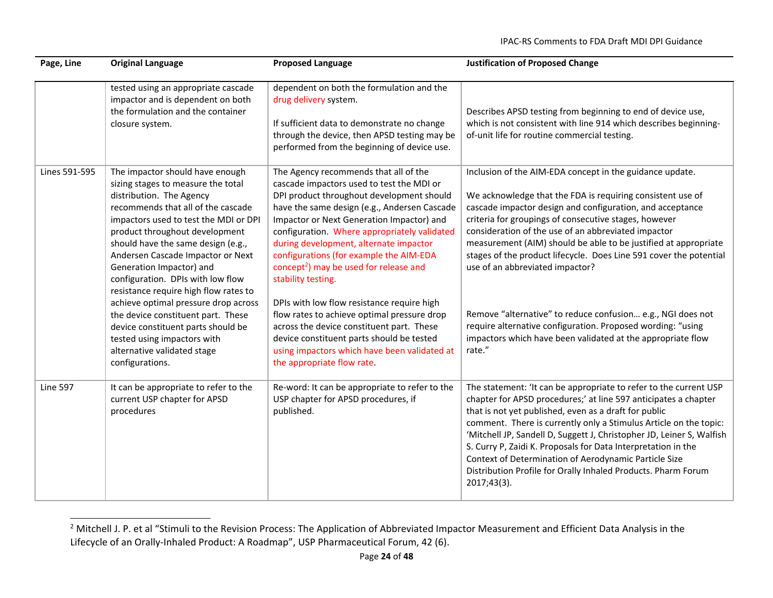| Page, Line      | <b>Original Language</b>                                                                                                                                                                                                                                                                                                                                                                                                                                                                                                                                                                                     | <b>Proposed Language</b>                                                                                                                                                                                                                                                                                                                                                                                                                                                                                                                                                                                                                                                                                           | <b>Justification of Proposed Change</b>                                                                                                                                                                                                                                                                                                                                                                                                                                                                                                                                                                                                                                                |
|-----------------|--------------------------------------------------------------------------------------------------------------------------------------------------------------------------------------------------------------------------------------------------------------------------------------------------------------------------------------------------------------------------------------------------------------------------------------------------------------------------------------------------------------------------------------------------------------------------------------------------------------|--------------------------------------------------------------------------------------------------------------------------------------------------------------------------------------------------------------------------------------------------------------------------------------------------------------------------------------------------------------------------------------------------------------------------------------------------------------------------------------------------------------------------------------------------------------------------------------------------------------------------------------------------------------------------------------------------------------------|----------------------------------------------------------------------------------------------------------------------------------------------------------------------------------------------------------------------------------------------------------------------------------------------------------------------------------------------------------------------------------------------------------------------------------------------------------------------------------------------------------------------------------------------------------------------------------------------------------------------------------------------------------------------------------------|
|                 | tested using an appropriate cascade<br>impactor and is dependent on both<br>the formulation and the container<br>closure system.                                                                                                                                                                                                                                                                                                                                                                                                                                                                             | dependent on both the formulation and the<br>drug delivery system.<br>If sufficient data to demonstrate no change<br>through the device, then APSD testing may be<br>performed from the beginning of device use.                                                                                                                                                                                                                                                                                                                                                                                                                                                                                                   | Describes APSD testing from beginning to end of device use,<br>which is not consistent with line 914 which describes beginning-<br>of-unit life for routine commercial testing.                                                                                                                                                                                                                                                                                                                                                                                                                                                                                                        |
| Lines 591-595   | The impactor should have enough<br>sizing stages to measure the total<br>distribution. The Agency<br>recommends that all of the cascade<br>impactors used to test the MDI or DPI<br>product throughout development<br>should have the same design (e.g.,<br>Andersen Cascade Impactor or Next<br>Generation Impactor) and<br>configuration. DPIs with low flow<br>resistance require high flow rates to<br>achieve optimal pressure drop across<br>the device constituent part. These<br>device constituent parts should be<br>tested using impactors with<br>alternative validated stage<br>configurations. | The Agency recommends that all of the<br>cascade impactors used to test the MDI or<br>DPI product throughout development should<br>have the same design (e.g., Andersen Cascade<br>Impactor or Next Generation Impactor) and<br>configuration. Where appropriately validated<br>during development, alternate impactor<br>configurations (for example the AIM-EDA<br>concept <sup>2</sup> ) may be used for release and<br>stability testing.<br>DPIs with low flow resistance require high<br>flow rates to achieve optimal pressure drop<br>across the device constituent part. These<br>device constituent parts should be tested<br>using impactors which have been validated at<br>the appropriate flow rate. | Inclusion of the AIM-EDA concept in the guidance update.<br>We acknowledge that the FDA is requiring consistent use of<br>cascade impactor design and configuration, and acceptance<br>criteria for groupings of consecutive stages, however<br>consideration of the use of an abbreviated impactor<br>measurement (AIM) should be able to be justified at appropriate<br>stages of the product lifecycle. Does Line 591 cover the potential<br>use of an abbreviated impactor?<br>Remove "alternative" to reduce confusion e.g., NGI does not<br>require alternative configuration. Proposed wording: "using<br>impactors which have been validated at the appropriate flow<br>rate." |
| <b>Line 597</b> | It can be appropriate to refer to the<br>current USP chapter for APSD<br>procedures                                                                                                                                                                                                                                                                                                                                                                                                                                                                                                                          | Re-word: It can be appropriate to refer to the<br>USP chapter for APSD procedures, if<br>published.                                                                                                                                                                                                                                                                                                                                                                                                                                                                                                                                                                                                                | The statement: 'It can be appropriate to refer to the current USP<br>chapter for APSD procedures;' at line 597 anticipates a chapter<br>that is not yet published, even as a draft for public<br>comment. There is currently only a Stimulus Article on the topic:<br>'Mitchell JP, Sandell D, Suggett J, Christopher JD, Leiner S, Walfish<br>S. Curry P, Zaidi K. Proposals for Data Interpretation in the<br>Context of Determination of Aerodynamic Particle Size<br>Distribution Profile for Orally Inhaled Products. Pharm Forum<br>2017;43(3).                                                                                                                                  |

<sup>&</sup>lt;sup>2</sup> Mitchell J. P. et al "Stimuli to the Revision Process: The Application of Abbreviated Impactor Measurement and Efficient Data Analysis in the Lifecycle of an Orally-Inhaled Product: A Roadmap", USP Pharmaceutical Forum, 42 (6).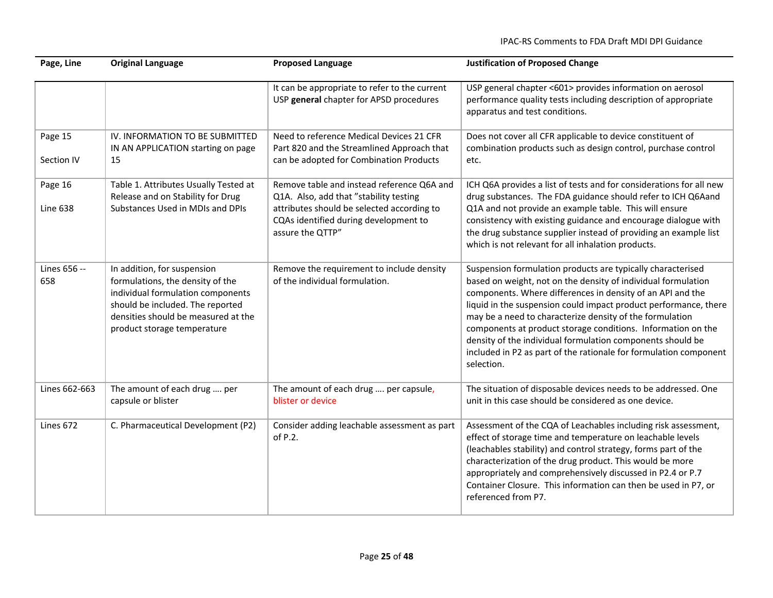| Page, Line                 | <b>Original Language</b>                                                                                                                                                                                       | <b>Proposed Language</b>                                                                                                                                                                        | <b>Justification of Proposed Change</b>                                                                                                                                                                                                                                                                                                                                                                                                                                                                                                     |
|----------------------------|----------------------------------------------------------------------------------------------------------------------------------------------------------------------------------------------------------------|-------------------------------------------------------------------------------------------------------------------------------------------------------------------------------------------------|---------------------------------------------------------------------------------------------------------------------------------------------------------------------------------------------------------------------------------------------------------------------------------------------------------------------------------------------------------------------------------------------------------------------------------------------------------------------------------------------------------------------------------------------|
|                            |                                                                                                                                                                                                                | It can be appropriate to refer to the current<br>USP general chapter for APSD procedures                                                                                                        | USP general chapter <601> provides information on aerosol<br>performance quality tests including description of appropriate<br>apparatus and test conditions.                                                                                                                                                                                                                                                                                                                                                                               |
| Page 15<br>Section IV      | IV. INFORMATION TO BE SUBMITTED<br>IN AN APPLICATION starting on page<br>15                                                                                                                                    | Need to reference Medical Devices 21 CFR<br>Part 820 and the Streamlined Approach that<br>can be adopted for Combination Products                                                               | Does not cover all CFR applicable to device constituent of<br>combination products such as design control, purchase control<br>etc.                                                                                                                                                                                                                                                                                                                                                                                                         |
| Page 16<br><b>Line 638</b> | Table 1. Attributes Usually Tested at<br>Release and on Stability for Drug<br>Substances Used in MDIs and DPIs                                                                                                 | Remove table and instead reference Q6A and<br>Q1A. Also, add that "stability testing<br>attributes should be selected according to<br>CQAs identified during development to<br>assure the QTTP" | ICH Q6A provides a list of tests and for considerations for all new<br>drug substances. The FDA guidance should refer to ICH Q6Aand<br>Q1A and not provide an example table. This will ensure<br>consistency with existing guidance and encourage dialogue with<br>the drug substance supplier instead of providing an example list<br>which is not relevant for all inhalation products.                                                                                                                                                   |
| Lines 656 --<br>658        | In addition, for suspension<br>formulations, the density of the<br>individual formulation components<br>should be included. The reported<br>densities should be measured at the<br>product storage temperature | Remove the requirement to include density<br>of the individual formulation.                                                                                                                     | Suspension formulation products are typically characterised<br>based on weight, not on the density of individual formulation<br>components. Where differences in density of an API and the<br>liquid in the suspension could impact product performance, there<br>may be a need to characterize density of the formulation<br>components at product storage conditions. Information on the<br>density of the individual formulation components should be<br>included in P2 as part of the rationale for formulation component<br>selection. |
| Lines 662-663              | The amount of each drug  per<br>capsule or blister                                                                                                                                                             | The amount of each drug  per capsule,<br>blister or device                                                                                                                                      | The situation of disposable devices needs to be addressed. One<br>unit in this case should be considered as one device.                                                                                                                                                                                                                                                                                                                                                                                                                     |
| Lines 672                  | C. Pharmaceutical Development (P2)                                                                                                                                                                             | Consider adding leachable assessment as part<br>of P.2.                                                                                                                                         | Assessment of the CQA of Leachables including risk assessment,<br>effect of storage time and temperature on leachable levels<br>(leachables stability) and control strategy, forms part of the<br>characterization of the drug product. This would be more<br>appropriately and comprehensively discussed in P2.4 or P.7<br>Container Closure. This information can then be used in P7, or<br>referenced from P7.                                                                                                                           |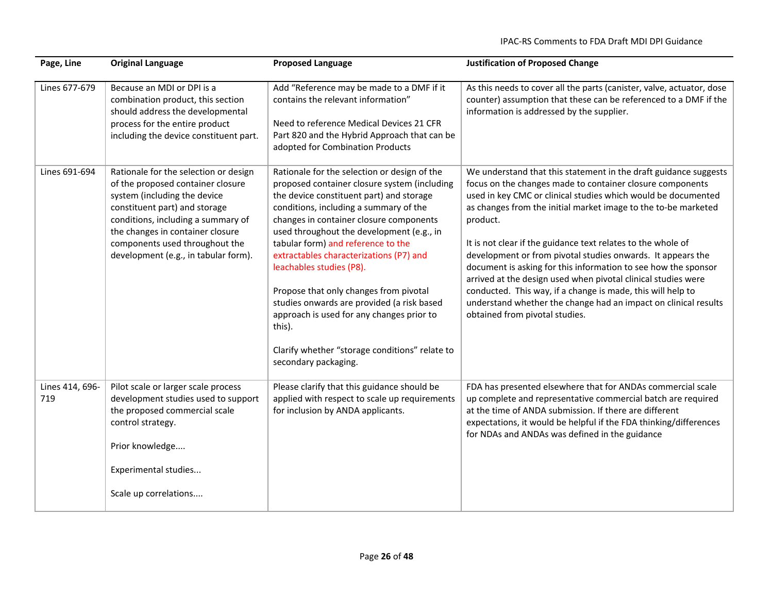| Page, Line             | <b>Original Language</b>                                                                                                                                                                                                                                                                        | <b>Proposed Language</b>                                                                                                                                                                                                                                                                                                                                                                                                                                                                                                                                                                                         | <b>Justification of Proposed Change</b>                                                                                                                                                                                                                                                                                                                                                                                                                                                                                                                                                                                                                                                                            |
|------------------------|-------------------------------------------------------------------------------------------------------------------------------------------------------------------------------------------------------------------------------------------------------------------------------------------------|------------------------------------------------------------------------------------------------------------------------------------------------------------------------------------------------------------------------------------------------------------------------------------------------------------------------------------------------------------------------------------------------------------------------------------------------------------------------------------------------------------------------------------------------------------------------------------------------------------------|--------------------------------------------------------------------------------------------------------------------------------------------------------------------------------------------------------------------------------------------------------------------------------------------------------------------------------------------------------------------------------------------------------------------------------------------------------------------------------------------------------------------------------------------------------------------------------------------------------------------------------------------------------------------------------------------------------------------|
| Lines 677-679          | Because an MDI or DPI is a<br>combination product, this section<br>should address the developmental<br>process for the entire product<br>including the device constituent part.                                                                                                                 | Add "Reference may be made to a DMF if it<br>contains the relevant information"<br>Need to reference Medical Devices 21 CFR<br>Part 820 and the Hybrid Approach that can be<br>adopted for Combination Products                                                                                                                                                                                                                                                                                                                                                                                                  | As this needs to cover all the parts (canister, valve, actuator, dose<br>counter) assumption that these can be referenced to a DMF if the<br>information is addressed by the supplier.                                                                                                                                                                                                                                                                                                                                                                                                                                                                                                                             |
| Lines 691-694          | Rationale for the selection or design<br>of the proposed container closure<br>system (including the device<br>constituent part) and storage<br>conditions, including a summary of<br>the changes in container closure<br>components used throughout the<br>development (e.g., in tabular form). | Rationale for the selection or design of the<br>proposed container closure system (including<br>the device constituent part) and storage<br>conditions, including a summary of the<br>changes in container closure components<br>used throughout the development (e.g., in<br>tabular form) and reference to the<br>extractables characterizations (P7) and<br>leachables studies (P8).<br>Propose that only changes from pivotal<br>studies onwards are provided (a risk based<br>approach is used for any changes prior to<br>this).<br>Clarify whether "storage conditions" relate to<br>secondary packaging. | We understand that this statement in the draft guidance suggests<br>focus on the changes made to container closure components<br>used in key CMC or clinical studies which would be documented<br>as changes from the initial market image to the to-be marketed<br>product.<br>It is not clear if the guidance text relates to the whole of<br>development or from pivotal studies onwards. It appears the<br>document is asking for this information to see how the sponsor<br>arrived at the design used when pivotal clinical studies were<br>conducted. This way, if a change is made, this will help to<br>understand whether the change had an impact on clinical results<br>obtained from pivotal studies. |
| Lines 414, 696-<br>719 | Pilot scale or larger scale process<br>development studies used to support<br>the proposed commercial scale<br>control strategy.<br>Prior knowledge<br>Experimental studies<br>Scale up correlations                                                                                            | Please clarify that this guidance should be<br>applied with respect to scale up requirements<br>for inclusion by ANDA applicants.                                                                                                                                                                                                                                                                                                                                                                                                                                                                                | FDA has presented elsewhere that for ANDAs commercial scale<br>up complete and representative commercial batch are required<br>at the time of ANDA submission. If there are different<br>expectations, it would be helpful if the FDA thinking/differences<br>for NDAs and ANDAs was defined in the guidance                                                                                                                                                                                                                                                                                                                                                                                                       |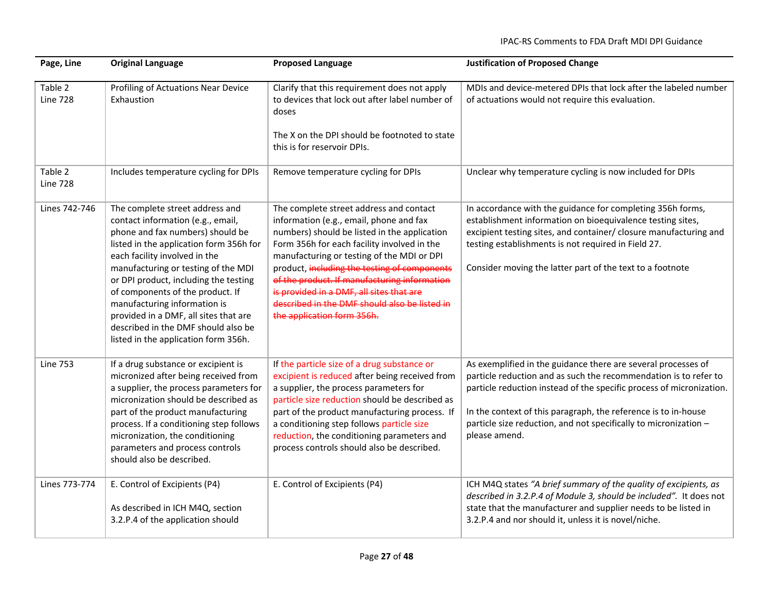| Page, Line                 | <b>Original Language</b>                                                                                                                                                                                                                                                                                                                                                                                                                                         | <b>Proposed Language</b>                                                                                                                                                                                                                                                                                                                                                                                                                                   | <b>Justification of Proposed Change</b>                                                                                                                                                                                                                                                                                                                          |
|----------------------------|------------------------------------------------------------------------------------------------------------------------------------------------------------------------------------------------------------------------------------------------------------------------------------------------------------------------------------------------------------------------------------------------------------------------------------------------------------------|------------------------------------------------------------------------------------------------------------------------------------------------------------------------------------------------------------------------------------------------------------------------------------------------------------------------------------------------------------------------------------------------------------------------------------------------------------|------------------------------------------------------------------------------------------------------------------------------------------------------------------------------------------------------------------------------------------------------------------------------------------------------------------------------------------------------------------|
| Table 2<br><b>Line 728</b> | Profiling of Actuations Near Device<br>Exhaustion                                                                                                                                                                                                                                                                                                                                                                                                                | Clarify that this requirement does not apply<br>to devices that lock out after label number of<br>doses<br>The X on the DPI should be footnoted to state<br>this is for reservoir DPIs.                                                                                                                                                                                                                                                                    | MDIs and device-metered DPIs that lock after the labeled number<br>of actuations would not require this evaluation.                                                                                                                                                                                                                                              |
| Table 2<br><b>Line 728</b> | Includes temperature cycling for DPIs                                                                                                                                                                                                                                                                                                                                                                                                                            | Remove temperature cycling for DPIs                                                                                                                                                                                                                                                                                                                                                                                                                        | Unclear why temperature cycling is now included for DPIs                                                                                                                                                                                                                                                                                                         |
| Lines 742-746              | The complete street address and<br>contact information (e.g., email,<br>phone and fax numbers) should be<br>listed in the application form 356h for<br>each facility involved in the<br>manufacturing or testing of the MDI<br>or DPI product, including the testing<br>of components of the product. If<br>manufacturing information is<br>provided in a DMF, all sites that are<br>described in the DMF should also be<br>listed in the application form 356h. | The complete street address and contact<br>information (e.g., email, phone and fax<br>numbers) should be listed in the application<br>Form 356h for each facility involved in the<br>manufacturing or testing of the MDI or DPI<br>product, including the testing of components<br>of the product. If manufacturing information<br>is provided in a DMF, all sites that are<br>described in the DMF should also be listed in<br>the application form 356h. | In accordance with the guidance for completing 356h forms,<br>establishment information on bioequivalence testing sites,<br>excipient testing sites, and container/ closure manufacturing and<br>testing establishments is not required in Field 27.<br>Consider moving the latter part of the text to a footnote                                                |
| <b>Line 753</b>            | If a drug substance or excipient is<br>micronized after being received from<br>a supplier, the process parameters for<br>micronization should be described as<br>part of the product manufacturing<br>process. If a conditioning step follows<br>micronization, the conditioning<br>parameters and process controls<br>should also be described.                                                                                                                 | If the particle size of a drug substance or<br>excipient is reduced after being received from<br>a supplier, the process parameters for<br>particle size reduction should be described as<br>part of the product manufacturing process. If<br>a conditioning step follows particle size<br>reduction, the conditioning parameters and<br>process controls should also be described.                                                                        | As exemplified in the guidance there are several processes of<br>particle reduction and as such the recommendation is to refer to<br>particle reduction instead of the specific process of micronization.<br>In the context of this paragraph, the reference is to in-house<br>particle size reduction, and not specifically to micronization -<br>please amend. |
| Lines 773-774              | E. Control of Excipients (P4)<br>As described in ICH M4Q, section<br>3.2.P.4 of the application should                                                                                                                                                                                                                                                                                                                                                           | E. Control of Excipients (P4)                                                                                                                                                                                                                                                                                                                                                                                                                              | ICH M4Q states "A brief summary of the quality of excipients, as<br>described in 3.2.P.4 of Module 3, should be included". It does not<br>state that the manufacturer and supplier needs to be listed in<br>3.2.P.4 and nor should it, unless it is novel/niche.                                                                                                 |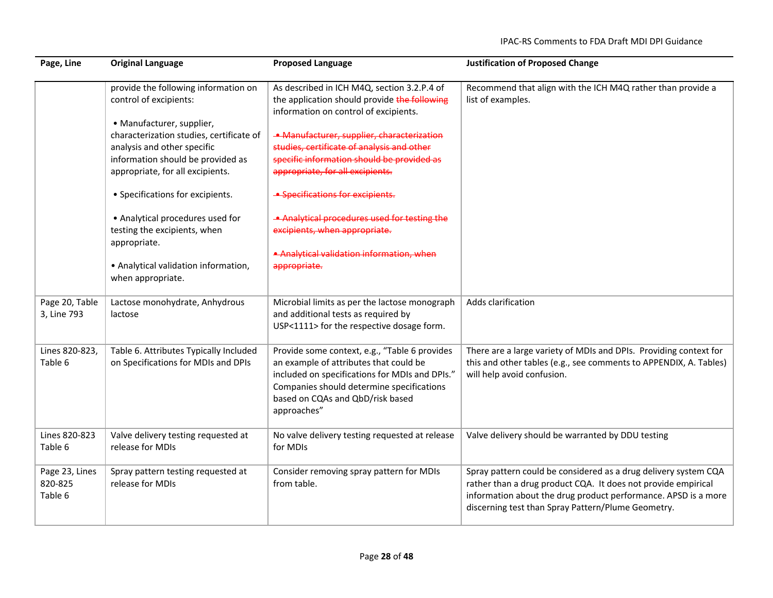| Page, Line                           | <b>Original Language</b>                                                                                                                                                                                                                                                                                                                                                                                                             | <b>Proposed Language</b>                                                                                                                                                                                                                                                                                                                                                                                                                                                                             | <b>Justification of Proposed Change</b>                                                                                                                                                                                                                  |
|--------------------------------------|--------------------------------------------------------------------------------------------------------------------------------------------------------------------------------------------------------------------------------------------------------------------------------------------------------------------------------------------------------------------------------------------------------------------------------------|------------------------------------------------------------------------------------------------------------------------------------------------------------------------------------------------------------------------------------------------------------------------------------------------------------------------------------------------------------------------------------------------------------------------------------------------------------------------------------------------------|----------------------------------------------------------------------------------------------------------------------------------------------------------------------------------------------------------------------------------------------------------|
|                                      | provide the following information on<br>control of excipients:<br>• Manufacturer, supplier,<br>characterization studies, certificate of<br>analysis and other specific<br>information should be provided as<br>appropriate, for all excipients.<br>• Specifications for excipients.<br>• Analytical procedures used for<br>testing the excipients, when<br>appropriate.<br>• Analytical validation information,<br>when appropriate. | As described in ICH M4Q, section 3.2.P.4 of<br>the application should provide the following<br>information on control of excipients.<br>- Manufacturer, supplier, characterization<br>studies, certificate of analysis and other<br>specific information should be provided as<br>appropriate, for all excipients.<br>- Specifications for excipients.<br>- Analytical procedures used for testing the<br>excipients, when appropriate.<br>• Analytical validation information, when<br>appropriate. | Recommend that align with the ICH M4Q rather than provide a<br>list of examples.                                                                                                                                                                         |
| Page 20, Table<br>3, Line 793        | Lactose monohydrate, Anhydrous<br>lactose                                                                                                                                                                                                                                                                                                                                                                                            | Microbial limits as per the lactose monograph<br>and additional tests as required by<br>USP<1111> for the respective dosage form.                                                                                                                                                                                                                                                                                                                                                                    | Adds clarification                                                                                                                                                                                                                                       |
| Lines 820-823,<br>Table 6            | Table 6. Attributes Typically Included<br>on Specifications for MDIs and DPIs                                                                                                                                                                                                                                                                                                                                                        | Provide some context, e.g., "Table 6 provides<br>an example of attributes that could be<br>included on specifications for MDIs and DPIs."<br>Companies should determine specifications<br>based on CQAs and QbD/risk based<br>approaches"                                                                                                                                                                                                                                                            | There are a large variety of MDIs and DPIs. Providing context for<br>this and other tables (e.g., see comments to APPENDIX, A. Tables)<br>will help avoid confusion.                                                                                     |
| Lines 820-823<br>Table 6             | Valve delivery testing requested at<br>release for MDIs                                                                                                                                                                                                                                                                                                                                                                              | No valve delivery testing requested at release<br>for MDIs                                                                                                                                                                                                                                                                                                                                                                                                                                           | Valve delivery should be warranted by DDU testing                                                                                                                                                                                                        |
| Page 23, Lines<br>820-825<br>Table 6 | Spray pattern testing requested at<br>release for MDIs                                                                                                                                                                                                                                                                                                                                                                               | Consider removing spray pattern for MDIs<br>from table.                                                                                                                                                                                                                                                                                                                                                                                                                                              | Spray pattern could be considered as a drug delivery system CQA<br>rather than a drug product CQA. It does not provide empirical<br>information about the drug product performance. APSD is a more<br>discerning test than Spray Pattern/Plume Geometry. |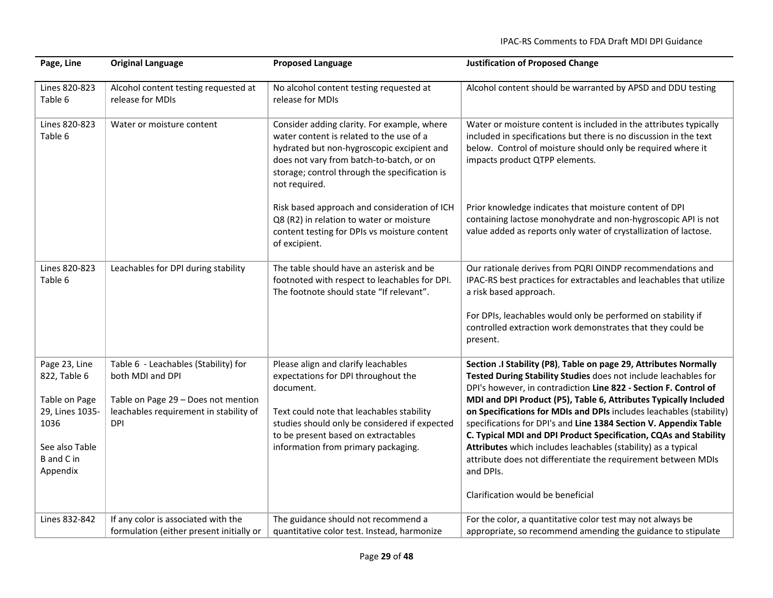| Page, Line                                                                                                                   | <b>Original Language</b>                                                                                                                                | <b>Proposed Language</b>                                                                                                                                                                                                                                            | <b>Justification of Proposed Change</b>                                                                                                                                                                                                                                                                                                                                                                                                                                                                                                                                                                                                                                        |
|------------------------------------------------------------------------------------------------------------------------------|---------------------------------------------------------------------------------------------------------------------------------------------------------|---------------------------------------------------------------------------------------------------------------------------------------------------------------------------------------------------------------------------------------------------------------------|--------------------------------------------------------------------------------------------------------------------------------------------------------------------------------------------------------------------------------------------------------------------------------------------------------------------------------------------------------------------------------------------------------------------------------------------------------------------------------------------------------------------------------------------------------------------------------------------------------------------------------------------------------------------------------|
| Lines 820-823<br>Table 6                                                                                                     | Alcohol content testing requested at<br>release for MDIs                                                                                                | No alcohol content testing requested at<br>release for MDIs                                                                                                                                                                                                         | Alcohol content should be warranted by APSD and DDU testing                                                                                                                                                                                                                                                                                                                                                                                                                                                                                                                                                                                                                    |
| Lines 820-823<br>Table 6                                                                                                     | Water or moisture content                                                                                                                               | Consider adding clarity. For example, where<br>water content is related to the use of a<br>hydrated but non-hygroscopic excipient and<br>does not vary from batch-to-batch, or on<br>storage; control through the specification is<br>not required.                 | Water or moisture content is included in the attributes typically<br>included in specifications but there is no discussion in the text<br>below. Control of moisture should only be required where it<br>impacts product QTPP elements.                                                                                                                                                                                                                                                                                                                                                                                                                                        |
|                                                                                                                              |                                                                                                                                                         | Risk based approach and consideration of ICH<br>Q8 (R2) in relation to water or moisture<br>content testing for DPIs vs moisture content<br>of excipient.                                                                                                           | Prior knowledge indicates that moisture content of DPI<br>containing lactose monohydrate and non-hygroscopic API is not<br>value added as reports only water of crystallization of lactose.                                                                                                                                                                                                                                                                                                                                                                                                                                                                                    |
| Lines 820-823<br>Table 6                                                                                                     | Leachables for DPI during stability                                                                                                                     | The table should have an asterisk and be<br>footnoted with respect to leachables for DPI.<br>The footnote should state "If relevant".                                                                                                                               | Our rationale derives from PQRI OINDP recommendations and<br>IPAC-RS best practices for extractables and leachables that utilize<br>a risk based approach.<br>For DPIs, leachables would only be performed on stability if<br>controlled extraction work demonstrates that they could be<br>present.                                                                                                                                                                                                                                                                                                                                                                           |
| Page 23, Line<br>822, Table 6<br>Table on Page<br>29, Lines 1035-<br>1036<br>See also Table<br><b>B</b> and C in<br>Appendix | Table 6 - Leachables (Stability) for<br>both MDI and DPI<br>Table on Page 29 - Does not mention<br>leachables requirement in stability of<br><b>DPI</b> | Please align and clarify leachables<br>expectations for DPI throughout the<br>document.<br>Text could note that leachables stability<br>studies should only be considered if expected<br>to be present based on extractables<br>information from primary packaging. | Section .I Stability (P8), Table on page 29, Attributes Normally<br>Tested During Stability Studies does not include leachables for<br>DPI's however, in contradiction Line 822 - Section F. Control of<br>MDI and DPI Product (P5), Table 6, Attributes Typically Included<br>on Specifications for MDIs and DPIs includes leachables (stability)<br>specifications for DPI's and Line 1384 Section V. Appendix Table<br>C. Typical MDI and DPI Product Specification, CQAs and Stability<br>Attributes which includes leachables (stability) as a typical<br>attribute does not differentiate the requirement between MDIs<br>and DPIs.<br>Clarification would be beneficial |
| Lines 832-842                                                                                                                | If any color is associated with the<br>formulation (either present initially or                                                                         | The guidance should not recommend a<br>quantitative color test. Instead, harmonize                                                                                                                                                                                  | For the color, a quantitative color test may not always be<br>appropriate, so recommend amending the guidance to stipulate                                                                                                                                                                                                                                                                                                                                                                                                                                                                                                                                                     |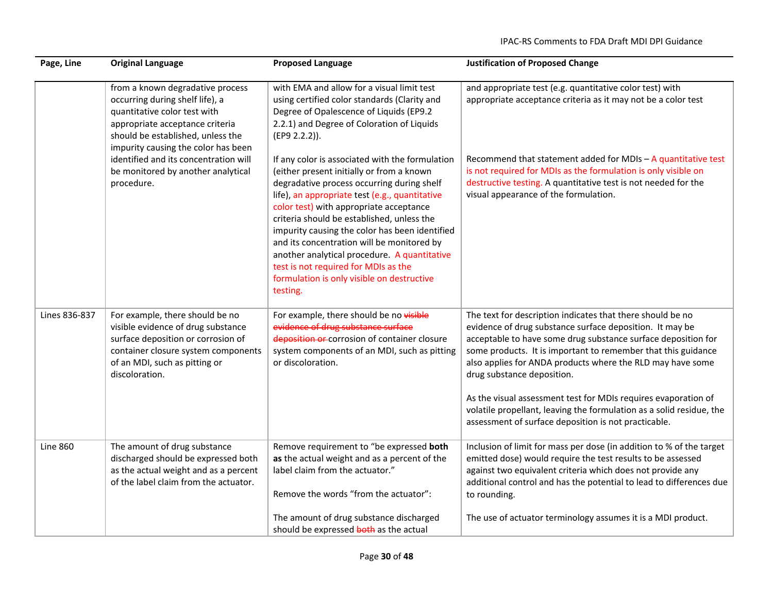| Page, Line      | <b>Original Language</b>                                                                                                                                                                                           | <b>Proposed Language</b>                                                                                                                                                                                                                                                                                                                                                                                                                                                                                                                | <b>Justification of Proposed Change</b>                                                                                                                                                                                                                                                                                                                                                                                                                                                                                                                |
|-----------------|--------------------------------------------------------------------------------------------------------------------------------------------------------------------------------------------------------------------|-----------------------------------------------------------------------------------------------------------------------------------------------------------------------------------------------------------------------------------------------------------------------------------------------------------------------------------------------------------------------------------------------------------------------------------------------------------------------------------------------------------------------------------------|--------------------------------------------------------------------------------------------------------------------------------------------------------------------------------------------------------------------------------------------------------------------------------------------------------------------------------------------------------------------------------------------------------------------------------------------------------------------------------------------------------------------------------------------------------|
|                 | from a known degradative process<br>occurring during shelf life), a<br>quantitative color test with<br>appropriate acceptance criteria<br>should be established, unless the<br>impurity causing the color has been | with EMA and allow for a visual limit test<br>using certified color standards (Clarity and<br>Degree of Opalescence of Liquids (EP9.2<br>2.2.1) and Degree of Coloration of Liquids<br>(EP9 2.2.2)).                                                                                                                                                                                                                                                                                                                                    | and appropriate test (e.g. quantitative color test) with<br>appropriate acceptance criteria as it may not be a color test                                                                                                                                                                                                                                                                                                                                                                                                                              |
|                 | identified and its concentration will<br>be monitored by another analytical<br>procedure.                                                                                                                          | If any color is associated with the formulation<br>(either present initially or from a known<br>degradative process occurring during shelf<br>life), an appropriate test (e.g., quantitative<br>color test) with appropriate acceptance<br>criteria should be established, unless the<br>impurity causing the color has been identified<br>and its concentration will be monitored by<br>another analytical procedure. A quantitative<br>test is not required for MDIs as the<br>formulation is only visible on destructive<br>testing. | Recommend that statement added for MDIs $-$ A quantitative test<br>is not required for MDIs as the formulation is only visible on<br>destructive testing. A quantitative test is not needed for the<br>visual appearance of the formulation.                                                                                                                                                                                                                                                                                                           |
| Lines 836-837   | For example, there should be no<br>visible evidence of drug substance<br>surface deposition or corrosion of<br>container closure system components<br>of an MDI, such as pitting or<br>discoloration.              | For example, there should be no visible<br>evidence of drug substance surface<br>deposition or corrosion of container closure<br>system components of an MDI, such as pitting<br>or discoloration.                                                                                                                                                                                                                                                                                                                                      | The text for description indicates that there should be no<br>evidence of drug substance surface deposition. It may be<br>acceptable to have some drug substance surface deposition for<br>some products. It is important to remember that this guidance<br>also applies for ANDA products where the RLD may have some<br>drug substance deposition.<br>As the visual assessment test for MDIs requires evaporation of<br>volatile propellant, leaving the formulation as a solid residue, the<br>assessment of surface deposition is not practicable. |
| <b>Line 860</b> | The amount of drug substance<br>discharged should be expressed both<br>as the actual weight and as a percent<br>of the label claim from the actuator.                                                              | Remove requirement to "be expressed both<br>as the actual weight and as a percent of the<br>label claim from the actuator."<br>Remove the words "from the actuator":                                                                                                                                                                                                                                                                                                                                                                    | Inclusion of limit for mass per dose (in addition to % of the target<br>emitted dose) would require the test results to be assessed<br>against two equivalent criteria which does not provide any<br>additional control and has the potential to lead to differences due<br>to rounding.                                                                                                                                                                                                                                                               |
|                 |                                                                                                                                                                                                                    | The amount of drug substance discharged<br>should be expressed both as the actual                                                                                                                                                                                                                                                                                                                                                                                                                                                       | The use of actuator terminology assumes it is a MDI product.                                                                                                                                                                                                                                                                                                                                                                                                                                                                                           |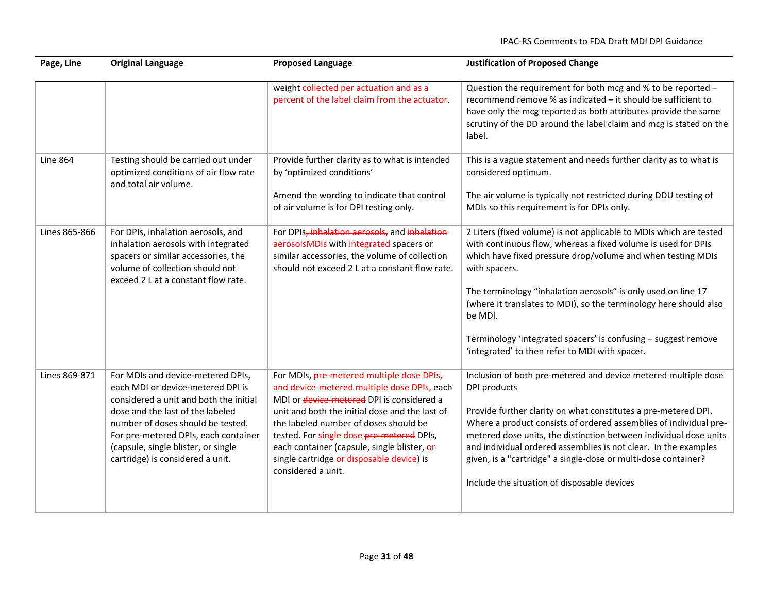| Page, Line      | <b>Original Language</b>                                                                                                                                                                                                                                                                                     | <b>Proposed Language</b>                                                                                                                                                                                                                                                                                                                                                                        | <b>Justification of Proposed Change</b>                                                                                                                                                                                                                                                                                                                                                                                                                                                  |
|-----------------|--------------------------------------------------------------------------------------------------------------------------------------------------------------------------------------------------------------------------------------------------------------------------------------------------------------|-------------------------------------------------------------------------------------------------------------------------------------------------------------------------------------------------------------------------------------------------------------------------------------------------------------------------------------------------------------------------------------------------|------------------------------------------------------------------------------------------------------------------------------------------------------------------------------------------------------------------------------------------------------------------------------------------------------------------------------------------------------------------------------------------------------------------------------------------------------------------------------------------|
|                 |                                                                                                                                                                                                                                                                                                              | weight collected per actuation and as a<br>percent of the label claim from the actuator.                                                                                                                                                                                                                                                                                                        | Question the requirement for both mcg and % to be reported -<br>recommend remove % as indicated - it should be sufficient to<br>have only the mcg reported as both attributes provide the same<br>scrutiny of the DD around the label claim and mcg is stated on the<br>label.                                                                                                                                                                                                           |
| <b>Line 864</b> | Testing should be carried out under<br>optimized conditions of air flow rate<br>and total air volume.                                                                                                                                                                                                        | Provide further clarity as to what is intended<br>by 'optimized conditions'<br>Amend the wording to indicate that control<br>of air volume is for DPI testing only.                                                                                                                                                                                                                             | This is a vague statement and needs further clarity as to what is<br>considered optimum.<br>The air volume is typically not restricted during DDU testing of<br>MDIs so this requirement is for DPIs only.                                                                                                                                                                                                                                                                               |
| Lines 865-866   | For DPIs, inhalation aerosols, and<br>inhalation aerosols with integrated<br>spacers or similar accessories, the<br>volume of collection should not<br>exceed 2 L at a constant flow rate.                                                                                                                   | For DPIs, inhalation aerosols, and inhalation<br>aerosolsMDIs with integrated spacers or<br>similar accessories, the volume of collection<br>should not exceed 2 L at a constant flow rate.                                                                                                                                                                                                     | 2 Liters (fixed volume) is not applicable to MDIs which are tested<br>with continuous flow, whereas a fixed volume is used for DPIs<br>which have fixed pressure drop/volume and when testing MDIs<br>with spacers.<br>The terminology "inhalation aerosols" is only used on line 17<br>(where it translates to MDI), so the terminology here should also<br>be MDI.<br>Terminology 'integrated spacers' is confusing - suggest remove<br>'integrated' to then refer to MDI with spacer. |
| Lines 869-871   | For MDIs and device-metered DPIs,<br>each MDI or device-metered DPI is<br>considered a unit and both the initial<br>dose and the last of the labeled<br>number of doses should be tested.<br>For pre-metered DPIs, each container<br>(capsule, single blister, or single<br>cartridge) is considered a unit. | For MDIs, pre-metered multiple dose DPIs,<br>and device-metered multiple dose DPIs, each<br>MDI or device-metered DPI is considered a<br>unit and both the initial dose and the last of<br>the labeled number of doses should be<br>tested. For single dose pre-metered DPIs,<br>each container (capsule, single blister, or<br>single cartridge or disposable device) is<br>considered a unit. | Inclusion of both pre-metered and device metered multiple dose<br>DPI products<br>Provide further clarity on what constitutes a pre-metered DPI.<br>Where a product consists of ordered assemblies of individual pre-<br>metered dose units, the distinction between individual dose units<br>and individual ordered assemblies is not clear. In the examples<br>given, is a "cartridge" a single-dose or multi-dose container?<br>Include the situation of disposable devices           |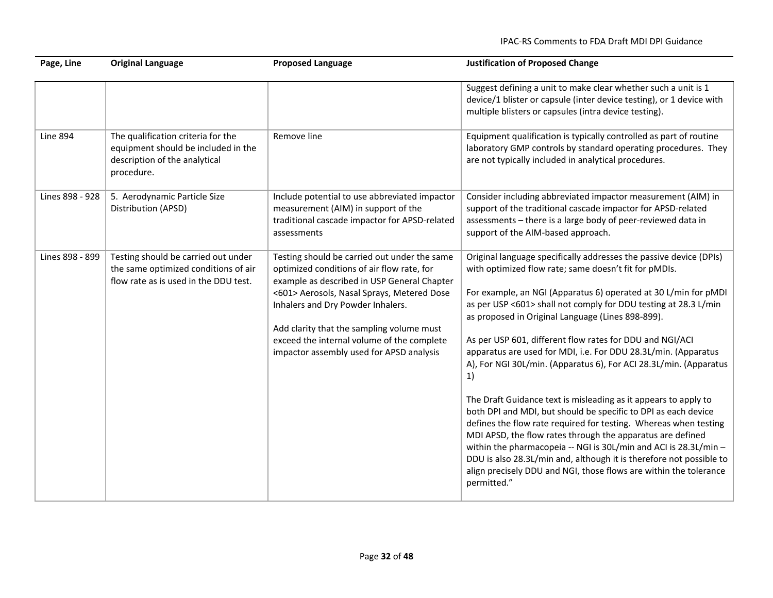| Page, Line      | <b>Original Language</b>                                                                                                 | <b>Proposed Language</b>                                                                                                                                                                                                                                                                                                                                            | <b>Justification of Proposed Change</b>                                                                                                                                                                                                                                                                                                                                                                                                                                                                                                                                                                                                                                                                                                                                                                                                                                                                                                                                                                                               |
|-----------------|--------------------------------------------------------------------------------------------------------------------------|---------------------------------------------------------------------------------------------------------------------------------------------------------------------------------------------------------------------------------------------------------------------------------------------------------------------------------------------------------------------|---------------------------------------------------------------------------------------------------------------------------------------------------------------------------------------------------------------------------------------------------------------------------------------------------------------------------------------------------------------------------------------------------------------------------------------------------------------------------------------------------------------------------------------------------------------------------------------------------------------------------------------------------------------------------------------------------------------------------------------------------------------------------------------------------------------------------------------------------------------------------------------------------------------------------------------------------------------------------------------------------------------------------------------|
|                 |                                                                                                                          |                                                                                                                                                                                                                                                                                                                                                                     | Suggest defining a unit to make clear whether such a unit is 1<br>device/1 blister or capsule (inter device testing), or 1 device with<br>multiple blisters or capsules (intra device testing).                                                                                                                                                                                                                                                                                                                                                                                                                                                                                                                                                                                                                                                                                                                                                                                                                                       |
| Line 894        | The qualification criteria for the<br>equipment should be included in the<br>description of the analytical<br>procedure. | Remove line                                                                                                                                                                                                                                                                                                                                                         | Equipment qualification is typically controlled as part of routine<br>laboratory GMP controls by standard operating procedures. They<br>are not typically included in analytical procedures.                                                                                                                                                                                                                                                                                                                                                                                                                                                                                                                                                                                                                                                                                                                                                                                                                                          |
| Lines 898 - 928 | 5. Aerodynamic Particle Size<br>Distribution (APSD)                                                                      | Include potential to use abbreviated impactor<br>measurement (AIM) in support of the<br>traditional cascade impactor for APSD-related<br>assessments                                                                                                                                                                                                                | Consider including abbreviated impactor measurement (AIM) in<br>support of the traditional cascade impactor for APSD-related<br>assessments - there is a large body of peer-reviewed data in<br>support of the AIM-based approach.                                                                                                                                                                                                                                                                                                                                                                                                                                                                                                                                                                                                                                                                                                                                                                                                    |
| Lines 898 - 899 | Testing should be carried out under<br>the same optimized conditions of air<br>flow rate as is used in the DDU test.     | Testing should be carried out under the same<br>optimized conditions of air flow rate, for<br>example as described in USP General Chapter<br><601> Aerosols, Nasal Sprays, Metered Dose<br>Inhalers and Dry Powder Inhalers.<br>Add clarity that the sampling volume must<br>exceed the internal volume of the complete<br>impactor assembly used for APSD analysis | Original language specifically addresses the passive device (DPIs)<br>with optimized flow rate; same doesn't fit for pMDIs.<br>For example, an NGI (Apparatus 6) operated at 30 L/min for pMDI<br>as per USP <601> shall not comply for DDU testing at 28.3 L/min<br>as proposed in Original Language (Lines 898-899).<br>As per USP 601, different flow rates for DDU and NGI/ACI<br>apparatus are used for MDI, i.e. For DDU 28.3L/min. (Apparatus<br>A), For NGI 30L/min. (Apparatus 6), For ACI 28.3L/min. (Apparatus<br>1)<br>The Draft Guidance text is misleading as it appears to apply to<br>both DPI and MDI, but should be specific to DPI as each device<br>defines the flow rate required for testing. Whereas when testing<br>MDI APSD, the flow rates through the apparatus are defined<br>within the pharmacopeia -- NGI is 30L/min and ACI is 28.3L/min -<br>DDU is also 28.3L/min and, although it is therefore not possible to<br>align precisely DDU and NGI, those flows are within the tolerance<br>permitted." |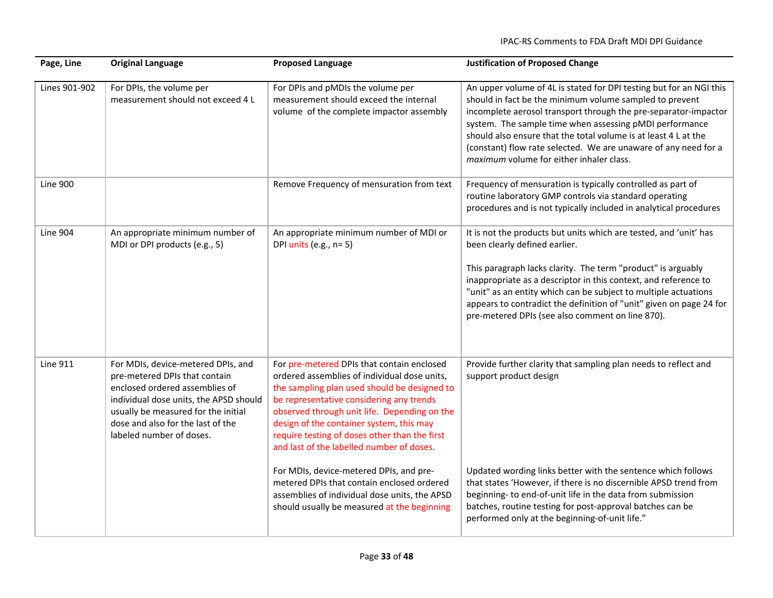| Page, Line      | <b>Original Language</b>                                                                                                                                                                                                                                | <b>Proposed Language</b>                                                                                                                                                                                                                                                                                                                                                         | <b>Justification of Proposed Change</b>                                                                                                                                                                                                                                                                                                                                                                                                        |
|-----------------|---------------------------------------------------------------------------------------------------------------------------------------------------------------------------------------------------------------------------------------------------------|----------------------------------------------------------------------------------------------------------------------------------------------------------------------------------------------------------------------------------------------------------------------------------------------------------------------------------------------------------------------------------|------------------------------------------------------------------------------------------------------------------------------------------------------------------------------------------------------------------------------------------------------------------------------------------------------------------------------------------------------------------------------------------------------------------------------------------------|
| Lines 901-902   | For DPIs, the volume per<br>measurement should not exceed 4 L                                                                                                                                                                                           | For DPIs and pMDIs the volume per<br>measurement should exceed the internal<br>volume of the complete impactor assembly                                                                                                                                                                                                                                                          | An upper volume of 4L is stated for DPI testing but for an NGI this<br>should in fact be the minimum volume sampled to prevent<br>incomplete aerosol transport through the pre-separator-impactor<br>system. The sample time when assessing pMDI performance<br>should also ensure that the total volume is at least 4 L at the<br>(constant) flow rate selected. We are unaware of any need for a<br>maximum volume for either inhaler class. |
| <b>Line 900</b> |                                                                                                                                                                                                                                                         | Remove Frequency of mensuration from text                                                                                                                                                                                                                                                                                                                                        | Frequency of mensuration is typically controlled as part of<br>routine laboratory GMP controls via standard operating<br>procedures and is not typically included in analytical procedures                                                                                                                                                                                                                                                     |
| <b>Line 904</b> | An appropriate minimum number of<br>MDI or DPI products (e.g., 5)                                                                                                                                                                                       | An appropriate minimum number of MDI or<br>DPI units (e.g., n= 5)                                                                                                                                                                                                                                                                                                                | It is not the products but units which are tested, and 'unit' has<br>been clearly defined earlier.<br>This paragraph lacks clarity. The term "product" is arguably<br>inappropriate as a descriptor in this context, and reference to<br>"unit" as an entity which can be subject to multiple actuations<br>appears to contradict the definition of "unit" given on page 24 for<br>pre-metered DPIs (see also comment on line 870).            |
| <b>Line 911</b> | For MDIs, device-metered DPIs, and<br>pre-metered DPIs that contain<br>enclosed ordered assemblies of<br>individual dose units, the APSD should<br>usually be measured for the initial<br>dose and also for the last of the<br>labeled number of doses. | For pre-metered DPIs that contain enclosed<br>ordered assemblies of individual dose units,<br>the sampling plan used should be designed to<br>be representative considering any trends<br>observed through unit life. Depending on the<br>design of the container system, this may<br>require testing of doses other than the first<br>and last of the labelled number of doses. | Provide further clarity that sampling plan needs to reflect and<br>support product design                                                                                                                                                                                                                                                                                                                                                      |
|                 |                                                                                                                                                                                                                                                         | For MDIs, device-metered DPIs, and pre-<br>metered DPIs that contain enclosed ordered<br>assemblies of individual dose units, the APSD<br>should usually be measured at the beginning                                                                                                                                                                                            | Updated wording links better with the sentence which follows<br>that states 'However, if there is no discernible APSD trend from<br>beginning- to end-of-unit life in the data from submission<br>batches, routine testing for post-approval batches can be<br>performed only at the beginning-of-unit life."                                                                                                                                  |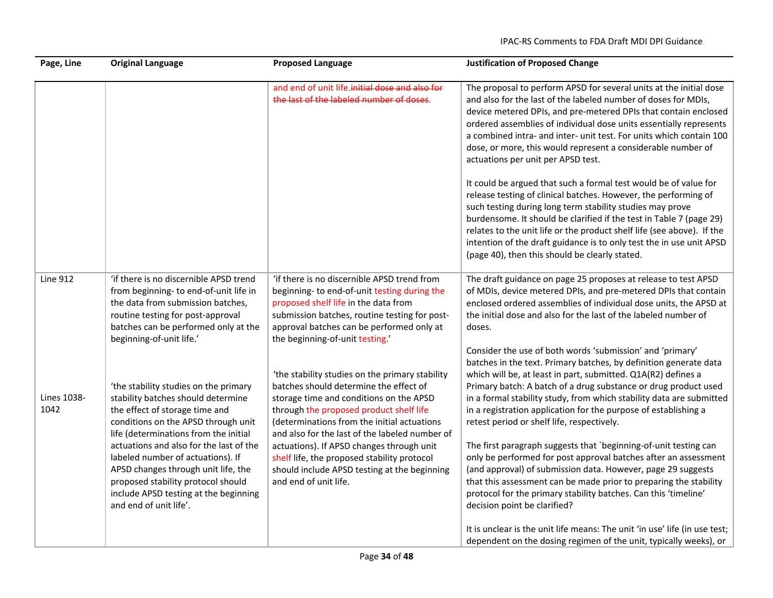| Page, Line          | <b>Original Language</b>                                                                                                                                                                                                                                                                                                                                                                                                      | <b>Proposed Language</b>                                                                                                                                                                                                                                                                                                                                                                                                                              | <b>Justification of Proposed Change</b>                                                                                                                                                                                                                                                                                                                                                                                                                                                                                                                                                                                                                                                                                                                                                                                                    |
|---------------------|-------------------------------------------------------------------------------------------------------------------------------------------------------------------------------------------------------------------------------------------------------------------------------------------------------------------------------------------------------------------------------------------------------------------------------|-------------------------------------------------------------------------------------------------------------------------------------------------------------------------------------------------------------------------------------------------------------------------------------------------------------------------------------------------------------------------------------------------------------------------------------------------------|--------------------------------------------------------------------------------------------------------------------------------------------------------------------------------------------------------------------------------------------------------------------------------------------------------------------------------------------------------------------------------------------------------------------------------------------------------------------------------------------------------------------------------------------------------------------------------------------------------------------------------------------------------------------------------------------------------------------------------------------------------------------------------------------------------------------------------------------|
|                     |                                                                                                                                                                                                                                                                                                                                                                                                                               | and end of unit life.initial dose and also for<br>the last of the labeled number of doses.                                                                                                                                                                                                                                                                                                                                                            | The proposal to perform APSD for several units at the initial dose<br>and also for the last of the labeled number of doses for MDIs,<br>device metered DPIs, and pre-metered DPIs that contain enclosed<br>ordered assemblies of individual dose units essentially represents<br>a combined intra- and inter- unit test. For units which contain 100<br>dose, or more, this would represent a considerable number of<br>actuations per unit per APSD test.                                                                                                                                                                                                                                                                                                                                                                                 |
|                     |                                                                                                                                                                                                                                                                                                                                                                                                                               |                                                                                                                                                                                                                                                                                                                                                                                                                                                       | It could be argued that such a formal test would be of value for<br>release testing of clinical batches. However, the performing of<br>such testing during long term stability studies may prove<br>burdensome. It should be clarified if the test in Table 7 (page 29)<br>relates to the unit life or the product shelf life (see above). If the<br>intention of the draft guidance is to only test the in use unit APSD<br>(page 40), then this should be clearly stated.                                                                                                                                                                                                                                                                                                                                                                |
| <b>Line 912</b>     | 'if there is no discernible APSD trend<br>from beginning- to end-of-unit life in<br>the data from submission batches,<br>routine testing for post-approval<br>batches can be performed only at the<br>beginning-of-unit life.'                                                                                                                                                                                                | 'if there is no discernible APSD trend from<br>beginning-to end-of-unit testing during the<br>proposed shelf life in the data from<br>submission batches, routine testing for post-<br>approval batches can be performed only at<br>the beginning-of-unit testing'                                                                                                                                                                                    | The draft guidance on page 25 proposes at release to test APSD<br>of MDIs, device metered DPIs, and pre-metered DPIs that contain<br>enclosed ordered assemblies of individual dose units, the APSD at<br>the initial dose and also for the last of the labeled number of<br>doses.                                                                                                                                                                                                                                                                                                                                                                                                                                                                                                                                                        |
| Lines 1038-<br>1042 | 'the stability studies on the primary<br>stability batches should determine<br>the effect of storage time and<br>conditions on the APSD through unit<br>life (determinations from the initial<br>actuations and also for the last of the<br>labeled number of actuations). If<br>APSD changes through unit life, the<br>proposed stability protocol should<br>include APSD testing at the beginning<br>and end of unit life'. | 'the stability studies on the primary stability<br>batches should determine the effect of<br>storage time and conditions on the APSD<br>through the proposed product shelf life<br>(determinations from the initial actuations<br>and also for the last of the labeled number of<br>actuations). If APSD changes through unit<br>shelf life, the proposed stability protocol<br>should include APSD testing at the beginning<br>and end of unit life. | Consider the use of both words 'submission' and 'primary'<br>batches in the text. Primary batches, by definition generate data<br>which will be, at least in part, submitted. Q1A(R2) defines a<br>Primary batch: A batch of a drug substance or drug product used<br>in a formal stability study, from which stability data are submitted<br>in a registration application for the purpose of establishing a<br>retest period or shelf life, respectively.<br>The first paragraph suggests that `beginning-of-unit testing can<br>only be performed for post approval batches after an assessment<br>(and approval) of submission data. However, page 29 suggests<br>that this assessment can be made prior to preparing the stability<br>protocol for the primary stability batches. Can this 'timeline'<br>decision point be clarified? |
|                     |                                                                                                                                                                                                                                                                                                                                                                                                                               |                                                                                                                                                                                                                                                                                                                                                                                                                                                       | It is unclear is the unit life means: The unit 'in use' life (in use test;<br>dependent on the dosing regimen of the unit, typically weeks), or                                                                                                                                                                                                                                                                                                                                                                                                                                                                                                                                                                                                                                                                                            |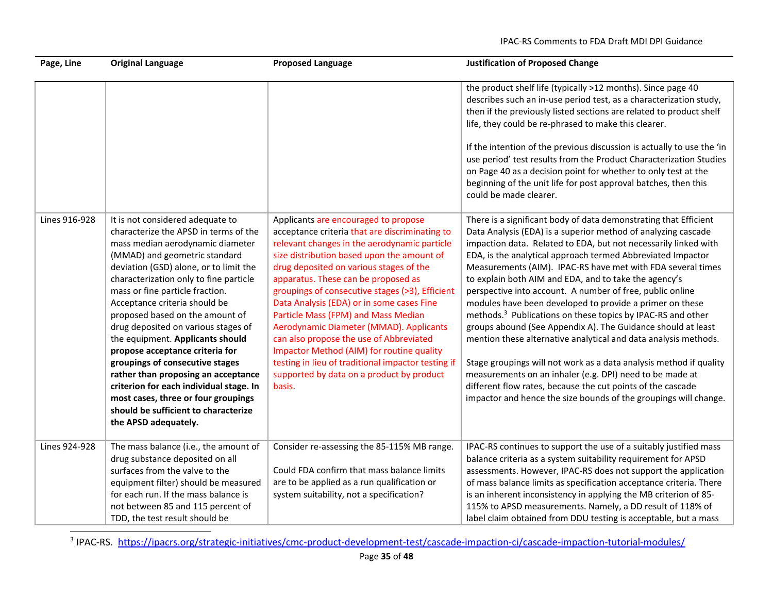| Page, Line    | <b>Original Language</b>                                                                                                                                                                                                                                                                                                                                                                                                                                                                                                                                                                                                                                                            | <b>Proposed Language</b>                                                                                                                                                                                                                                                                                                                                                                                                                                                                                                                                                                                                                                      | <b>Justification of Proposed Change</b>                                                                                                                                                                                                                                                                                                                                                                                                                                                                                                                                                                                                                                                                                                                                                                                                                                                                                                                                                                 |
|---------------|-------------------------------------------------------------------------------------------------------------------------------------------------------------------------------------------------------------------------------------------------------------------------------------------------------------------------------------------------------------------------------------------------------------------------------------------------------------------------------------------------------------------------------------------------------------------------------------------------------------------------------------------------------------------------------------|---------------------------------------------------------------------------------------------------------------------------------------------------------------------------------------------------------------------------------------------------------------------------------------------------------------------------------------------------------------------------------------------------------------------------------------------------------------------------------------------------------------------------------------------------------------------------------------------------------------------------------------------------------------|---------------------------------------------------------------------------------------------------------------------------------------------------------------------------------------------------------------------------------------------------------------------------------------------------------------------------------------------------------------------------------------------------------------------------------------------------------------------------------------------------------------------------------------------------------------------------------------------------------------------------------------------------------------------------------------------------------------------------------------------------------------------------------------------------------------------------------------------------------------------------------------------------------------------------------------------------------------------------------------------------------|
|               |                                                                                                                                                                                                                                                                                                                                                                                                                                                                                                                                                                                                                                                                                     |                                                                                                                                                                                                                                                                                                                                                                                                                                                                                                                                                                                                                                                               | the product shelf life (typically >12 months). Since page 40<br>describes such an in-use period test, as a characterization study,<br>then if the previously listed sections are related to product shelf<br>life, they could be re-phrased to make this clearer.<br>If the intention of the previous discussion is actually to use the 'in<br>use period' test results from the Product Characterization Studies<br>on Page 40 as a decision point for whether to only test at the<br>beginning of the unit life for post approval batches, then this<br>could be made clearer.                                                                                                                                                                                                                                                                                                                                                                                                                        |
| Lines 916-928 | It is not considered adequate to<br>characterize the APSD in terms of the<br>mass median aerodynamic diameter<br>(MMAD) and geometric standard<br>deviation (GSD) alone, or to limit the<br>characterization only to fine particle<br>mass or fine particle fraction.<br>Acceptance criteria should be<br>proposed based on the amount of<br>drug deposited on various stages of<br>the equipment. Applicants should<br>propose acceptance criteria for<br>groupings of consecutive stages<br>rather than proposing an acceptance<br>criterion for each individual stage. In<br>most cases, three or four groupings<br>should be sufficient to characterize<br>the APSD adequately. | Applicants are encouraged to propose<br>acceptance criteria that are discriminating to<br>relevant changes in the aerodynamic particle<br>size distribution based upon the amount of<br>drug deposited on various stages of the<br>apparatus. These can be proposed as<br>groupings of consecutive stages (>3), Efficient<br>Data Analysis (EDA) or in some cases Fine<br>Particle Mass (FPM) and Mass Median<br>Aerodynamic Diameter (MMAD). Applicants<br>can also propose the use of Abbreviated<br>Impactor Method (AIM) for routine quality<br>testing in lieu of traditional impactor testing if<br>supported by data on a product by product<br>basis. | There is a significant body of data demonstrating that Efficient<br>Data Analysis (EDA) is a superior method of analyzing cascade<br>impaction data. Related to EDA, but not necessarily linked with<br>EDA, is the analytical approach termed Abbreviated Impactor<br>Measurements (AIM). IPAC-RS have met with FDA several times<br>to explain both AIM and EDA, and to take the agency's<br>perspective into account. A number of free, public online<br>modules have been developed to provide a primer on these<br>methods. <sup>3</sup> Publications on these topics by IPAC-RS and other<br>groups abound (See Appendix A). The Guidance should at least<br>mention these alternative analytical and data analysis methods.<br>Stage groupings will not work as a data analysis method if quality<br>measurements on an inhaler (e.g. DPI) need to be made at<br>different flow rates, because the cut points of the cascade<br>impactor and hence the size bounds of the groupings will change. |
| Lines 924-928 | The mass balance (i.e., the amount of<br>drug substance deposited on all<br>surfaces from the valve to the<br>equipment filter) should be measured<br>for each run. If the mass balance is<br>not between 85 and 115 percent of<br>TDD, the test result should be                                                                                                                                                                                                                                                                                                                                                                                                                   | Consider re-assessing the 85-115% MB range.<br>Could FDA confirm that mass balance limits<br>are to be applied as a run qualification or<br>system suitability, not a specification?                                                                                                                                                                                                                                                                                                                                                                                                                                                                          | IPAC-RS continues to support the use of a suitably justified mass<br>balance criteria as a system suitability requirement for APSD<br>assessments. However, IPAC-RS does not support the application<br>of mass balance limits as specification acceptance criteria. There<br>is an inherent inconsistency in applying the MB criterion of 85-<br>115% to APSD measurements. Namely, a DD result of 118% of<br>label claim obtained from DDU testing is acceptable, but a mass                                                                                                                                                                                                                                                                                                                                                                                                                                                                                                                          |

<sup>3</sup> IPAC-RS. https://ipacrs.org/strategic-initiatives/cmc-product-development-test/cascade-impaction-ci/cascade-impaction-tutorial-modules/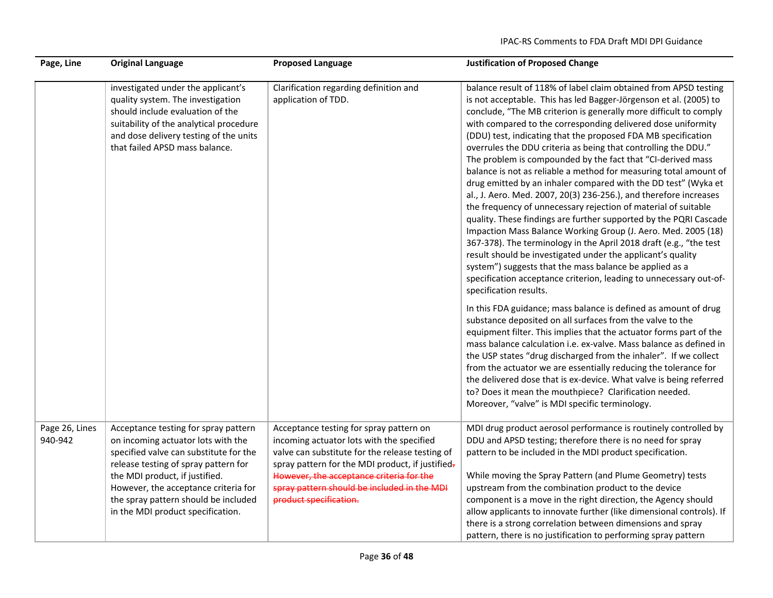| Page, Line                | <b>Original Language</b>                                                                                                                                                                                                                                                                                            | <b>Proposed Language</b>                                                                                                                                                                                                                                                                                         | <b>Justification of Proposed Change</b>                                                                                                                                                                                                                                                                                                                                                                                                                                                                                                                                                                                                                                                                                                                                                                                                                                                                                                                                                                                                                                                                                                                                                          |
|---------------------------|---------------------------------------------------------------------------------------------------------------------------------------------------------------------------------------------------------------------------------------------------------------------------------------------------------------------|------------------------------------------------------------------------------------------------------------------------------------------------------------------------------------------------------------------------------------------------------------------------------------------------------------------|--------------------------------------------------------------------------------------------------------------------------------------------------------------------------------------------------------------------------------------------------------------------------------------------------------------------------------------------------------------------------------------------------------------------------------------------------------------------------------------------------------------------------------------------------------------------------------------------------------------------------------------------------------------------------------------------------------------------------------------------------------------------------------------------------------------------------------------------------------------------------------------------------------------------------------------------------------------------------------------------------------------------------------------------------------------------------------------------------------------------------------------------------------------------------------------------------|
|                           | investigated under the applicant's<br>quality system. The investigation<br>should include evaluation of the<br>suitability of the analytical procedure<br>and dose delivery testing of the units<br>that failed APSD mass balance.                                                                                  | Clarification regarding definition and<br>application of TDD.                                                                                                                                                                                                                                                    | balance result of 118% of label claim obtained from APSD testing<br>is not acceptable. This has led Bagger-Jörgenson et al. (2005) to<br>conclude, "The MB criterion is generally more difficult to comply<br>with compared to the corresponding delivered dose uniformity<br>(DDU) test, indicating that the proposed FDA MB specification<br>overrules the DDU criteria as being that controlling the DDU."<br>The problem is compounded by the fact that "CI-derived mass<br>balance is not as reliable a method for measuring total amount of<br>drug emitted by an inhaler compared with the DD test" (Wyka et<br>al., J. Aero. Med. 2007, 20(3) 236-256.), and therefore increases<br>the frequency of unnecessary rejection of material of suitable<br>quality. These findings are further supported by the PQRI Cascade<br>Impaction Mass Balance Working Group (J. Aero. Med. 2005 (18)<br>367-378). The terminology in the April 2018 draft (e.g., "the test<br>result should be investigated under the applicant's quality<br>system") suggests that the mass balance be applied as a<br>specification acceptance criterion, leading to unnecessary out-of-<br>specification results. |
|                           |                                                                                                                                                                                                                                                                                                                     |                                                                                                                                                                                                                                                                                                                  | In this FDA guidance; mass balance is defined as amount of drug<br>substance deposited on all surfaces from the valve to the<br>equipment filter. This implies that the actuator forms part of the<br>mass balance calculation i.e. ex-valve. Mass balance as defined in<br>the USP states "drug discharged from the inhaler". If we collect<br>from the actuator we are essentially reducing the tolerance for<br>the delivered dose that is ex-device. What valve is being referred<br>to? Does it mean the mouthpiece? Clarification needed.<br>Moreover, "valve" is MDI specific terminology.                                                                                                                                                                                                                                                                                                                                                                                                                                                                                                                                                                                                |
| Page 26, Lines<br>940-942 | Acceptance testing for spray pattern<br>on incoming actuator lots with the<br>specified valve can substitute for the<br>release testing of spray pattern for<br>the MDI product, if justified.<br>However, the acceptance criteria for<br>the spray pattern should be included<br>in the MDI product specification. | Acceptance testing for spray pattern on<br>incoming actuator lots with the specified<br>valve can substitute for the release testing of<br>spray pattern for the MDI product, if justified-<br>However, the acceptance criteria for the<br>spray pattern should be included in the MDI<br>product specification. | MDI drug product aerosol performance is routinely controlled by<br>DDU and APSD testing; therefore there is no need for spray<br>pattern to be included in the MDI product specification.<br>While moving the Spray Pattern (and Plume Geometry) tests<br>upstream from the combination product to the device<br>component is a move in the right direction, the Agency should<br>allow applicants to innovate further (like dimensional controls). If<br>there is a strong correlation between dimensions and spray<br>pattern, there is no justification to performing spray pattern                                                                                                                                                                                                                                                                                                                                                                                                                                                                                                                                                                                                           |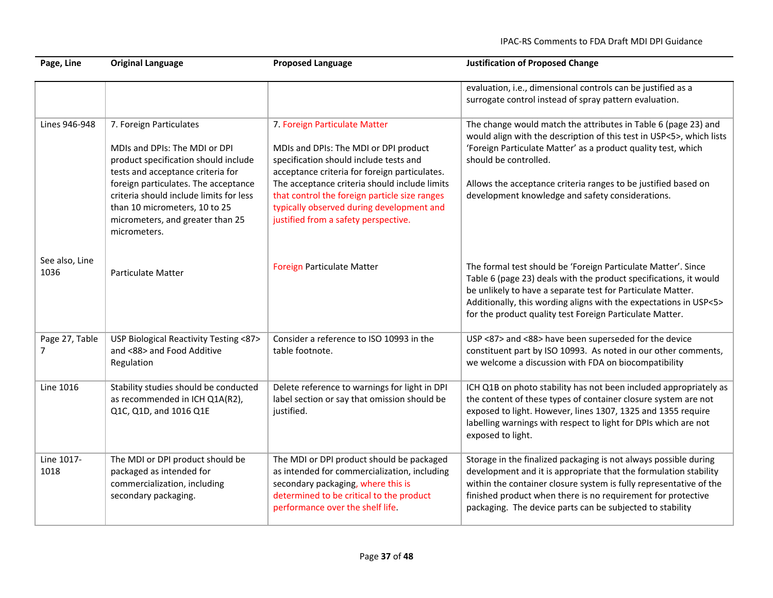| Page, Line             | <b>Original Language</b>                                                                                                                                                                                                                                                                                      | <b>Proposed Language</b>                                                                                                                                                                                                                                                                                                                                 | <b>Justification of Proposed Change</b>                                                                                                                                                                                                                                                                                                                |
|------------------------|---------------------------------------------------------------------------------------------------------------------------------------------------------------------------------------------------------------------------------------------------------------------------------------------------------------|----------------------------------------------------------------------------------------------------------------------------------------------------------------------------------------------------------------------------------------------------------------------------------------------------------------------------------------------------------|--------------------------------------------------------------------------------------------------------------------------------------------------------------------------------------------------------------------------------------------------------------------------------------------------------------------------------------------------------|
|                        |                                                                                                                                                                                                                                                                                                               |                                                                                                                                                                                                                                                                                                                                                          | evaluation, i.e., dimensional controls can be justified as a<br>surrogate control instead of spray pattern evaluation.                                                                                                                                                                                                                                 |
| Lines 946-948          | 7. Foreign Particulates<br>MDIs and DPIs: The MDI or DPI<br>product specification should include<br>tests and acceptance criteria for<br>foreign particulates. The acceptance<br>criteria should include limits for less<br>than 10 micrometers, 10 to 25<br>micrometers, and greater than 25<br>micrometers. | 7. Foreign Particulate Matter<br>MDIs and DPIs: The MDI or DPI product<br>specification should include tests and<br>acceptance criteria for foreign particulates.<br>The acceptance criteria should include limits<br>that control the foreign particle size ranges<br>typically observed during development and<br>justified from a safety perspective. | The change would match the attributes in Table 6 (page 23) and<br>would align with the description of this test in USP<5>, which lists<br>'Foreign Particulate Matter' as a product quality test, which<br>should be controlled.<br>Allows the acceptance criteria ranges to be justified based on<br>development knowledge and safety considerations. |
| See also, Line<br>1036 | <b>Particulate Matter</b>                                                                                                                                                                                                                                                                                     | <b>Foreign Particulate Matter</b>                                                                                                                                                                                                                                                                                                                        | The formal test should be 'Foreign Particulate Matter'. Since<br>Table 6 (page 23) deals with the product specifications, it would<br>be unlikely to have a separate test for Particulate Matter.<br>Additionally, this wording aligns with the expectations in USP<5><br>for the product quality test Foreign Particulate Matter.                     |
| Page 27, Table<br>7    | USP Biological Reactivity Testing <87><br>and <88> and Food Additive<br>Regulation                                                                                                                                                                                                                            | Consider a reference to ISO 10993 in the<br>table footnote.                                                                                                                                                                                                                                                                                              | USP <87> and <88> have been superseded for the device<br>constituent part by ISO 10993. As noted in our other comments,<br>we welcome a discussion with FDA on biocompatibility                                                                                                                                                                        |
| Line 1016              | Stability studies should be conducted<br>as recommended in ICH Q1A(R2),<br>Q1C, Q1D, and 1016 Q1E                                                                                                                                                                                                             | Delete reference to warnings for light in DPI<br>label section or say that omission should be<br>justified.                                                                                                                                                                                                                                              | ICH Q1B on photo stability has not been included appropriately as<br>the content of these types of container closure system are not<br>exposed to light. However, lines 1307, 1325 and 1355 require<br>labelling warnings with respect to light for DPIs which are not<br>exposed to light.                                                            |
| Line 1017-<br>1018     | The MDI or DPI product should be<br>packaged as intended for<br>commercialization, including<br>secondary packaging.                                                                                                                                                                                          | The MDI or DPI product should be packaged<br>as intended for commercialization, including<br>secondary packaging, where this is<br>determined to be critical to the product<br>performance over the shelf life.                                                                                                                                          | Storage in the finalized packaging is not always possible during<br>development and it is appropriate that the formulation stability<br>within the container closure system is fully representative of the<br>finished product when there is no requirement for protective<br>packaging. The device parts can be subjected to stability                |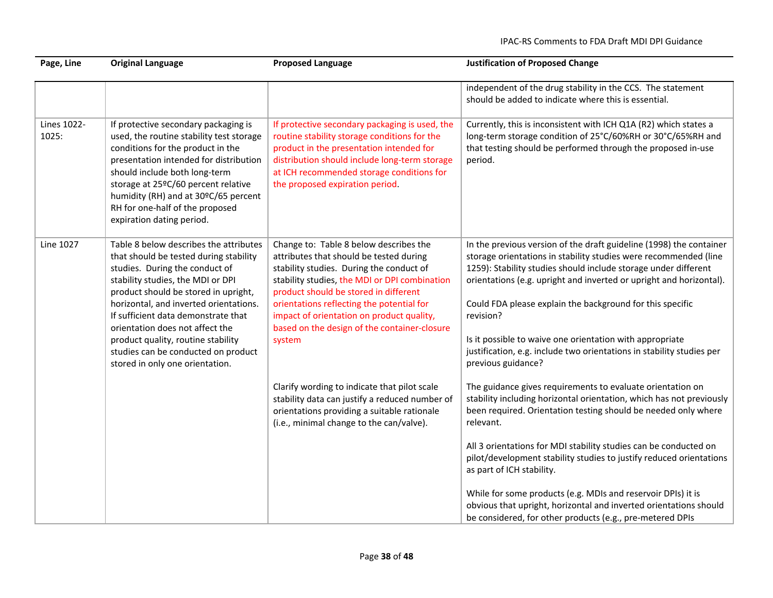| Page, Line           | <b>Original Language</b>                                                                                                                                                                                                                                                                                                                                                                                                            | <b>Proposed Language</b>                                                                                                                                                                                                                                                                                                                                                    | <b>Justification of Proposed Change</b>                                                                                                                                                                                                                                                                                                                                                                                                                                                                                |
|----------------------|-------------------------------------------------------------------------------------------------------------------------------------------------------------------------------------------------------------------------------------------------------------------------------------------------------------------------------------------------------------------------------------------------------------------------------------|-----------------------------------------------------------------------------------------------------------------------------------------------------------------------------------------------------------------------------------------------------------------------------------------------------------------------------------------------------------------------------|------------------------------------------------------------------------------------------------------------------------------------------------------------------------------------------------------------------------------------------------------------------------------------------------------------------------------------------------------------------------------------------------------------------------------------------------------------------------------------------------------------------------|
|                      |                                                                                                                                                                                                                                                                                                                                                                                                                                     |                                                                                                                                                                                                                                                                                                                                                                             | independent of the drug stability in the CCS. The statement<br>should be added to indicate where this is essential.                                                                                                                                                                                                                                                                                                                                                                                                    |
| Lines 1022-<br>1025: | If protective secondary packaging is<br>used, the routine stability test storage<br>conditions for the product in the<br>presentation intended for distribution<br>should include both long-term<br>storage at 25°C/60 percent relative<br>humidity (RH) and at 30°C/65 percent<br>RH for one-half of the proposed<br>expiration dating period.                                                                                     | If protective secondary packaging is used, the<br>routine stability storage conditions for the<br>product in the presentation intended for<br>distribution should include long-term storage<br>at ICH recommended storage conditions for<br>the proposed expiration period.                                                                                                 | Currently, this is inconsistent with ICH Q1A (R2) which states a<br>long-term storage condition of 25°C/60%RH or 30°C/65%RH and<br>that testing should be performed through the proposed in-use<br>period.                                                                                                                                                                                                                                                                                                             |
| Line 1027            | Table 8 below describes the attributes<br>that should be tested during stability<br>studies. During the conduct of<br>stability studies, the MDI or DPI<br>product should be stored in upright,<br>horizontal, and inverted orientations.<br>If sufficient data demonstrate that<br>orientation does not affect the<br>product quality, routine stability<br>studies can be conducted on product<br>stored in only one orientation. | Change to: Table 8 below describes the<br>attributes that should be tested during<br>stability studies. During the conduct of<br>stability studies, the MDI or DPI combination<br>product should be stored in different<br>orientations reflecting the potential for<br>impact of orientation on product quality,<br>based on the design of the container-closure<br>system | In the previous version of the draft guideline (1998) the container<br>storage orientations in stability studies were recommended (line<br>1259): Stability studies should include storage under different<br>orientations (e.g. upright and inverted or upright and horizontal).<br>Could FDA please explain the background for this specific<br>revision?<br>Is it possible to waive one orientation with appropriate<br>justification, e.g. include two orientations in stability studies per<br>previous guidance? |
|                      |                                                                                                                                                                                                                                                                                                                                                                                                                                     | Clarify wording to indicate that pilot scale<br>stability data can justify a reduced number of<br>orientations providing a suitable rationale<br>(i.e., minimal change to the can/valve).                                                                                                                                                                                   | The guidance gives requirements to evaluate orientation on<br>stability including horizontal orientation, which has not previously<br>been required. Orientation testing should be needed only where<br>relevant.<br>All 3 orientations for MDI stability studies can be conducted on                                                                                                                                                                                                                                  |
|                      |                                                                                                                                                                                                                                                                                                                                                                                                                                     |                                                                                                                                                                                                                                                                                                                                                                             | pilot/development stability studies to justify reduced orientations<br>as part of ICH stability.                                                                                                                                                                                                                                                                                                                                                                                                                       |
|                      |                                                                                                                                                                                                                                                                                                                                                                                                                                     |                                                                                                                                                                                                                                                                                                                                                                             | While for some products (e.g. MDIs and reservoir DPIs) it is<br>obvious that upright, horizontal and inverted orientations should<br>be considered, for other products (e.g., pre-metered DPIs                                                                                                                                                                                                                                                                                                                         |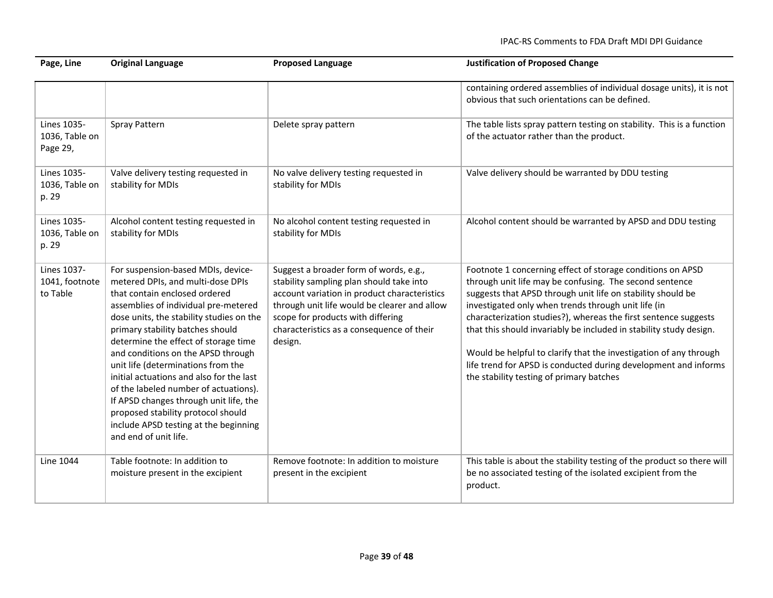| Page, Line                                | <b>Original Language</b>                                                                                                                                                                                                                                                                                                                                                                                                                                                                                                                                                                    | <b>Proposed Language</b>                                                                                                                                                                                                                                                        | <b>Justification of Proposed Change</b>                                                                                                                                                                                                                                                                                                                                                                                                                                                                                                                                  |
|-------------------------------------------|---------------------------------------------------------------------------------------------------------------------------------------------------------------------------------------------------------------------------------------------------------------------------------------------------------------------------------------------------------------------------------------------------------------------------------------------------------------------------------------------------------------------------------------------------------------------------------------------|---------------------------------------------------------------------------------------------------------------------------------------------------------------------------------------------------------------------------------------------------------------------------------|--------------------------------------------------------------------------------------------------------------------------------------------------------------------------------------------------------------------------------------------------------------------------------------------------------------------------------------------------------------------------------------------------------------------------------------------------------------------------------------------------------------------------------------------------------------------------|
|                                           |                                                                                                                                                                                                                                                                                                                                                                                                                                                                                                                                                                                             |                                                                                                                                                                                                                                                                                 | containing ordered assemblies of individual dosage units), it is not<br>obvious that such orientations can be defined.                                                                                                                                                                                                                                                                                                                                                                                                                                                   |
| Lines 1035-<br>1036, Table on<br>Page 29, | Spray Pattern                                                                                                                                                                                                                                                                                                                                                                                                                                                                                                                                                                               | Delete spray pattern                                                                                                                                                                                                                                                            | The table lists spray pattern testing on stability. This is a function<br>of the actuator rather than the product.                                                                                                                                                                                                                                                                                                                                                                                                                                                       |
| Lines 1035-<br>1036, Table on<br>p. 29    | Valve delivery testing requested in<br>stability for MDIs                                                                                                                                                                                                                                                                                                                                                                                                                                                                                                                                   | No valve delivery testing requested in<br>stability for MDIs                                                                                                                                                                                                                    | Valve delivery should be warranted by DDU testing                                                                                                                                                                                                                                                                                                                                                                                                                                                                                                                        |
| Lines 1035-<br>1036, Table on<br>p. 29    | Alcohol content testing requested in<br>stability for MDIs                                                                                                                                                                                                                                                                                                                                                                                                                                                                                                                                  | No alcohol content testing requested in<br>stability for MDIs                                                                                                                                                                                                                   | Alcohol content should be warranted by APSD and DDU testing                                                                                                                                                                                                                                                                                                                                                                                                                                                                                                              |
| Lines 1037-<br>1041, footnote<br>to Table | For suspension-based MDIs, device-<br>metered DPIs, and multi-dose DPIs<br>that contain enclosed ordered<br>assemblies of individual pre-metered<br>dose units, the stability studies on the<br>primary stability batches should<br>determine the effect of storage time<br>and conditions on the APSD through<br>unit life (determinations from the<br>initial actuations and also for the last<br>of the labeled number of actuations).<br>If APSD changes through unit life, the<br>proposed stability protocol should<br>include APSD testing at the beginning<br>and end of unit life. | Suggest a broader form of words, e.g.,<br>stability sampling plan should take into<br>account variation in product characteristics<br>through unit life would be clearer and allow<br>scope for products with differing<br>characteristics as a consequence of their<br>design. | Footnote 1 concerning effect of storage conditions on APSD<br>through unit life may be confusing. The second sentence<br>suggests that APSD through unit life on stability should be<br>investigated only when trends through unit life (in<br>characterization studies?), whereas the first sentence suggests<br>that this should invariably be included in stability study design.<br>Would be helpful to clarify that the investigation of any through<br>life trend for APSD is conducted during development and informs<br>the stability testing of primary batches |
| <b>Line 1044</b>                          | Table footnote: In addition to<br>moisture present in the excipient                                                                                                                                                                                                                                                                                                                                                                                                                                                                                                                         | Remove footnote: In addition to moisture<br>present in the excipient                                                                                                                                                                                                            | This table is about the stability testing of the product so there will<br>be no associated testing of the isolated excipient from the<br>product.                                                                                                                                                                                                                                                                                                                                                                                                                        |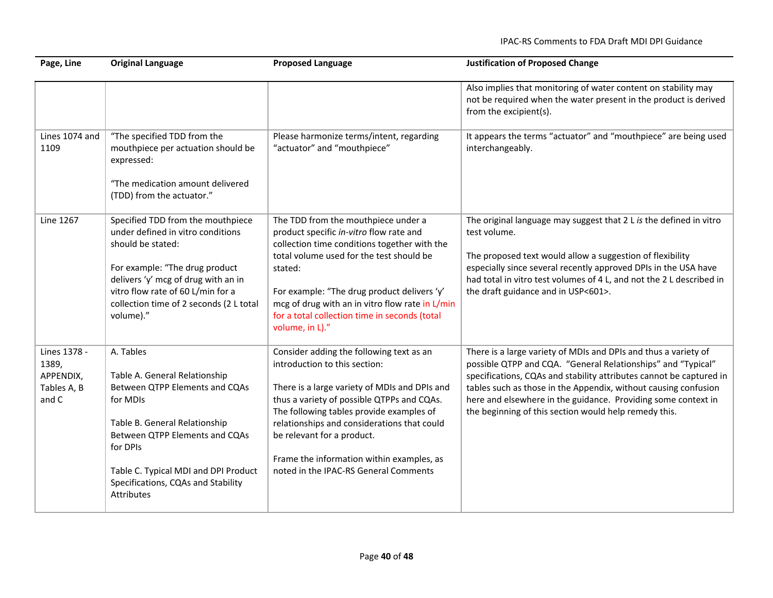| Page, Line                                                 | <b>Original Language</b>                                                                                                                                                                                                                                                   | <b>Proposed Language</b>                                                                                                                                                                                                                                                                                                                                                                | <b>Justification of Proposed Change</b>                                                                                                                                                                                                                                                                                                                                                             |
|------------------------------------------------------------|----------------------------------------------------------------------------------------------------------------------------------------------------------------------------------------------------------------------------------------------------------------------------|-----------------------------------------------------------------------------------------------------------------------------------------------------------------------------------------------------------------------------------------------------------------------------------------------------------------------------------------------------------------------------------------|-----------------------------------------------------------------------------------------------------------------------------------------------------------------------------------------------------------------------------------------------------------------------------------------------------------------------------------------------------------------------------------------------------|
|                                                            |                                                                                                                                                                                                                                                                            |                                                                                                                                                                                                                                                                                                                                                                                         | Also implies that monitoring of water content on stability may<br>not be required when the water present in the product is derived<br>from the excipient(s).                                                                                                                                                                                                                                        |
| Lines 1074 and<br>1109                                     | "The specified TDD from the<br>mouthpiece per actuation should be<br>expressed:<br>"The medication amount delivered<br>(TDD) from the actuator."                                                                                                                           | Please harmonize terms/intent, regarding<br>"actuator" and "mouthpiece"                                                                                                                                                                                                                                                                                                                 | It appears the terms "actuator" and "mouthpiece" are being used<br>interchangeably.                                                                                                                                                                                                                                                                                                                 |
| Line 1267                                                  | Specified TDD from the mouthpiece<br>under defined in vitro conditions<br>should be stated:<br>For example: "The drug product<br>delivers 'y' mcg of drug with an in<br>vitro flow rate of 60 L/min for a<br>collection time of 2 seconds (2 L total<br>volume)."          | The TDD from the mouthpiece under a<br>product specific in-vitro flow rate and<br>collection time conditions together with the<br>total volume used for the test should be<br>stated:<br>For example: "The drug product delivers 'y'<br>mcg of drug with an in vitro flow rate in L/min<br>for a total collection time in seconds (total<br>volume, in L)."                             | The original language may suggest that 2 L is the defined in vitro<br>test volume.<br>The proposed text would allow a suggestion of flexibility<br>especially since several recently approved DPIs in the USA have<br>had total in vitro test volumes of 4 L, and not the 2 L described in<br>the draft guidance and in USP<601>.                                                                   |
| Lines 1378 -<br>1389,<br>APPENDIX,<br>Tables A, B<br>and C | A. Tables<br>Table A. General Relationship<br>Between QTPP Elements and CQAs<br>for MDIs<br>Table B. General Relationship<br>Between QTPP Elements and CQAs<br>for DPIs<br>Table C. Typical MDI and DPI Product<br>Specifications, CQAs and Stability<br><b>Attributes</b> | Consider adding the following text as an<br>introduction to this section:<br>There is a large variety of MDIs and DPIs and<br>thus a variety of possible QTPPs and CQAs.<br>The following tables provide examples of<br>relationships and considerations that could<br>be relevant for a product.<br>Frame the information within examples, as<br>noted in the IPAC-RS General Comments | There is a large variety of MDIs and DPIs and thus a variety of<br>possible QTPP and CQA. "General Relationships" and "Typical"<br>specifications, CQAs and stability attributes cannot be captured in<br>tables such as those in the Appendix, without causing confusion<br>here and elsewhere in the guidance. Providing some context in<br>the beginning of this section would help remedy this. |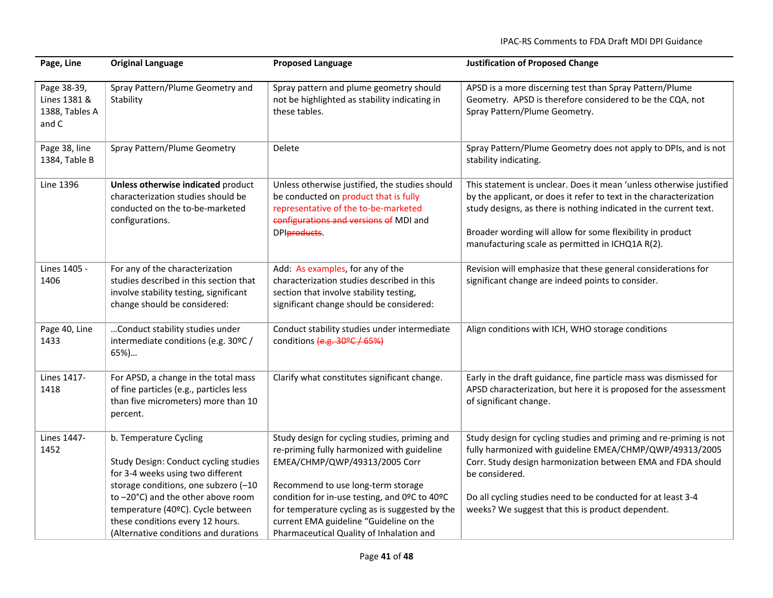| Page, Line                                             | <b>Original Language</b>                                                                                                                                                                                                                                                                            | <b>Proposed Language</b>                                                                                                                                                                                                                                                                                                                                     | <b>Justification of Proposed Change</b>                                                                                                                                                                                                                                                                                              |
|--------------------------------------------------------|-----------------------------------------------------------------------------------------------------------------------------------------------------------------------------------------------------------------------------------------------------------------------------------------------------|--------------------------------------------------------------------------------------------------------------------------------------------------------------------------------------------------------------------------------------------------------------------------------------------------------------------------------------------------------------|--------------------------------------------------------------------------------------------------------------------------------------------------------------------------------------------------------------------------------------------------------------------------------------------------------------------------------------|
| Page 38-39,<br>Lines 1381 &<br>1388, Tables A<br>and C | Spray Pattern/Plume Geometry and<br>Stability                                                                                                                                                                                                                                                       | Spray pattern and plume geometry should<br>not be highlighted as stability indicating in<br>these tables.                                                                                                                                                                                                                                                    | APSD is a more discerning test than Spray Pattern/Plume<br>Geometry. APSD is therefore considered to be the CQA, not<br>Spray Pattern/Plume Geometry.                                                                                                                                                                                |
| Page 38, line<br>1384, Table B                         | Spray Pattern/Plume Geometry                                                                                                                                                                                                                                                                        | Delete                                                                                                                                                                                                                                                                                                                                                       | Spray Pattern/Plume Geometry does not apply to DPIs, and is not<br>stability indicating.                                                                                                                                                                                                                                             |
| Line 1396                                              | Unless otherwise indicated product<br>characterization studies should be<br>conducted on the to-be-marketed<br>configurations.                                                                                                                                                                      | Unless otherwise justified, the studies should<br>be conducted on product that is fully<br>representative of the to-be-marketed<br>configurations and versions of MDI and<br>DPIproducts.                                                                                                                                                                    | This statement is unclear. Does it mean 'unless otherwise justified<br>by the applicant, or does it refer to text in the characterization<br>study designs, as there is nothing indicated in the current text.<br>Broader wording will allow for some flexibility in product<br>manufacturing scale as permitted in ICHQ1A R(2).     |
| Lines 1405 -<br>1406                                   | For any of the characterization<br>studies described in this section that<br>involve stability testing, significant<br>change should be considered:                                                                                                                                                 | Add: As examples, for any of the<br>characterization studies described in this<br>section that involve stability testing,<br>significant change should be considered:                                                                                                                                                                                        | Revision will emphasize that these general considerations for<br>significant change are indeed points to consider.                                                                                                                                                                                                                   |
| Page 40, Line<br>1433                                  | Conduct stability studies under<br>intermediate conditions (e.g. 30°C /<br>65%)                                                                                                                                                                                                                     | Conduct stability studies under intermediate<br>conditions (e.g. 30°C / 65%)                                                                                                                                                                                                                                                                                 | Align conditions with ICH, WHO storage conditions                                                                                                                                                                                                                                                                                    |
| Lines 1417-<br>1418                                    | For APSD, a change in the total mass<br>of fine particles (e.g., particles less<br>than five micrometers) more than 10<br>percent.                                                                                                                                                                  | Clarify what constitutes significant change.                                                                                                                                                                                                                                                                                                                 | Early in the draft guidance, fine particle mass was dismissed for<br>APSD characterization, but here it is proposed for the assessment<br>of significant change.                                                                                                                                                                     |
| Lines 1447-<br>1452                                    | b. Temperature Cycling<br>Study Design: Conduct cycling studies<br>for 3-4 weeks using two different<br>storage conditions, one subzero (-10<br>to-20°C) and the other above room<br>temperature (40ºC). Cycle between<br>these conditions every 12 hours.<br>(Alternative conditions and durations | Study design for cycling studies, priming and<br>re-priming fully harmonized with guideline<br>EMEA/CHMP/QWP/49313/2005 Corr<br>Recommend to use long-term storage<br>condition for in-use testing, and 0ºC to 40ºC<br>for temperature cycling as is suggested by the<br>current EMA guideline "Guideline on the<br>Pharmaceutical Quality of Inhalation and | Study design for cycling studies and priming and re-priming is not<br>fully harmonized with guideline EMEA/CHMP/QWP/49313/2005<br>Corr. Study design harmonization between EMA and FDA should<br>be considered.<br>Do all cycling studies need to be conducted for at least 3-4<br>weeks? We suggest that this is product dependent. |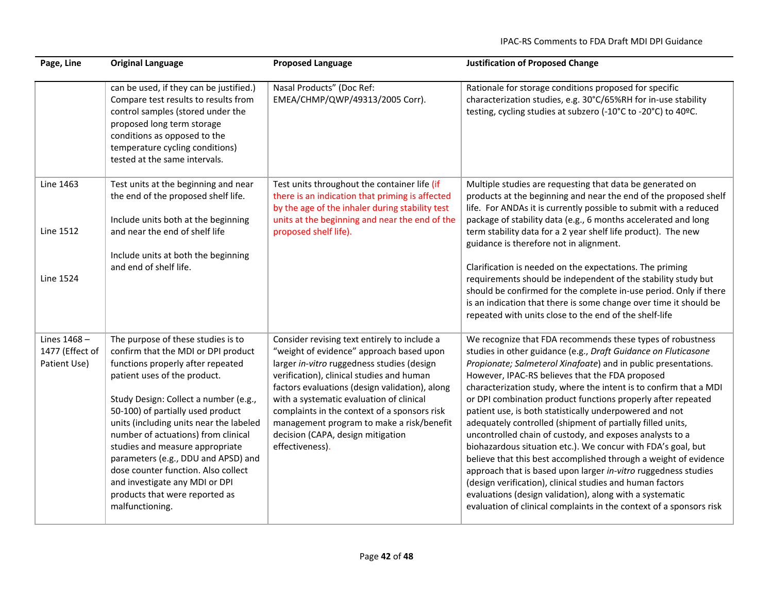| Page, Line                                     | <b>Original Language</b>                                                                                                                                                                                                                                                                                                                                                                                                                                                                                               | <b>Proposed Language</b>                                                                                                                                                                                                                                                                                                                                                                                                               | <b>Justification of Proposed Change</b>                                                                                                                                                                                                                                                                                                                                                                                                                                                                                                                                                                                                                                                                                                                                                                                                                                                                                                                                           |
|------------------------------------------------|------------------------------------------------------------------------------------------------------------------------------------------------------------------------------------------------------------------------------------------------------------------------------------------------------------------------------------------------------------------------------------------------------------------------------------------------------------------------------------------------------------------------|----------------------------------------------------------------------------------------------------------------------------------------------------------------------------------------------------------------------------------------------------------------------------------------------------------------------------------------------------------------------------------------------------------------------------------------|-----------------------------------------------------------------------------------------------------------------------------------------------------------------------------------------------------------------------------------------------------------------------------------------------------------------------------------------------------------------------------------------------------------------------------------------------------------------------------------------------------------------------------------------------------------------------------------------------------------------------------------------------------------------------------------------------------------------------------------------------------------------------------------------------------------------------------------------------------------------------------------------------------------------------------------------------------------------------------------|
|                                                | can be used, if they can be justified.)<br>Compare test results to results from<br>control samples (stored under the<br>proposed long term storage<br>conditions as opposed to the<br>temperature cycling conditions)<br>tested at the same intervals.                                                                                                                                                                                                                                                                 | Nasal Products" (Doc Ref:<br>EMEA/CHMP/QWP/49313/2005 Corr).                                                                                                                                                                                                                                                                                                                                                                           | Rationale for storage conditions proposed for specific<br>characterization studies, e.g. 30°C/65%RH for in-use stability<br>testing, cycling studies at subzero (-10°C to -20°C) to 40°C.                                                                                                                                                                                                                                                                                                                                                                                                                                                                                                                                                                                                                                                                                                                                                                                         |
| Line 1463<br>Line 1512                         | Test units at the beginning and near<br>the end of the proposed shelf life.<br>Include units both at the beginning<br>and near the end of shelf life                                                                                                                                                                                                                                                                                                                                                                   | Test units throughout the container life (if<br>there is an indication that priming is affected<br>by the age of the inhaler during stability test<br>units at the beginning and near the end of the<br>proposed shelf life).                                                                                                                                                                                                          | Multiple studies are requesting that data be generated on<br>products at the beginning and near the end of the proposed shelf<br>life. For ANDAs it is currently possible to submit with a reduced<br>package of stability data (e.g., 6 months accelerated and long<br>term stability data for a 2 year shelf life product). The new<br>guidance is therefore not in alignment.                                                                                                                                                                                                                                                                                                                                                                                                                                                                                                                                                                                                  |
| Line 1524                                      | Include units at both the beginning<br>and end of shelf life.                                                                                                                                                                                                                                                                                                                                                                                                                                                          |                                                                                                                                                                                                                                                                                                                                                                                                                                        | Clarification is needed on the expectations. The priming<br>requirements should be independent of the stability study but<br>should be confirmed for the complete in-use period. Only if there<br>is an indication that there is some change over time it should be<br>repeated with units close to the end of the shelf-life                                                                                                                                                                                                                                                                                                                                                                                                                                                                                                                                                                                                                                                     |
| Lines 1468-<br>1477 (Effect of<br>Patient Use) | The purpose of these studies is to<br>confirm that the MDI or DPI product<br>functions properly after repeated<br>patient uses of the product.<br>Study Design: Collect a number (e.g.,<br>50-100) of partially used product<br>units (including units near the labeled<br>number of actuations) from clinical<br>studies and measure appropriate<br>parameters (e.g., DDU and APSD) and<br>dose counter function. Also collect<br>and investigate any MDI or DPI<br>products that were reported as<br>malfunctioning. | Consider revising text entirely to include a<br>"weight of evidence" approach based upon<br>larger in-vitro ruggedness studies (design<br>verification), clinical studies and human<br>factors evaluations (design validation), along<br>with a systematic evaluation of clinical<br>complaints in the context of a sponsors risk<br>management program to make a risk/benefit<br>decision (CAPA, design mitigation<br>effectiveness). | We recognize that FDA recommends these types of robustness<br>studies in other guidance (e.g., Draft Guidance on Fluticasone<br>Propionate; Salmeterol Xinafoate) and in public presentations.<br>However, IPAC-RS believes that the FDA proposed<br>characterization study, where the intent is to confirm that a MDI<br>or DPI combination product functions properly after repeated<br>patient use, is both statistically underpowered and not<br>adequately controlled (shipment of partially filled units,<br>uncontrolled chain of custody, and exposes analysts to a<br>biohazardous situation etc.). We concur with FDA's goal, but<br>believe that this best accomplished through a weight of evidence<br>approach that is based upon larger in-vitro ruggedness studies<br>(design verification), clinical studies and human factors<br>evaluations (design validation), along with a systematic<br>evaluation of clinical complaints in the context of a sponsors risk |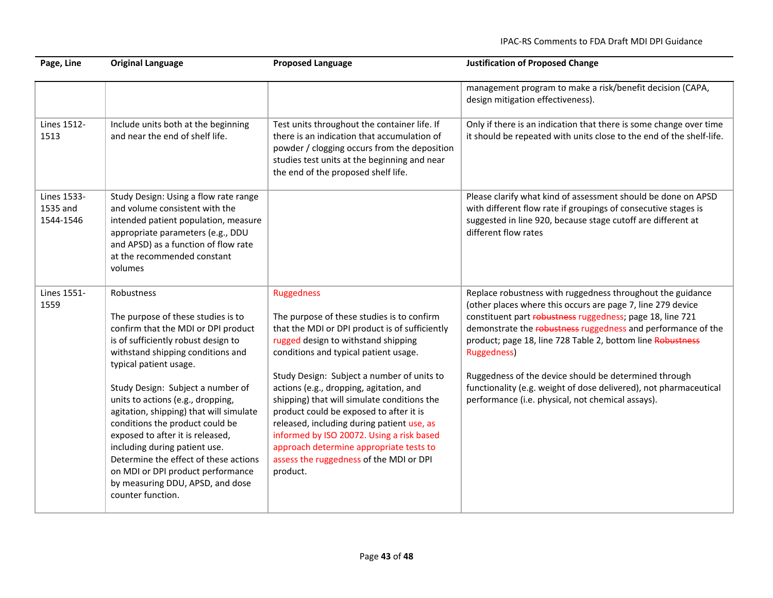| Page, Line                           | <b>Original Language</b>                                                                                                                                                                                                                                                                                                                                                                                                                                                                                                                                          | <b>Proposed Language</b>                                                                                                                                                                                                                                                                                                                                                                                                                                                                                                                                                          | <b>Justification of Proposed Change</b>                                                                                                                                                                                                                                                                                                                                                                                                                                                                                       |
|--------------------------------------|-------------------------------------------------------------------------------------------------------------------------------------------------------------------------------------------------------------------------------------------------------------------------------------------------------------------------------------------------------------------------------------------------------------------------------------------------------------------------------------------------------------------------------------------------------------------|-----------------------------------------------------------------------------------------------------------------------------------------------------------------------------------------------------------------------------------------------------------------------------------------------------------------------------------------------------------------------------------------------------------------------------------------------------------------------------------------------------------------------------------------------------------------------------------|-------------------------------------------------------------------------------------------------------------------------------------------------------------------------------------------------------------------------------------------------------------------------------------------------------------------------------------------------------------------------------------------------------------------------------------------------------------------------------------------------------------------------------|
|                                      |                                                                                                                                                                                                                                                                                                                                                                                                                                                                                                                                                                   |                                                                                                                                                                                                                                                                                                                                                                                                                                                                                                                                                                                   | management program to make a risk/benefit decision (CAPA,<br>design mitigation effectiveness).                                                                                                                                                                                                                                                                                                                                                                                                                                |
| Lines 1512-<br>1513                  | Include units both at the beginning<br>and near the end of shelf life.                                                                                                                                                                                                                                                                                                                                                                                                                                                                                            | Test units throughout the container life. If<br>there is an indication that accumulation of<br>powder / clogging occurs from the deposition<br>studies test units at the beginning and near<br>the end of the proposed shelf life.                                                                                                                                                                                                                                                                                                                                                | Only if there is an indication that there is some change over time<br>it should be repeated with units close to the end of the shelf-life.                                                                                                                                                                                                                                                                                                                                                                                    |
| Lines 1533-<br>1535 and<br>1544-1546 | Study Design: Using a flow rate range<br>and volume consistent with the<br>intended patient population, measure<br>appropriate parameters (e.g., DDU<br>and APSD) as a function of flow rate<br>at the recommended constant<br>volumes                                                                                                                                                                                                                                                                                                                            |                                                                                                                                                                                                                                                                                                                                                                                                                                                                                                                                                                                   | Please clarify what kind of assessment should be done on APSD<br>with different flow rate if groupings of consecutive stages is<br>suggested in line 920, because stage cutoff are different at<br>different flow rates                                                                                                                                                                                                                                                                                                       |
| <b>Lines 1551-</b><br>1559           | Robustness<br>The purpose of these studies is to<br>confirm that the MDI or DPI product<br>is of sufficiently robust design to<br>withstand shipping conditions and<br>typical patient usage.<br>Study Design: Subject a number of<br>units to actions (e.g., dropping,<br>agitation, shipping) that will simulate<br>conditions the product could be<br>exposed to after it is released,<br>including during patient use.<br>Determine the effect of these actions<br>on MDI or DPI product performance<br>by measuring DDU, APSD, and dose<br>counter function. | <b>Ruggedness</b><br>The purpose of these studies is to confirm<br>that the MDI or DPI product is of sufficiently<br>rugged design to withstand shipping<br>conditions and typical patient usage.<br>Study Design: Subject a number of units to<br>actions (e.g., dropping, agitation, and<br>shipping) that will simulate conditions the<br>product could be exposed to after it is<br>released, including during patient use, as<br>informed by ISO 20072. Using a risk based<br>approach determine appropriate tests to<br>assess the ruggedness of the MDI or DPI<br>product. | Replace robustness with ruggedness throughout the guidance<br>(other places where this occurs are page 7, line 279 device<br>constituent part robustness ruggedness; page 18, line 721<br>demonstrate the robustness ruggedness and performance of the<br>product; page 18, line 728 Table 2, bottom line Robustness<br><b>Ruggedness)</b><br>Ruggedness of the device should be determined through<br>functionality (e.g. weight of dose delivered), not pharmaceutical<br>performance (i.e. physical, not chemical assays). |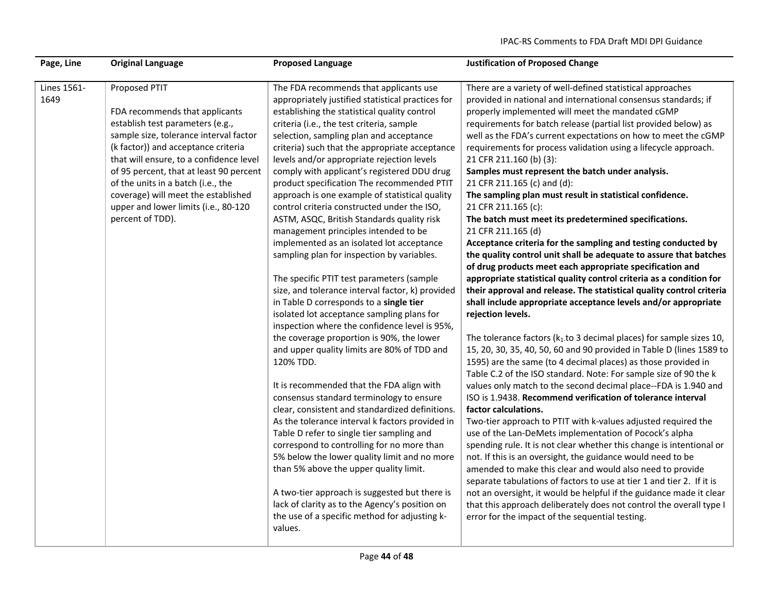| Page, Line          | <b>Original Language</b>                                                                                                                                                                                                                                                                                                                                                                            | <b>Proposed Language</b>                                                                                                                                                                                                                                                                                                                                                                                                                                                                                                                                                                                                                                                                                                                                                                                                                                                                                                                                                                                                                                                                                                                                                                                                                                                                                                                                                                                                                                                                                                                                                                                                  | <b>Justification of Proposed Change</b>                                                                                                                                                                                                                                                                                                                                                                                                                                                                                                                                                                                                                                                                                                                                                                                                                                                                                                                                                                                                                                                                                                                                                                                                                                                                                                                                                                                                                                                                                                                                                                                                                                                                                                                                                                                                                                                                                                                                                                                                                                                                                                                                     |
|---------------------|-----------------------------------------------------------------------------------------------------------------------------------------------------------------------------------------------------------------------------------------------------------------------------------------------------------------------------------------------------------------------------------------------------|---------------------------------------------------------------------------------------------------------------------------------------------------------------------------------------------------------------------------------------------------------------------------------------------------------------------------------------------------------------------------------------------------------------------------------------------------------------------------------------------------------------------------------------------------------------------------------------------------------------------------------------------------------------------------------------------------------------------------------------------------------------------------------------------------------------------------------------------------------------------------------------------------------------------------------------------------------------------------------------------------------------------------------------------------------------------------------------------------------------------------------------------------------------------------------------------------------------------------------------------------------------------------------------------------------------------------------------------------------------------------------------------------------------------------------------------------------------------------------------------------------------------------------------------------------------------------------------------------------------------------|-----------------------------------------------------------------------------------------------------------------------------------------------------------------------------------------------------------------------------------------------------------------------------------------------------------------------------------------------------------------------------------------------------------------------------------------------------------------------------------------------------------------------------------------------------------------------------------------------------------------------------------------------------------------------------------------------------------------------------------------------------------------------------------------------------------------------------------------------------------------------------------------------------------------------------------------------------------------------------------------------------------------------------------------------------------------------------------------------------------------------------------------------------------------------------------------------------------------------------------------------------------------------------------------------------------------------------------------------------------------------------------------------------------------------------------------------------------------------------------------------------------------------------------------------------------------------------------------------------------------------------------------------------------------------------------------------------------------------------------------------------------------------------------------------------------------------------------------------------------------------------------------------------------------------------------------------------------------------------------------------------------------------------------------------------------------------------------------------------------------------------------------------------------------------------|
| Lines 1561-<br>1649 | Proposed PTIT<br>FDA recommends that applicants<br>establish test parameters (e.g.,<br>sample size, tolerance interval factor<br>(k factor)) and acceptance criteria<br>that will ensure, to a confidence level<br>of 95 percent, that at least 90 percent<br>of the units in a batch (i.e., the<br>coverage) will meet the established<br>upper and lower limits (i.e., 80-120<br>percent of TDD). | The FDA recommends that applicants use<br>appropriately justified statistical practices for<br>establishing the statistical quality control<br>criteria (i.e., the test criteria, sample<br>selection, sampling plan and acceptance<br>criteria) such that the appropriate acceptance<br>levels and/or appropriate rejection levels<br>comply with applicant's registered DDU drug<br>product specification The recommended PTIT<br>approach is one example of statistical quality<br>control criteria constructed under the ISO,<br>ASTM, ASQC, British Standards quality risk<br>management principles intended to be<br>implemented as an isolated lot acceptance<br>sampling plan for inspection by variables.<br>The specific PTIT test parameters (sample<br>size, and tolerance interval factor, k) provided<br>in Table D corresponds to a single tier<br>isolated lot acceptance sampling plans for<br>inspection where the confidence level is 95%,<br>the coverage proportion is 90%, the lower<br>and upper quality limits are 80% of TDD and<br>120% TDD.<br>It is recommended that the FDA align with<br>consensus standard terminology to ensure<br>clear, consistent and standardized definitions.<br>As the tolerance interval k factors provided in<br>Table D refer to single tier sampling and<br>correspond to controlling for no more than<br>5% below the lower quality limit and no more<br>than 5% above the upper quality limit.<br>A two-tier approach is suggested but there is<br>lack of clarity as to the Agency's position on<br>the use of a specific method for adjusting k-<br>values. | There are a variety of well-defined statistical approaches<br>provided in national and international consensus standards; if<br>properly implemented will meet the mandated cGMP<br>requirements for batch release (partial list provided below) as<br>well as the FDA's current expectations on how to meet the cGMP<br>requirements for process validation using a lifecycle approach.<br>21 CFR 211.160 (b) (3):<br>Samples must represent the batch under analysis.<br>21 CFR 211.165 (c) and (d):<br>The sampling plan must result in statistical confidence.<br>21 CFR 211.165 (c):<br>The batch must meet its predetermined specifications.<br>21 CFR 211.165 (d)<br>Acceptance criteria for the sampling and testing conducted by<br>the quality control unit shall be adequate to assure that batches<br>of drug products meet each appropriate specification and<br>appropriate statistical quality control criteria as a condition for<br>their approval and release. The statistical quality control criteria<br>shall include appropriate acceptance levels and/or appropriate<br>rejection levels.<br>The tolerance factors ( $k_1$ to 3 decimal places) for sample sizes 10,<br>15, 20, 30, 35, 40, 50, 60 and 90 provided in Table D (lines 1589 to<br>1595) are the same (to 4 decimal places) as those provided in<br>Table C.2 of the ISO standard. Note: For sample size of 90 the k<br>values only match to the second decimal place--FDA is 1.940 and<br>ISO is 1.9438. Recommend verification of tolerance interval<br>factor calculations.<br>Two-tier approach to PTIT with k-values adjusted required the<br>use of the Lan-DeMets implementation of Pocock's alpha<br>spending rule. It is not clear whether this change is intentional or<br>not. If this is an oversight, the guidance would need to be<br>amended to make this clear and would also need to provide<br>separate tabulations of factors to use at tier 1 and tier 2. If it is<br>not an oversight, it would be helpful if the guidance made it clear<br>that this approach deliberately does not control the overall type I<br>error for the impact of the sequential testing. |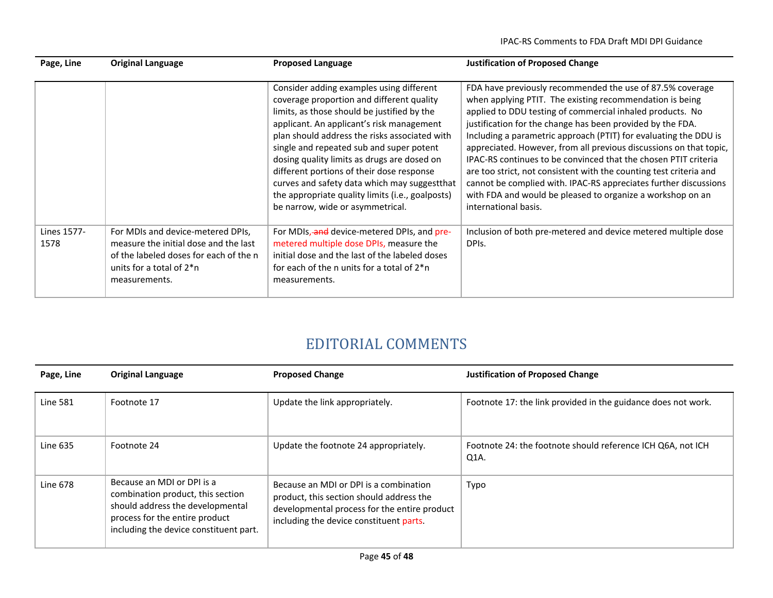| Page, Line          | <b>Original Language</b>                                                                                                                                             | <b>Proposed Language</b>                                                                                                                                                                                                                                                                                                                                                                                                                                                                                           | <b>Justification of Proposed Change</b>                                                                                                                                                                                                                                                                                                                                                                                                                                                                                                                                                                                                                                                       |
|---------------------|----------------------------------------------------------------------------------------------------------------------------------------------------------------------|--------------------------------------------------------------------------------------------------------------------------------------------------------------------------------------------------------------------------------------------------------------------------------------------------------------------------------------------------------------------------------------------------------------------------------------------------------------------------------------------------------------------|-----------------------------------------------------------------------------------------------------------------------------------------------------------------------------------------------------------------------------------------------------------------------------------------------------------------------------------------------------------------------------------------------------------------------------------------------------------------------------------------------------------------------------------------------------------------------------------------------------------------------------------------------------------------------------------------------|
|                     |                                                                                                                                                                      | Consider adding examples using different<br>coverage proportion and different quality<br>limits, as those should be justified by the<br>applicant. An applicant's risk management<br>plan should address the risks associated with<br>single and repeated sub and super potent<br>dosing quality limits as drugs are dosed on<br>different portions of their dose response<br>curves and safety data which may suggestthat<br>the appropriate quality limits (i.e., goalposts)<br>be narrow, wide or asymmetrical. | FDA have previously recommended the use of 87.5% coverage<br>when applying PTIT. The existing recommendation is being<br>applied to DDU testing of commercial inhaled products. No<br>justification for the change has been provided by the FDA.<br>Including a parametric approach (PTIT) for evaluating the DDU is<br>appreciated. However, from all previous discussions on that topic,<br>IPAC-RS continues to be convinced that the chosen PTIT criteria<br>are too strict, not consistent with the counting test criteria and<br>cannot be complied with. IPAC-RS appreciates further discussions<br>with FDA and would be pleased to organize a workshop on an<br>international basis. |
| Lines 1577-<br>1578 | For MDIs and device-metered DPIs,<br>measure the initial dose and the last<br>of the labeled doses for each of the n<br>units for a total of $2*$ n<br>measurements. | For MDIs, and device-metered DPIs, and pre-<br>metered multiple dose DPIs, measure the<br>initial dose and the last of the labeled doses<br>for each of the n units for a total of $2*$ n<br>measurements.                                                                                                                                                                                                                                                                                                         | Inclusion of both pre-metered and device metered multiple dose<br>DPIs.                                                                                                                                                                                                                                                                                                                                                                                                                                                                                                                                                                                                                       |

# EDITORIAL COMMENTS

| Page, Line      | <b>Original Language</b>                                                                                                                                                        | <b>Proposed Change</b>                                                                                                                                                        | <b>Justification of Proposed Change</b>                                |
|-----------------|---------------------------------------------------------------------------------------------------------------------------------------------------------------------------------|-------------------------------------------------------------------------------------------------------------------------------------------------------------------------------|------------------------------------------------------------------------|
| <b>Line 581</b> | Footnote 17                                                                                                                                                                     | Update the link appropriately.                                                                                                                                                | Footnote 17: the link provided in the guidance does not work.          |
| Line 635        | Footnote 24                                                                                                                                                                     | Update the footnote 24 appropriately.                                                                                                                                         | Footnote 24: the footnote should reference ICH Q6A, not ICH<br>$Q1A$ . |
| <b>Line 678</b> | Because an MDI or DPI is a<br>combination product, this section<br>should address the developmental<br>process for the entire product<br>including the device constituent part. | Because an MDI or DPI is a combination<br>product, this section should address the<br>developmental process for the entire product<br>including the device constituent parts. | Typo                                                                   |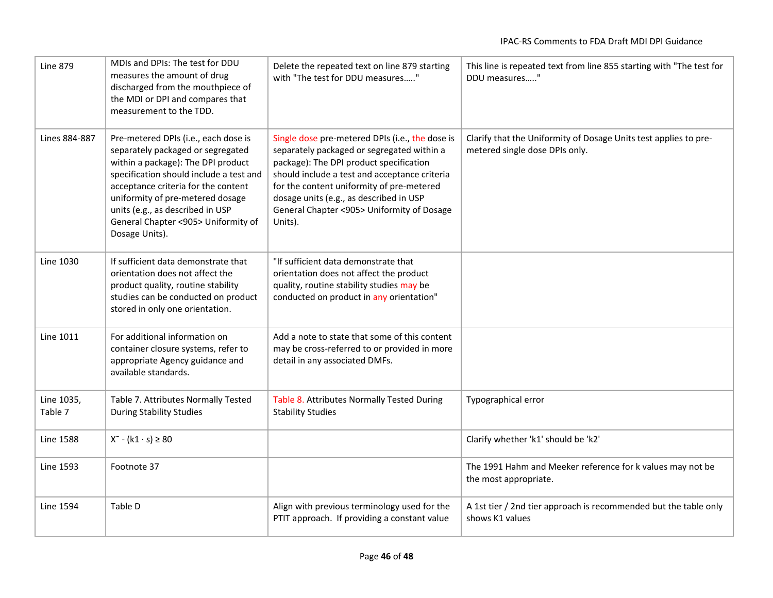| <b>Line 879</b>       | MDIs and DPIs: The test for DDU<br>measures the amount of drug<br>discharged from the mouthpiece of<br>the MDI or DPI and compares that<br>measurement to the TDD.                                                                                                                                                                 | Delete the repeated text on line 879 starting<br>with "The test for DDU measures"                                                                                                                                                                                                                                                          | This line is repeated text from line 855 starting with "The test for<br>DDU measures"              |
|-----------------------|------------------------------------------------------------------------------------------------------------------------------------------------------------------------------------------------------------------------------------------------------------------------------------------------------------------------------------|--------------------------------------------------------------------------------------------------------------------------------------------------------------------------------------------------------------------------------------------------------------------------------------------------------------------------------------------|----------------------------------------------------------------------------------------------------|
| Lines 884-887         | Pre-metered DPIs (i.e., each dose is<br>separately packaged or segregated<br>within a package): The DPI product<br>specification should include a test and<br>acceptance criteria for the content<br>uniformity of pre-metered dosage<br>units (e.g., as described in USP<br>General Chapter <905> Uniformity of<br>Dosage Units). | Single dose pre-metered DPIs (i.e., the dose is<br>separately packaged or segregated within a<br>package): The DPI product specification<br>should include a test and acceptance criteria<br>for the content uniformity of pre-metered<br>dosage units (e.g., as described in USP<br>General Chapter <905> Uniformity of Dosage<br>Units). | Clarify that the Uniformity of Dosage Units test applies to pre-<br>metered single dose DPIs only. |
| Line 1030             | If sufficient data demonstrate that<br>orientation does not affect the<br>product quality, routine stability<br>studies can be conducted on product<br>stored in only one orientation.                                                                                                                                             | "If sufficient data demonstrate that<br>orientation does not affect the product<br>quality, routine stability studies may be<br>conducted on product in any orientation"                                                                                                                                                                   |                                                                                                    |
| Line 1011             | For additional information on<br>container closure systems, refer to<br>appropriate Agency guidance and<br>available standards.                                                                                                                                                                                                    | Add a note to state that some of this content<br>may be cross-referred to or provided in more<br>detail in any associated DMFs.                                                                                                                                                                                                            |                                                                                                    |
| Line 1035,<br>Table 7 | Table 7. Attributes Normally Tested<br><b>During Stability Studies</b>                                                                                                                                                                                                                                                             | Table 8. Attributes Normally Tested During<br><b>Stability Studies</b>                                                                                                                                                                                                                                                                     | Typographical error                                                                                |
| <b>Line 1588</b>      | $X^{-}$ - (k1 · s) $\geq 80$                                                                                                                                                                                                                                                                                                       |                                                                                                                                                                                                                                                                                                                                            | Clarify whether 'k1' should be 'k2'                                                                |
| <b>Line 1593</b>      | Footnote 37                                                                                                                                                                                                                                                                                                                        |                                                                                                                                                                                                                                                                                                                                            | The 1991 Hahm and Meeker reference for k values may not be<br>the most appropriate.                |
| Line 1594             | Table D                                                                                                                                                                                                                                                                                                                            | Align with previous terminology used for the<br>PTIT approach. If providing a constant value                                                                                                                                                                                                                                               | A 1st tier / 2nd tier approach is recommended but the table only<br>shows K1 values                |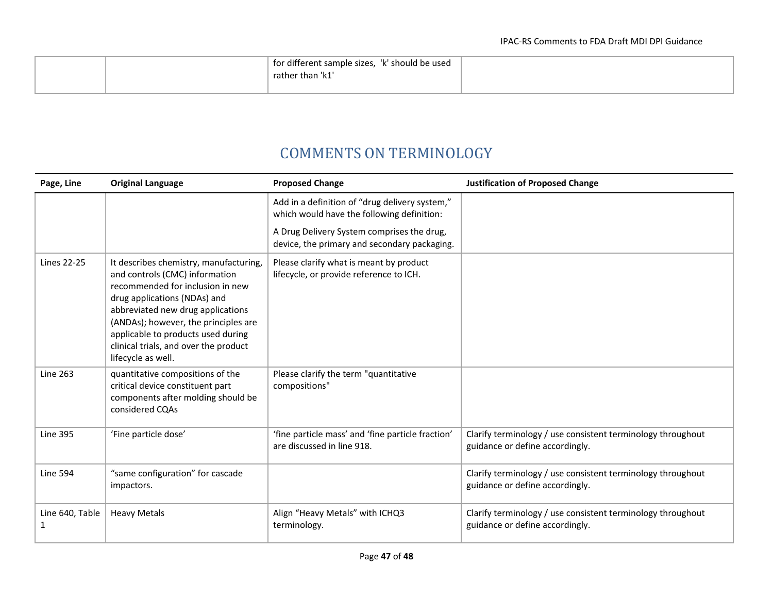|  | for different sample sizes, 'k' should be used |  |
|--|------------------------------------------------|--|
|  | rather than 'k1'                               |  |
|  |                                                |  |

## COMMENTS ON TERMINOLOGY

| Page, Line         | <b>Original Language</b>                                                                                                                                                                                                                                                                                                       | <b>Proposed Change</b>                                                                       | <b>Justification of Proposed Change</b>                                                        |
|--------------------|--------------------------------------------------------------------------------------------------------------------------------------------------------------------------------------------------------------------------------------------------------------------------------------------------------------------------------|----------------------------------------------------------------------------------------------|------------------------------------------------------------------------------------------------|
|                    |                                                                                                                                                                                                                                                                                                                                | Add in a definition of "drug delivery system,"<br>which would have the following definition: |                                                                                                |
|                    |                                                                                                                                                                                                                                                                                                                                | A Drug Delivery System comprises the drug,<br>device, the primary and secondary packaging.   |                                                                                                |
| <b>Lines 22-25</b> | It describes chemistry, manufacturing,<br>and controls (CMC) information<br>recommended for inclusion in new<br>drug applications (NDAs) and<br>abbreviated new drug applications<br>(ANDAs); however, the principles are<br>applicable to products used during<br>clinical trials, and over the product<br>lifecycle as well. | Please clarify what is meant by product<br>lifecycle, or provide reference to ICH.           |                                                                                                |
| <b>Line 263</b>    | quantitative compositions of the<br>critical device constituent part<br>components after molding should be<br>considered CQAs                                                                                                                                                                                                  | Please clarify the term "quantitative<br>compositions"                                       |                                                                                                |
| <b>Line 395</b>    | 'Fine particle dose'                                                                                                                                                                                                                                                                                                           | 'fine particle mass' and 'fine particle fraction'<br>are discussed in line 918.              | Clarify terminology / use consistent terminology throughout<br>guidance or define accordingly. |
| <b>Line 594</b>    | "same configuration" for cascade<br>impactors.                                                                                                                                                                                                                                                                                 |                                                                                              | Clarify terminology / use consistent terminology throughout<br>guidance or define accordingly. |
| Line 640, Table    | <b>Heavy Metals</b>                                                                                                                                                                                                                                                                                                            | Align "Heavy Metals" with ICHQ3<br>terminology.                                              | Clarify terminology / use consistent terminology throughout<br>guidance or define accordingly. |